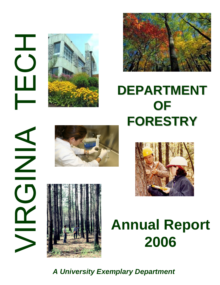HOLD  $\frac{1}{2}$ 





## **DEPARTMENT OF FORESTRY FORESTRY**







# **Annual Report 2006**

*A University Exemplary Department*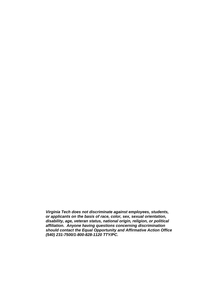*Virginia Tech does not discriminate against employees, students, or applicants on the basis of race, color, sex, sexual orientation, disability, age, veteran status, national origin, religion, or political affiliation. Anyone having questions concerning discrimination should contact the Equal Opportunity and Affirmative Action Office (540) 231-7500/1-800-828-1120 TTY/PC.*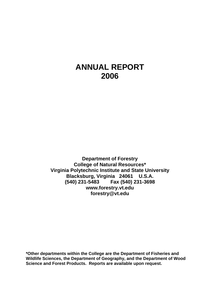### **ANNUAL REPORT 2006**

**Department of Forestry College of Natural Resources\* Virginia Polytechnic Institute and State University Blacksburg, Virginia 24061 U.S.A. (540) 231-5483 Fax (540) 231-3698 www.forestry.vt.edu forestry@vt.edu**

**\*Other departments within the College are the Department of Fisheries and Wildlife Sciences, the Department of Geography, and the Department of Wood Science and Forest Products. Reports are available upon request.**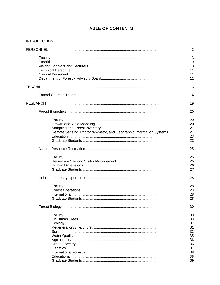| Remote Sensing, Photogrammetry, and Geographic Information Systems21 |      |
|----------------------------------------------------------------------|------|
|                                                                      |      |
|                                                                      |      |
|                                                                      |      |
|                                                                      |      |
|                                                                      |      |
|                                                                      |      |
|                                                                      |      |
|                                                                      |      |
|                                                                      |      |
|                                                                      |      |
|                                                                      |      |
|                                                                      |      |
|                                                                      |      |
|                                                                      |      |
|                                                                      |      |
|                                                                      |      |
|                                                                      |      |
|                                                                      |      |
|                                                                      | . 31 |
|                                                                      |      |
|                                                                      |      |
|                                                                      |      |
|                                                                      |      |
|                                                                      |      |
|                                                                      |      |
|                                                                      |      |
|                                                                      |      |
|                                                                      |      |

### **TABLE OF CONTENTS**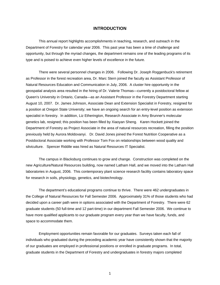#### **INTRODUCTION**

<span id="page-5-0"></span> This annual report highlights accomplishments in teaching, research, and outreach in the Department of Forestry for calendar year 2006. This past year has been a time of challenge and opportunity, but through the myriad changes, the department remains one of the leading programs of its type and is poised to achieve even higher levels of excellence in the future.

 There were several personnel changes in 2006. Following Dr. Joseph Roggenbuck's retirement as Professor in the forest recreation area, Dr. Marc Stern joined the faculty as Assistant Professor of Natural Resources Education and Communication in July, 2006. A cluster hire opportunity in the geospatial analysis area resulted in the hiring of Dr. Valerie Thomas—currently a postdoctoral fellow at Queen's University in Ontario, Canada—as an Assistant Professor in the Forestry Department starting August 10, 2007. Dr. James Johnson, Associate Dean and Extension Specialist in Forestry, resigned for a position at Oregon State University; we have an ongoing search for an entry-level position as extension specialist in forestry. In addition, Liz Etherington, Research Associate in Amy Brunner's molecular genetics lab, resigned; this position has been filled by Xiaoyan Sheng. Karen Hockett joined the Department of Forestry as Project Associate in the area of natural resources recreation, filling the position previously held by Aurora Moldovanyi. Dr. David Jones joined the Forest Nutrition Cooperative as a Postdoctoral Associate working with Professor Tom Fox on relationships between wood quality and silviculture. Spencer Riddile was hired as Natural Resources IT Specialist.

 The campus in Blacksburg continues to grow and change. Construction was completed on the new Agriculture/Natural Resources building, now named Latham Hall, and we moved into the Latham Hall laboratories in August, 2006. This contemporary plant science research facility contains laboratory space for research in soils, physiology, genetics, and biotechnology.

 The department's educational programs continue to thrive. There were 462 undergraduates in the College of Natural Resources for Fall Semester 2006. Approximately 31% of those students who had decided upon a career path were in options associated with the Department of Forestry. There were 62 graduate students (50 full-time and 12 part-time) in our department Fall Semester 2006. We continue to have more qualified applicants to our graduate program every year than we have faculty, funds, and space to accommodate them.

 Employment opportunities remain favorable for our graduates. Surveys taken each fall of individuals who graduated during the preceding academic year have consistently shown that the majority of our graduates are employed in professional positions or enrolled in graduate programs. In total, graduate students in the Department of Forestry and undergraduates in forestry majors completed

1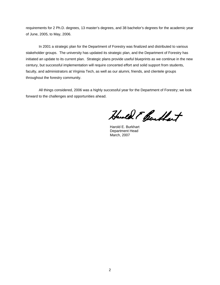requirements for 2 Ph.D. degrees, 13 master's degrees, and 38 bachelor's degrees for the academic year of June, 2005, to May, 2006.

In 2001 a strategic plan for the Department of Forestry was finalized and distributed to various stakeholder groups. The university has updated its strategic plan, and the Department of Forestry has initiated an update to its current plan. Strategic plans provide useful blueprints as we continue in the new century, but successful implementation will require concerted effort and solid support from students, faculty, and administrators at Virginia Tech, as well as our alumni, friends, and clientele groups throughout the forestry community.

All things considered, 2006 was a highly successful year for the Department of Forestry; we look forward to the challenges and opportunities ahead.

Handel F Bentlet

 Harold E. Burkhart Department Head March, 2007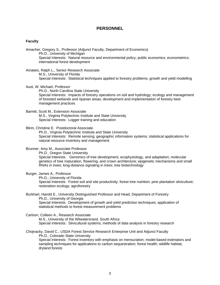#### **PERSONNEL**

#### <span id="page-7-0"></span>**Faculty**

Amacher, Gregory S., Professor (Adjunct Faculty, Department of Economics) Ph.D., University of Michigan Special Interests: Natural resource and environmental policy; public economics; econometrics; international forest development

Amateis, Ralph L., Senior Research Associate M.S., University of Florida Special Interests: Statistical techniques applied to forestry problems; growth and yield modelling

Aust, W. Michael, Professor

 Ph.D., North Carolina State University Special Interests: Impacts of forestry operations on soil and hydrology; ecology and management of forested wetlands and riparian areas; development and implementation of forestry best management practices

#### Barrett, Scott M., Extension Associate

 M.S., Virginia Polytechnic Institute and State University Special Interests: Logger training and education

Blinn, Christine E. Postdoctoral Associate.

 Ph.D., Virginia Polytechnic Institute and State University Special Interests: Remote sensing; geographic information systems; statistical applications for natural resource inventory and management

#### Brunner, Amy M., Associate Professor

 Ph.D., Oregon State University Special Interests: Genomics of tree development, ecophysiology, and adaptation; molecular genetics of tree maturation, flowering, and crown architecture; epigenetic mechanisms and small RNAs in trees; long-distance signaling in trees; tree biotechnology

#### Burger, James A., Professor

 Ph.D., University of Florida Special Interests: Forest soil and site productivity; forest tree nutrition; pine plantation silviculture; restoration ecology; agroforestry

#### Burkhart, Harold E., University Distinguished Professor and Head, Department of Forestry Ph.D., University of Georgia Special Interests: Development of growth and yield prediction techniques; application of statistical methods to forest measurement problems

#### Carlson, Colleen A., Research Associate

 M.S., University of the Witwatersrand, South Africa Special Interests: Silvicultural systems; methods of data analysis in forestry research

Chojnacky, David C., USDA Forest Service Research Enterprise Unit and Adjunct Faculty Ph.D., Colorado State University Special Interests: Forest inventory with emphasis on mensuration; model-based estimators and sampling techniques for applications to carbon sequestration; forest health; wildlife habitat; dryland forests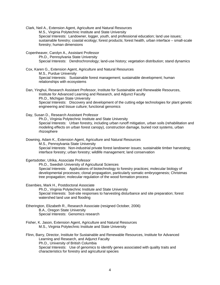Clark, Neil A., Extension Agent, Agriculture and Natural Resources M.S., Virginia Polytechnic Institute and State University Special Interests: Landowner, logger, youth, and professional education; land use issues; sustainable forestry; coastal ecology; forest products; forest health, urban interface – small-scale forestry; human dimensions

Copenheaver, Carolyn A., Assistant Professor Ph.D., Pennsylvania State University Special Interests: Dendrochronology; land-use history; vegetation distribution; stand dynamics

Cox, Karen G., Extension Agent, Agriculture and Natural Resources M.S., Purdue University Special Interests: Sustainable forest management; sustainable development; human relationships with ecosystems

Dan, Yinghui, Research Assistant Professor, Institute for Sustainable and Renewable Resources, Institute for Advanced Learning and Research, and Adjunct Faculty Ph.D., Michigan State University Special Interests: Discovery and development of the cutting edge technologies for plant genetic engineering and tissue culture; functional genomics

Day, Susan D., Research Assistant Professor

 Ph.D., Virginia Polytechnic Institute and State University Special Interests: Urban forestry, including urban runoff mitigation, urban soils (rehabilitation and modeling effects on urban forest canopy), construction damage, buried root systems, urban rhizosphere

Downing, Adam K., Extension Agent, Agriculture and Natural Resources M.S., Pennsylvania State University Special Interests: Non-industrial private forest landowner issues; sustainable timber harvesting; interface forestry; urban forestry; wildlife management; land conservation

Egertsdotter, Ulrika, Associate Professor

 Ph.D., Swedish University of Agricultural Sciences Special Interests: Applications of biotechnology to forestry practices; molecular biology of developmental processes; clonal propagation, particularly somatic embryogenesis; Christmas tree propagation; molecular regulation of the wood formation process

Eisenbies, Mark H., Postdoctoral Associate

 Ph.D., Virginia Polytechnic Institute and State University Special Interests: Soil-site responses to harvesting disturbance and site preparation; forest watershed land use and flooding

- Etherington, Elizabeth R., Research Associate (resigned October, 2006) B.A., Oregon State University Special Interests: Genomics research
- Fisher, K. Jason, Extension Agent, Agriculture and Natural Resources M.S., Virginia Polytechnic Institute and State University

Flinn, Barry, Director, Institute for Sustainable and Renewable Resources, Institute for Advanced Learning and Research, and Adjunct Faculty Ph.D., University of British Columbia Special Interests: Use of genomics to identify genes associated with quality traits and characteristics for forestry and agricultural species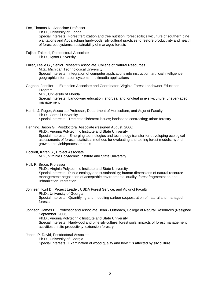Fox, Thomas R., Associate Professor

Ph.D., University of Florida

 Special Interests: Forest fertilization and tree nutrition; forest soils; silviculture of southern pine plantations and Appalachian hardwoods; silvicultural practices to restore productivity and health of forest ecosystems; sustainability of managed forests

Fujino, Takeshi, Postdoctoral Associate Ph.D., Kyoto University

Fuller, Leslie G., Senior Research Associate, College of Natural Resources M.S., Michigan Technological University Special Interests: Integration of computer applications into instruction; artificial intelligence; geographic information systems; multimedia applications

Gagnon, Jennifer L., Extension Associate and Coordinator, Virginia Forest Landowner Education Program

 M.S., University of Florida Special Interests: Landowner education; shortleaf and longleaf pine silviculture; uneven-aged management

Harris, J. Roger, Associate Professor, Department of Horticulture, and Adjunct Faculty Ph.D., Cornell University Special Interests: Tree establishment issues; landscape contracting; urban forestry

#### Henning, Jason G., Postdoctoral Associate (resigned August, 2006)

 Ph.D., Virginia Polytechnic Institute and State University Special Interests: Emerging technologies and technology transfer for developing ecological assessments of forests; statistical methods for evaluating and testing forest models; hybrid growth and yield/process models

- Hockett, Karen S., Project Associate M.S., Virginia Polytechnic Institute and State University
- Hull, R. Bruce, Professor

 Ph.D., Virginia Polytechnic Institute and State University Special Interests: Public ecology and sustainability; human dimensions of natural resource management; negotiation of acceptable environmental quality; forest fragmentation and urbanization; recreation

#### Johnsen, Kurt D., Project Leader, USDA Forest Service, and Adjunct Faculty Ph.D., University of Georgia Special Interests: Quantifying and modeling carbon sequestration of natural and managed forests

Johnson, James E., Professor and Associate Dean - Outreach, College of Natural Resources (Resigned September, 2006)

Ph.D., Virginia Polytechnic Institute and State University

 Special Interests: Hardwood and pine silviculture; forest soils; impacts of forest management activities on site productivity; extension forestry

#### Jones, P. David, Postdoctoral Associate

 Ph.D., University of Georgia Special Interests: Examination of wood quality and how it is affected by silviculture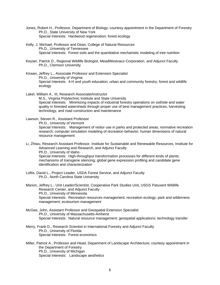- Jones, Robert H., Professor, Department of Biology; courtesy appointment in the Department of Forestry Ph.D., State University of New York Special Interests: Hardwood regeneration; forest ecology
- Kelly, J. Michael, Professor and Dean, College of Natural Resources Ph.D., University of Tennessee Special Interests: Forest soils and the quantitative mechanistic modeling of tree nutrition
- Keyser, Patrick D., Regional Wildlife Biologist, MeadWestvaco Corporation, and Adjunct Faculty Ph.D., Clemson University
- Kirwan, Jeffrey L., Associate Professor and Extension Specialist Ph.D., University of Virginia Special Interests: 4-H and youth education; urban and community forestry; forest and wildlife ecology

Lakel, William A., III, Research Associate/Instructor M.S., Virginia Polytechnic Institute and State University Special Interests: Minimizing impacts of industrial forestry operations on soil/site and water quality in forested watersheds through proper use of best management practices, harvesting technology, and road construction and maintenance

Lawson, Steven R., Assistant Professor

Ph.D., University of Vermont

 Special Interests: Management of visitor use in parks and protected areas; normative recreation research; computer simulation modeling of recreation behavior; human dimensions of natural resource management

- Li, Zhiwu, Research Assistant Professor, Institute for Sustainable and Renewable Resources, Institute for Advanced Learning and Research, and Adjunct Faculty Ph.D., University of Idaho Special Interests: High-throughput transformation processes for different kinds of plants; mechanisms of transgene silencing; global gene expression profiling and candidate gene identification and characterization
- Loftis, David L., Project Leader, USDA Forest Service, and Adjunct Faculty Ph.D., North Carolina State University

Marion, Jeffrey L., Unit Leader/Scientist, Cooperative Park Studies Unit, USGS Patuxent Wildlife Research Center, and Adjunct Faculty Ph.D., University of Minnesota Special Interests: Recreation resources management; recreation ecology; park and wilderness management; ecotourism management

McGee, John, Assistant Professor and Geospatial Extension Specialist Ph.D., University of Massachusetts-Amherst Special Interests: Natural resource management; geospatial applications; technology transfer

Merry, Frank D., Research Scientist in International Forestry and Adjunct Faculty Ph.D., University of Florida Special Interests: Forest economics

Miller, Patrick A., Professor and Head, Department of Landscape Architecture; courtesy appointment in the Department of Forestry Ph.D., University of Michigan Special Interests: Landscape aesthetics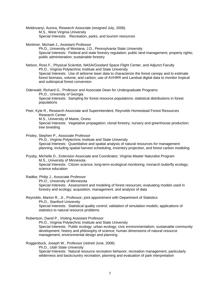Moldovanyi, Aurora, Research Associate (resigned July, 2006) M.S., West Virginia University Special Interests: Recreation, parks, and tourism resources

- Mortimer, Michael J., Assistant Professor Ph.D., University of Montana; J.D., Pennsylvania State University Special Interests: Federal and state forestry regulation; public land management; property rights; public administration; sustainable forestry
- Nelson, Ross F., Physical Scientist, NASA/Goodard Space Flight Center, and Adjunct Faculty Ph.D., Virginia Polytechnic Institute and State University Special Interests: Use of airborne laser data to characterize the forest canopy and to estimate forest biomass, volume, and carbon; use of AVHRR and Landsat digital data to monitor tropical and subtropical forest conversion

Oderwald, Richard G., Professor and Associate Dean for Undergraduate Programs Ph.D., University of Georgia Special Interests: Sampling for forest resource populations; statistical distributions in forest populations

Peer, Kyle R., Research Associate and Superintendent, Reynolds Homestead Forest Resources Research Center M.S., University of Maine, Orono Special Interests: Vegetative propagation; clonal forestry; nursery and greenhouse production; tree breeding

Prisley, Stephen P., Associate Professor Ph.D., Virginia Polytechnic Institute and State University Special Interests: Quantitative and spatial analysis of natural resources for management planning, including spatial harvest scheduling, inventory projection, and forest carbon modeling

Prysby, Michelle D., Extension Associate and Coordinator, Virginia Master Naturalist Program M.S., University of Minnesota Special Interests: Citizen science; long-term ecological monitoring; monarch butterfly ecology; science education

Radtke, Philip J., Associate Professor Ph.D., University of Minnesota Special Interests: Assessment and modeling of forest resources; evaluating models used in forestry and ecology; acquisition, management, and analysis of data

Reynolds, Marion R., Jr., Professor; joint appointment with Department of Statistics Ph.D., Stanford University Special Interests: Statistical quality control; validation of simulation models; applications of statistics to natural resource problems

Robertson, David P., Visiting Assistant Professor Ph.D., Virginia Polytechnic Institute and State University Special Interests: Public ecology; urban ecology; civic environmentalism; sustainable community development; history and philosophy of science; human dimensions of natural resource management; environmental design and planning

Roggenbuck, Joseph W., Professor (retired June, 2006)

Ph.D., Utah State University

 Special Interests: Natural resource recreation behavior; recreation management, particularly wilderness and backcountry recreation; planning and evaluation of park interpretation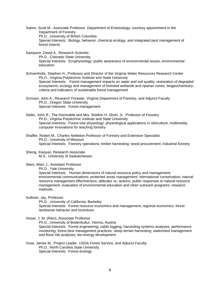Salom, Scott M., Associate Professor, Department of Entomology; courtesy appointment in the Department of Forestry Ph.D., University of British Columbia Special Interests: Biology, behavior, chemical ecology, and integrated pest management of forest insects

Sampson, David A., Research Scientist

 Ph.D., Colorado State University Special Interests: Ecophysiology; public awareness of environmental issues; environmental education

Schoenholtz, Stephen H., Professor and Director of the Virginia Water Resources Research Center Ph.D., Virginia Polytechnic Institute and State University Special Interests: Forest management impacts on water and soil quality; restoration of degraded ecosystems; ecology and management of forested wetlands and riparian zones; biogeochemistry; criteria and indicators of sustainable forest management

Scrivani, John A., Research Forester, Virginia Department of Forestry, and Adjunct Faculty Ph.D., Oregon State University Special Interests: Forest management

Seiler, John R., The Honorable and Mrs. Shelton H. Short, Jr., Professor of Forestry Ph.D., Virginia Polytechnic Institute and State University Special Interests: Forest tree physiology; physiological applications in silviculture; multimedia, computer innovations for teaching forestry

Shaffer, Robert M., Charles Nettleton Professor of Forestry and Extension Specialist Ph.D., University of Missouri Special Interests: Forestry operations; timber harvesting; wood procurement; industrial forestry

Sheng, Xiaoyan, Research Associate M.S., University of Saskatchewan

Stern, Marc J., Assistant Professor

Ph.D., Yale University

 Special Interests: Human dimensions of natural resource policy and management; environmental communications; protected areas management; international conservation; natural resource management effectiveness; attitudes vs. actions; public responses to natural resource management; evaluation of environmental education and other outreach programs; research methods

Sullivan, Jay, Professor

 Ph.D., University of California, Berkeley Special Interests: Forest resource economics and management; regional economics; forest landowner behavior and incentives

Visser, J. M. (Rien), Associate Professor

 Ph.D., University of Bodenkultur, Vienna, Austria Special Interests: Forest engineering; cable logging; harvesting systems analyses; performance monitoring; forest best management practices; steep terrain harvesting; watershed management and flood risk analyses; bio-energy development

Vose, James M., Project Leader, USDA Forest Service, and Adjunct Faculty Ph.D., North Carolina State University Special Interests: Forest ecology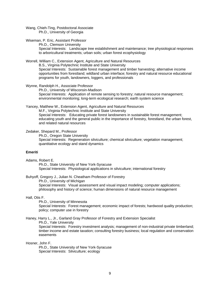<span id="page-13-0"></span>Wang, Chieh-Ting, Postdoctoral Associate Ph.D., University of Georgia

Wiseman, P. Eric, Assistant Professor

 Ph.D., Clemson University Special Interests: Landscape tree establishment and maintenance; tree physiological responses to arboricultural treatments; urban soils; urban forest ecophysiology

Worrell, William C., Extension Agent, Agriculture and Natural Resources

B.S., Virginia Polytechnic Institute and State University

Special Interests: Sustainable forest management and timber harvesting; alternative income opportunities from forestland; wildland urban interface; forestry and natural resource educational programs for youth, landowners, loggers, and professionals

Wynne, Randolph H., Associate Professor Ph.D., University of Wisconsin-Madison Special Interests: Application of remote sensing to forestry; natural resource management; environmental monitoring; long-term ecological research; earth system science

Yancey, Matthew W., Extension Agent, Agriculture and Natural Resources

M.F., Virginia Polytechnic Institute and State University

Special Interests: Educating private forest landowners in sustainable forest management; educating youth and the general public in the importance of forestry, forestland, the urban forest, and related natural resources

#### Zedaker, Shepard M., Professor

 Ph.D., Oregon State University Special Interests: Regeneration silviculture; chemical silviculture; vegetation management; quantitative ecology and stand dynamics

#### **Emeriti**

Adams, Robert E.

 Ph.D., State University of New York-Syracuse Special Interests: Physiological applications in silviculture; international forestry

Buhyoff, Gregory J., Julian N. Cheatham Professor of Forestry

 Ph.D., University of Michigan Special Interests: Visual assessment and visual impact modeling; computer applications; philosophy and history of science; human dimensions of natural resource management

#### Hall, Otis F.

Ph.D., University of Minnesota

 Special Interests: Forest management; economic impact of forests; hardwood quality production; policy; computer use in forestry

#### Haney, Harry L., Jr., Garland Gray Professor of Forestry and Extension Specialist

Ph.D., Yale University

 Special Interests: Forestry investment analysis; management of non-industrial private timberland; timber income and estate taxation; consulting forestry business; local regulation and conservation easements

#### Hosner, John F.

 Ph.D., State University of New York-Syracuse Special Interests: Silviculture; ecology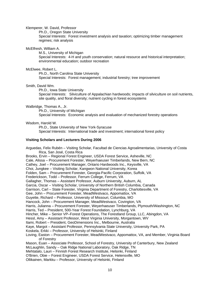#### Klemperer, W. David, Professor

Ph.D., Oregon State University

 Special Interests: Forest investment analysis and taxation; optimizing timber management regimes; risk analysis

#### McElfresh, William A.

 M.S., University of Michigan Special Interests: 4-H and youth conservation; natural resource and historical interpretation; environmental education; outdoor recreation

#### McElwee, Robert L.

 Ph.D., North Carolina State University Special Interests: Forest management; industrial forestry; tree improvement

#### Smith, David Wm.

 Ph.D., Iowa State University Special Interests: Silviculture of Appalachian hardwoods; impacts of silviculture on soil nutrients, site quality, and floral diversity; nutrient cycling in forest ecosystems

#### Walbridge, Thomas A., Jr.

 Ph.D., University of Michigan Special Interests: Economic analysis and evaluation of mechanized forestry operations

#### Wisdom, Harold W.

 Ph.D., State University of New York-Syracuse Special Interests: International trade and investment; international forest policy

#### **Visiting Scholars and Lecturers During 2006**

Arguedas, Felix Rubén – Visiting Scholar, Facultad de Ciencias Agroalimentarias, University of Costa Rica, San José, Costa Rica Brooks, Ervin – Regional Forest Engineer, USDA Forest Service, Asheville, NC Cale, Alissa – Procurement Forester, Weyerhaeuser Timberlands, New Bern, NC Cathey, Joel – Procurement Manager, Ontario Hardwoods Inc., Keysville, VA Choi, Jungkee – Visiting Scholar, Kangwon National University, Korea Folden, Sam – Procurement Forester, Georgia-Pacific Corporation, Suffolk, VA Frederickson, Todd – Professor, Ferrum College, Ferrum, VA Gallagher, Thomas – Assistant Professor, Auburn University, Auburn, AL Garcia, Oscar – Visiting Scholar, University of Northern British Columbia, Canada Garrison, Carl – State Forester, Virginia Department of Forestry, Charlottesville, VA Gee, John – Procurement Forester, MeadWestvaco, Appomattox, VA Guyette, Richard – Professor, University of Missouri, Columbia, MO Hancock, John – Procurement Manager, MeadWestvaco, Covington, VA Harris, Julianna – Procurement Forester, Weyerhaeuser Timberlands, Plymouth/Washington, NC Harris, Ted – President, 500-Year Forest Foundation, Lynchburg, VA Hincher, Mike – Senior VP–Forest Operations, The Forestland Group, LLC, Abingdon, VA Hessl, Amy – Assistant Professor, West Virginia University, Morgantown, WV Itami, Robert – President, GeoDimensions Inc., Melbourne, Australia Kaye, Margot – Assistant Professor, Pennsylvania State University, University Park, PA Koskela, Erkki – Professor, University of Helsinki, Finland Loving, Easton – Procurement Forester, MeadWestvaco, Appomattox, VA, and Member, Virginia Board of Forestry Mason, Euan – Associate Professor, School of Forestry, University of Canterbury, New Zealand McLaughlin, Sandy – Oak Ridge National Laboratory, Oak Ridge, TN Mehtatalo, Lauri – Finnish Forest Research Institute, Helsinki, Finland O'Brien, Obie – Forest Engineer, USDA Forest Service, Helensville, MO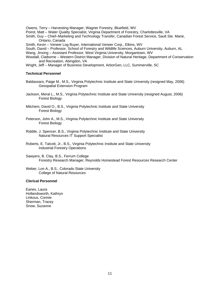Owens, Terry – Harvesting Manager, Wagner Forestry, Bluefield, WV

- Poirot, Matt Water Quality Specialist, Virginia Department of Forestry, Charlottesville, VA
- Smith, Guy Chief–Marketing and Technology Transfer, Canadian Forest Service, Sault Ste. Marie, Ontario, Canada
- Smith, Kevin Veneer Log Buyer, International Veneer Corp., Elkins, WV
- South, David Professor, School of Forestry and Wildlife Sciences, Auburn University, Auburn, AL
- Wang, Jinxing Assistant Professor, West Virginia University, Morgantown, WV
- Woodall, Claiborne Western District Manager, Division of Natural Heritage, Department of Conservation and Recreation, Abingdon, VA
- Wright, Jeff Manager of Business Development, ArborGen, LLC, Summerville, SC

#### **Technical Personnel**

- Baldassaro, Paige M., M.S., Virginia Polytechnic Institute and State University (resigned May, 2006) Geospatial Extension Program
- Jackson, Meral L., M.S., Virginia Polytechnic Institute and State University (resigned August, 2006) Forest Biology
- Mitchem, David O., B.S., Virginia Polytechnic Institute and State University Forest Biology
- Peterson, John A., M.S., Virginia Polytechnic Institute and State University Forest Biology
- Riddile, J. Spencer, B.S., Virginia Polytechnic Institute and State University Natural Resources IT Support Specialist
- Roberts, E. Talcott, Jr., B.S., Virginia Polytechnic Institute and State University Industrial Forestry Operations
- Sawyers, B. Clay, B.S., Ferrum College Forestry Research Manager, Reynolds Homestead Forest Resources Research Center
- Weber, Lon A., B.S., Colorado State University College of Natural Resources

#### **Clerical Personnel**

Eanes, Laura Hollandsworth, Kathryn Linkous, Connie Sherman, Tracey Snow, Suzanne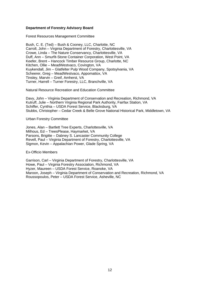#### **Department of Forestry Advisory Board**

Forest Resources Management Committee

Bush, C. E. (Ted) – Bush & Cooney, LLC, Charlotte, NC Carroll, John – Virginia Department of Forestry, Charlottesville, VA Crowe, Linda – The Nature Conservancy, Charlottesville, VA Duff, Ann – Smurfit-Stone Container Corporation, West Point, VA Keefer, Brent – Hancock Timber Resource Group, Charlotte, NC Kitchen, Ollie – MeadWestvaco, Covington, VA Kuykendall, Jim – Glatfelter Pulp Wood Company, Spotsylvania, VA Scheerer, Greg – MeadWestvaco, Appomattox, VA Tinsley, Marvin – Greif, Amherst, VA Turner, Harrell – Turner Forestry, LLC, Branchville, VA

Natural Resource Recreation and Education Committee

Davy, John – Virginia Department of Conservation and Recreation, Richmond, VA Kutruff, Julie – Northern Virginia Regional Park Authority, Fairfax Station, VA Schiffer, Cynthia – USDA Forest Service, Blacksburg, VA Stubbs, Christopher – Cedar Creek & Belle Grove National Historical Park, Middletown, VA

Urban Forestry Committee

Jones, Alan – Bartlett Tree Experts, Charlottesville, VA Milhous, Ed – TreesPlease, Haymarket, VA Parsons, Brigitte – Dabney S. Lancaster Community College Revell, Paul – Virginia Department of Forestry, Charlottesville, VA Sigmon, Kevin – Appalachian Power, Glade Spring, VA

Ex-Officio Members

Garrison, Carl – Virginia Department of Forestry, Charlottesville, VA Howe, Paul – Virginia Forestry Association, Richmond, VA Hyzer, Maureen – USDA Forest Service, Roanoke, VA Maroon, Joseph – Virginia Department of Conservation and Recreation, Richmond, VA Roussopoulos, Peter – USDA Forest Service, Asheville, NC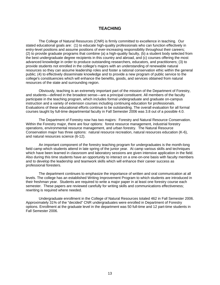#### **TEACHING**

 The College of Natural Resources (CNR) is firmly committed to excellence in teaching. Our stated educational goals are: (1) to educate high-quality professionals who can function effectively in entry-level positions and assume positions of ever-increasing responsibility throughout their careers; (2) to provide graduate programs that combine (a) a high-quality faculty, (b) a student body selected from the best undergraduate degree recipients in this country and abroad, and (c) courses offering the most advanced knowledge in order to produce outstanding researchers, educators, and practitioners; (3) to provide students not enrolled in the college's majors with an understanding of renewable natural resources so they can assume leadership roles and foster a rational conservation ethic within the general public; (4) to effectively disseminate knowledge and to provide a new program of public service to the college's constituencies which will enhance the benefits, goods, and services obtained from natural resources of the state and surrounding region.

 Obviously, teaching is an extremely important part of the mission of the Department of Forestry, and students—defined in the broadest sense—are a principal constituent. All members of the faculty participate in the teaching program, which includes formal undergraduate and graduate on-campus instruction and a variety of extension courses including continuing education for professionals. Evaluations of these educational efforts continue to be outstanding. The overall evaluation for all formal courses taught by full-time departmental faculty in Fall Semester 2006 was 3.8 out of a possible 4.0.

 The Department of Forestry now has two majors: Forestry and Natural Resource Conservation. Within the Forestry major, there are four options: forest resource management, industrial forestry operations, environmental resource management, and urban forestry. The Natural Resource Conservation major has three options: natural resource recreation, natural resources education (K-6), and natural resources science (6-12).

 An important component of the forestry teaching program for undergraduates is the month-long field camp which students attend in late spring of the junior year. At camp various skills and techniques which have been learned in classroom and laboratory sessions are given intensive application in the field. Also during this time students have an opportunity to interact on a one-on-one basis with faculty members and to develop the leadership and teamwork skills which will enhance their career success as professional foresters.

 The department continues to emphasize the importance of written and oral communication at all levels. The college has an established Writing Improvement Program to which students are introduced in their freshman year. Students are required to write a major paper in at least one forestry course each semester. These papers are reviewed carefully for writing skills and communications effectiveness; rewriting is required where needed.

 Undergraduate enrollment in the College of Natural Resources totaled 462 in Fall Semester 2006. Approximately 31% of the "decided" CNR undergraduates were enrolled in Department of Forestry options. Enrollment at the graduate level in the department was 50 full-time and 12 part-time students in Fall Semester 2006.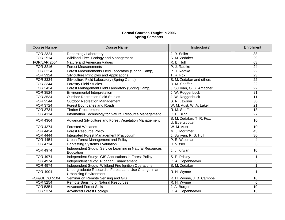#### **Formal Courses Taught in 2006 Spring Semester**

| <b>Course Number</b> | <b>Course Name</b>                                       | Instructor(s)               | Enrollment      |  |
|----------------------|----------------------------------------------------------|-----------------------------|-----------------|--|
| <b>FOR 2324</b>      | Dendrology Laboratory                                    | J. R. Seiler                | 38              |  |
| <b>FOR 2514</b>      | Wildland Fire: Ecology and Management                    | S. M. Zedaker               | 29              |  |
| <b>FOR/LAR 2554</b>  | Nature and American Values                               | R. B. Hull                  | 63              |  |
| FOR 3216             | <b>Forest Measurements</b>                               | P. J. Radtke                | $\overline{24}$ |  |
| <b>FOR 3224</b>      | Forest Measurements Field Laboratory (Spring Camp)       | P. J. Radtke                | 22              |  |
| FOR 3324             | Silviculture Principles and Applications                 | T. R. Fox                   | 23              |  |
| FOR 3334             | Silviculture Field Laboratory (Spring Camp)              | S. M. Zedaker and others    | $\overline{22}$ |  |
| <b>FOR 3344</b>      | <b>Forestry Field Studies</b>                            | R. M. Shaffer               | $\overline{22}$ |  |
| <b>FOR 3434</b>      | Forest Management Field Laboratory (Spring Camp)         | J. Sullivan, G. S. Amacher  | $\overline{22}$ |  |
| <b>FOR 3524</b>      | <b>Environmental Interpretation</b>                      | J. W. Roggenbuck            | $\overline{21}$ |  |
| <b>FOR 3534</b>      | <b>Outdoor Recreation Field Studies</b>                  | J. W. Roggenbuck            | 11              |  |
| <b>FOR 3544</b>      | <b>Outdoor Recreation Management</b>                     | S. R. Lawson                | 30              |  |
| <b>FOR 3724</b>      | <b>Forest Boundaries and Roads</b>                       | W. M. Aust, W. A. Lakel     | 21              |  |
| <b>FOR 3734</b>      | <b>Timber Procurement</b>                                | R. M. Shaffer               | 18              |  |
| <b>FOR 4114</b>      | Information Technology for Natural Resource Management   | C. E. Blinn                 | $\overline{27}$ |  |
|                      |                                                          | S. M. Zedaker, T. R. Fox,   | 10              |  |
| <b>FOR 4364</b>      | Advanced Silviculture and Forest Vegetation Management   | U. Egertsdotter             |                 |  |
| <b>FOR 4374</b>      | <b>Forested Wetlands</b>                                 | W. M. Aust                  | 10              |  |
| <b>FOR 4434</b>      | <b>Forest Resource Policy</b>                            | M. J. Mortimer              | 43              |  |
| <b>FOR 4444</b>      | Integrated Forest Management Practicuum                  | J. Sullivan, R. B. Hull     | $\overline{30}$ |  |
| <b>FOR 4454</b>      | Urban Forest Management and Policy                       | P. E. Wiseman               | 4               |  |
| <b>FOR 4714</b>      | <b>Harvesting Systems Evaluation</b>                     | R. Visser                   | 3               |  |
| FOR 4974             | Independent Study: Service Learning in Natural Resources | J. L. Kirwan                | 10              |  |
|                      | Education                                                |                             |                 |  |
| <b>FOR 4974</b>      | Independent Study: GIS Applications in Forest Policy     | S. P. Prisley               | 1               |  |
| <b>FOR 4974</b>      | Independent Study: Riparian Enhancement                  | C. A. Copenheaver           | 3               |  |
| <b>FOR 4974</b>      | Independent Study: Wildland Fire Ignition Operations     | S. M. Zedaker               |                 |  |
| <b>FOR 4994</b>      | Undergraduate Research: Forest Land Use Change in an     | R. H. Wynne                 |                 |  |
|                      | <b>Urbanizing Environment</b>                            |                             |                 |  |
| FOR/GEOG 5104        | Seminar on Remote Sensing and GIS                        | R. H. Wynne, J. B. Campbell | 16              |  |
| <b>FOR 5254</b>      | Remote Sensing of Natural Resources                      | R. H. Wynne                 | 6               |  |
| <b>FOR 5354</b>      | <b>Advanced Forest Soils</b>                             | J. A. Burger                | 10              |  |
| <b>FOR 5374</b>      | <b>Advanced Forest Ecology</b>                           | C. A. Copenheaver           | 13              |  |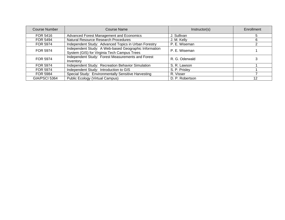| Course Number                                    | Course Name                                                                                          | Instructor(s)   | Enrollment |
|--------------------------------------------------|------------------------------------------------------------------------------------------------------|-----------------|------------|
| FOR 5416                                         | Advanced Forest Management and Economics                                                             | J. Sullivan     |            |
| FOR 5494                                         | Natural Resource Research Procedures                                                                 | J. M. Kelly     | 6          |
| <b>FOR 5974</b>                                  | Independent Study: Advanced Topics in Urban Forestry                                                 | P. E. Wiseman   |            |
| <b>FOR 5974</b>                                  | Independent Study: A Web-based Geographic Information<br>System (GIS) for Virginia Tech Campus Trees | P. E. Wiseman   |            |
| FOR 5974                                         | Independent Study: Forest Measurements and Forest<br>Inventory                                       | R. G. Oderwald  |            |
| <b>FOR 5974</b>                                  | Independent Study: Recreation Behavior Simulation                                                    | S. R. Lawson    |            |
| FOR 5974                                         | Independent Study: Introduction to GIS                                                               | S. P. Prisley   |            |
| FOR 5984                                         | Special Study: Environmentally Sensitive Harvesting                                                  | R. Visser       |            |
| Public Ecology (Virtual Campus)<br>GIA/PSCI 5364 |                                                                                                      | D. P. Robertson | 12         |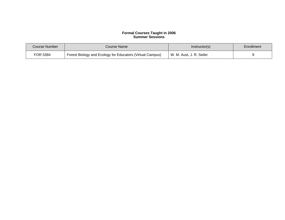#### **Formal Courses Taught in 2006 Summer Sessions**

| Course Number | Course Name                                               | Instructor(s)            | Enrollment |
|---------------|-----------------------------------------------------------|--------------------------|------------|
| FOR 5384      | Forest Biology and Ecology for Educators (Virtual Campus) | W. M. Aust, J. R. Seiler |            |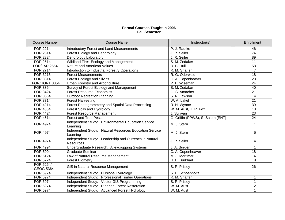#### **Formal Courses Taught in 2006 Fall Semester**

| <b>Course Number</b>   | <b>Course Name</b>                                                        | Instructor(s)                     | Enrollment      |
|------------------------|---------------------------------------------------------------------------|-----------------------------------|-----------------|
| <b>FOR 2214</b>        | <b>Introductory Forest and Land Measurements</b>                          | P. J. Radtke                      | 46              |
| FOR 2314               | <b>Forest Biology and Dendrology</b>                                      | J. R. Seiler                      | 74              |
| <b>FOR 2324</b>        | Dendrology Laboratory                                                     | J. R. Seiler                      | 89              |
| FOR 2514               | Wildland Fire: Ecology and Management                                     | S. M. Zedaker                     | 11              |
| <b>FOR/LAR 2554</b>    | Nature and American Values                                                | R. B. Hull                        | 58              |
| <b>FOR 2714</b>        | Introduction to Industrial Forestry Operations                            | R. M. Shaffer                     | $\overline{7}$  |
| FOR 3215               | <b>Forest Measurements</b>                                                | R. G. Oderwald                    | 18              |
| FOR 3314               | <b>Forest Ecology and Silvics</b>                                         | C. A. Copenheaver                 | $\overline{23}$ |
| FOR/HORT 3354          | Urban Forestry and Arboriculture                                          | P. E. Wiseman                     | 24              |
| <b>FOR 3364</b>        | Survey of Forest Ecology and Management                                   | S. M. Zedaker                     | 40              |
| FOR 3424               | <b>Forest Resource Economics</b>                                          | G. S. Amacher                     | 21              |
| <b>FOR 3564</b>        | Outdoor Recreation Planning                                               | S. R. Lawson                      | 14              |
| FOR 3714               | <b>Forest Harvesting</b>                                                  | W. A. Lakel                       | 21              |
| <b>FOR 4214</b>        | Forest Photogrammetry and Spatial Data Processing                         | R. H. Wynne                       | 39              |
| <b>FOR 4354</b>        | Forest Soils and Hydrology                                                | W. M. Aust, T. R. Fox             | $\overline{18}$ |
| <b>FOR 4424</b>        | <b>Forest Resource Management</b>                                         | J. Sullivan                       | $\overline{23}$ |
| <b>FOR 4514</b>        | <b>Forest and Tree Pests</b>                                              | G. Griffin (PPWS), S. Salom (ENT) | 24              |
| <b>FOR 4974</b>        | Independent Study: Environmental Education Service<br>Learning            | M. J. Stern                       |                 |
| <b>FOR 4974</b>        | Independent Study: Natural Resources Education Service<br>Learning        | M. J. Stern                       | 5               |
| <b>FOR 4974</b>        | Independent Study: Leadership and Outreach in Natural<br><b>Resources</b> | J. R. Seiler                      | 4               |
| <b>FOR 4994</b>        | Undergraduate Research: Alleycropping Systems                             | J. A. Burger                      | 1               |
| <b>FOR 5004</b>        | <b>Graduate Seminar</b>                                                   | C. A. Copenheaver                 | 18              |
| <b>FOR 5124</b>        | Law of Natural Resource Management                                        | M. J. Mortimer                    | 4               |
| <b>FOR 5224</b>        | <b>Forest Biometry</b>                                                    | H. E. Burkhart                    | 8               |
| FOR 5264/<br>GEOG 5364 | GIS in Natural Resource Management                                        | S. P. Prisley                     | 26              |
| <b>FOR 5974</b>        | Independent Study: Hillslope Hydrology                                    | S. H. Schoenholtz                 |                 |
| <b>FOR 5974</b>        | Independent Study: Professional Timber Operations                         | R. M. Shaffer                     |                 |
| <b>FOR 5974</b>        | Independent Study: Vector GIS Programming                                 | S. P. Prisley                     | $\mathbf 1$     |
| <b>FOR 5974</b>        | Independent Study: Riparian Forest Restoration                            | W. M. Aust                        | $\overline{2}$  |
| <b>FOR 5974</b>        | Independent Study: Advanced Forest Hydrology                              | W. M. Aust                        |                 |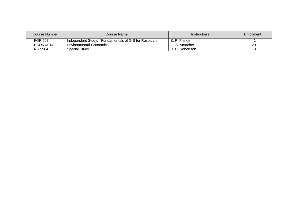| Course Number    | Course Name                                            | Instructor(s)   | Enrollment |
|------------------|--------------------------------------------------------|-----------------|------------|
| FOR 5974         | Fundamentals of GIS for Research<br>Independent Studv: | S. P. Prislev   |            |
| <b>ECON 4014</b> | <b>Environmental Economics</b>                         | G. S. Amacher   | 120        |
| NR 5984          | Special Study                                          | D. P. Robertson |            |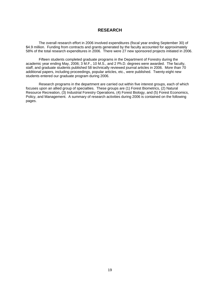#### **RESEARCH**

 The overall research effort in 2006 involved expenditures (fiscal year ending September 30) of \$4.9 million. Funding from contracts and grants generated by the faculty accounted for approximately 58% of the total research expenditures in 2006. There were 27 new sponsored projects initiated in 2006.

 Fifteen students completed graduate programs in the Department of Forestry during the academic year ending May, 2006; 3 M.F., 10 M.S., and 2 Ph.D. degrees were awarded. The faculty, staff, and graduate students published 58 technically reviewed journal articles in 2006. More than 70 additional papers, including proceedings, popular articles, etc., were published. Twenty-eight new students entered our graduate program during 2006.

 Research programs in the department are carried out within five interest groups, each of which focuses upon an allied group of specialties. These groups are (1) Forest Biometrics, (2) Natural Resource Recreation, (3) Industrial Forestry Operations, (4) Forest Biology, and (5) Forest Economics, Policy, and Management. A summary of research activities during 2006 is contained on the following pages.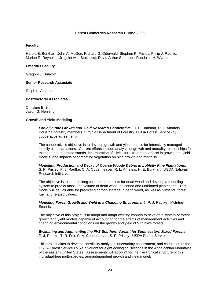#### **Forest Biometrics Research During 2006**

#### **Faculty**

Harold E. Burkhart, John A. McGee, Richard G. Oderwald, Stephen P. Prisley, Philip J. Radtke, Marion R. Reynolds, Jr. (joint with Statistics), David Arthur Sampson, Randolph H. Wynne

#### **Emeritus Faculty**

Gregory J. Buhyoff

#### **Senior Research Associate**

Ralph L. Amateis

#### **Postdoctoral Associates**

Christine E. Blinn Jason G. Henning

#### **Growth and Yield Modeling**

 *Loblolly Pine Growth and Yield Research Cooperative.* H. E. Burkhart, R. L. Amateis. Industrial forestry members, Virginia Department of Forestry, USDA Forest Service (by cooperative agreement).

 The cooperative's objective is to develop growth and yield models for intensively managed loblolly pine plantations. Current efforts include analysis of growth and mortality relationships for thinned and unthinned stands, incorporation of silvicultural treatment effects in growth and yield models, and impacts of competing vegetation on pine growth and mortality.

*Modelling Production and Decay of Coarse Woody Debris in Loblolly Pine Plantations.* S. P. Prisley, P. J. Radtke, C. A. Copenheaver, R. L. Amateis, H. E. Burkhart. USDA National Research Initiative.

The objective is to sample long-term research plots for dead wood and develop a modeling system to predict mass and volume of dead wood in thinned and unthinned plantations. This model will be valuable for predicting carbon storage in dead wood, as well as nutrients, forest fuel, and related values.

#### *Modeling Forest Growth and Yield in a Changing Environment.* P. J. Radtke. McIntire-Stennis.

The objective of this project is to adopt and adapt existing models to develop a system of forest growth and yield models capable of accounting for the effects of management activities and changing environmental conditions on the growth and yield of Virginia's forests.

#### *Evaluating and Augmenting the FVS Southern Variant for Southeastern Mixed Forests.* P. J. Radtke, T. R. Fox, C. A. Copenheaver, S. P. Prisley. USDA Forest Service.

This project aims to develop sensitivity analyses, uncertainty assessment, and calibration of the USDA Forest Service FVS-Sn variant for eight ecological sections in the Appalachian Mountains of the eastern United States. Assessments will account for the hierarchical structure of this individual-tree multi-species, age-independent growth and yield model.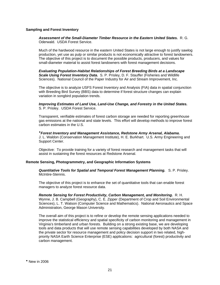#### **Sampling and Forest Inventory**

*Assessment of the Small-Diameter Timber Resource in the Eastern United States.* R. G. Oderwald. USDA Forest Service.

 Much of the hardwood resource in the eastern United States is not large enough to justify sawlog production, yet use as pulp or similar products is not economically attractive to forest landowners. The objective of this project is to document the possible products, producers, and values for small-diameter material to assist forest landowners with forest management decisions.

*Evaluating Population-Habitat Relationships of Forest Breeding Birds at a Landscape Scale Using Forest Inventory Data.* S. P. Prisley, D. F. Stauffer (Fisheries and Wildlife Sciences). National Council of the Paper Industry for Air and Stream Improvement, Inc.

The objective is to analyze USFS Forest Inventory and Analysis (FIA) data in spatial conjunction with Breeding Bird Survey (BBS) data to determine if forest structure changes can explain variation in songbird population trends.

*Improving Estimates of Land Use, Land-Use Change, and Forestry in the United States.* S. P. Prisley. USDA Forest Service.

Transparent, verifiable estimates of forest carbon storage are needed for reporting greenhouse gas emissions at the national and state levels. This effort will develop methods to improve forest carbon estimates in the U.S.

*Forest Inventory and Management Assistance, Redstone Army Arsenal, Alabama.* J. L. Waldon (Conservation Management Institute), H. E. Burkhart. U.S. Army Engineering and Support Center.

Objective: To provide training for a variety of forest research and management tasks that will assist in sustaining the forest resources at Redstone Arsenal.

#### **Remote Sensing, Photogrammetry, and Geographic Information Systems**

*Quantitative Tools for Spatial and Temporal Forest Management Planning.* S. P. Prisley. McIntire-Stennis.

The objective of this project is to enhance the set of quantitative tools that can enable forest managers to analyze forest resource data.

*Remote Sensing for Forest Productivity, Carbon Management, and Monitoring.* R. H. Wynne, J. B. Campbell (Geography), C. E. Zipper (Department of Crop and Soil Environmental Sciences), L. T. Watson (Computer Science and Mathematics). National Aeronautics and Space Administration, George Mason University.

<span id="page-25-0"></span>The overall aim of this project is to refine or develop the remote sensing applications needed to improve the statistical efficiency and spatial specificity of carbon monitoring and management in Virginia's timberland and urban forests. Building on a strong existing base, we are developing tools and data products that will use remote sensing capabilities developed by both NASA and the private sector for resource management and policy decision support in two related, highpriority NASA Earth Science Enterprise (ESE) applications: agricultural (forest) productivity and carbon management.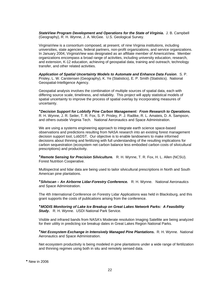*StateView Program Development and Operations for the State of Virginia.* J. B. Campbell (Geography), R. H. Wynne, J. A. McGee. U.S. Geological Survey.

VirginiaView is a consortium composed, at present, of nine Virginia institutions, including universities, state agencies, federal partners, non-profit organizations, and service organizations. In January 2004, VirginiaView was designated as an affiliate member of AmericaView. Member organizations encompass a broad range of activities, including university education, research, and extension, K-12 education, achieving of geospatial data, training and outreach, technology transfer, and other related activities.

*Application of Spatial Uncertainty Models to Automate and Enhance Data Fusion*. S. P. Prisley, L. W. Carstensen (Geography), K. Ye (Statistics), E. P. Smith (Statistics). National Geospatial-Intelligence Agency.

Geospatial analysis involves the combination of multiple sources of spatial data, each with differing source scale, timeliness, and reliability. This project will apply statistical models of spatial uncertainty to improve the process of spatial overlay by incorporating measures of uncertainty.

*Decision Support for Loblolly Pine Carbon Management: From Research to Operations.* R. H. Wynne, J. R. Seiler, T. R. Fox, S. P. Prisley, P. J. Radtke, R. L. Amateis, D. A. Sampson, and others outside Virginia Tech. National Aeronautics and Space Administration.

We are using a systems engineering approach to integrate earth science space-based observations and predictions resulting from NASA research into an existing forest management decision support tool, LobDST. Our objective is to enable landowners to make informed decisions about thinning and fertilizing with full understanding of the resulting implications for carbon sequestration (ecosystem net carbon balance less embodied carbon costs of silvicultural prescriptions) and productivity.

*Remote Sensing for Precision Silviculture.* R. H. Wynne, T. R. Fox, H. L. Allen (NCSU). Forest Nutrition Cooperative.

Multispectral and lidar data are being used to tailor silvicultural prescriptions in North and South American pine plantations.

*Silviscan – An Airborne Lidar-Forestry Conference.* R. H. Wynne. National Aeronautics and Space Administration.

The 4th International Conference on Forestry Lidar Applications was held in Blacksburg, and this grant supports the costs of publications arising from the conference.

*MODIS Monitoring of Lake Ice Breakup on Great Lakes Network Parks: A Feasibility Study.* R. H. Wynne. USDI National Park Service.

Visible and infrared bands from NASA's Moderate resolution Imaging Satellite are being analyzed for their utility in predicting ice breakup dates in Great Lakes Region National Parks.

*Net Ecosystem Exchange in Intensively Managed Pine Plantations.* R. H. Wynne. National Aeronautics and Space Administration.

<span id="page-26-0"></span>Net ecosystem productivity is being modeled in pine plantations under a wide range of fertilization and thinning regimes using both in situ and remotely sensed data.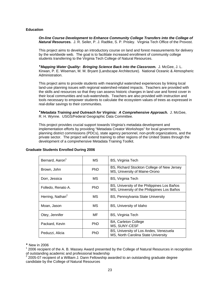#### **Education**

*On-line Course Development to Enhance Community College Transfers into the College of Natural Resources.* J. R. Seiler, P. J. Radtke, S. P. Prisley. Virginia Tech Office of the Provost.

This project aims to develop an introductory course on land and forest measurements for delivery by the worldwide web. The goal is to facilitate increased enrollment of community college students transferring to the Virginia Tech College of Natural Resources.

*Mapping Water Quality: Bringing Science Back into the Classroom.* J. McGee, J. L. Kirwan, P. E. Wiseman, M. M. Bryant (Landscape Architecture). National Oceanic & Atmospheric Administration.

This project aims to provide students with meaningful watershed experiences by linking local land-use planning issues with regional watershed-related impacts. Teachers are provided with the skills and resources so that they can assess historic changes in land use and forest cover in their local communities and sub-watersheds. Teachers are also provided with instruction and tools necessary to empower students to calculate the ecosystem values of trees as expressed in real-dollar savings to their communities.

*Metadata Training and Outreach for Virginia: A Comprehensive Approach.* J. McGee, R. H. Wynne. USGS/Federal Geographic Data Committee.

This project provides crucial support towards Virginia's metadata development and implementation efforts by providing "Metadata Creator Workshops" for local governments, planning district commissions (PDCs), state agency personnel, non-profit organizations, and the private sector. The project will extend training to other regions of the United States through the development of a comprehensive Metadata Training Toolkit.

| Bernard, Aaron <sup>1</sup>  | MS. | BS, Virginia Tech                                                                          |
|------------------------------|-----|--------------------------------------------------------------------------------------------|
| Brown, John                  | PhD | BS, Richard Stockton College of New Jersey<br>MS, University of Maine-Orono                |
| Dorr, Jessica                | МS  | <b>BS, Virginia Tech</b>                                                                   |
| Folledo, Renato A.           | PhD | BS, University of the Philippines Los Baños<br>MS, University of the Philippines Los Baños |
| Herring, Nathan <sup>2</sup> | MS. | BS, Pennsylvania State University                                                          |
| Moan, Jason                  | МS  | BS, University of Idaho                                                                    |
| Otey, Jennifer               | MF  | BS, Virginia Tech                                                                          |
| Packard, Kevin               | PhD | <b>BA, Carleton College</b><br>MS, SUNY-CESF                                               |
| Peduzzi, Alicia              | PhD | BS, University of Los Andes, Venezuela<br>MS, North Carolina State University              |

#### **Graduate Students Enrolled During 2006**

<span id="page-27-0"></span>New in 2006

<span id="page-27-1"></span> $1$  2006 recipient of the A. B. Massey Award presented by the College of Natural Resources in recognition of outstanding academic and professional leadership

<span id="page-27-2"></span><sup>2</sup> 2005-07 recipient of a William J. Dann Fellowship awarded to an outstanding graduate degree candidate by the College of Natural Resources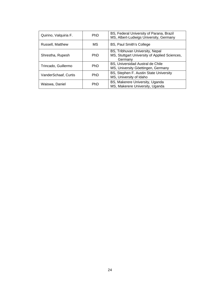| Quirino, Valquiria F. | PhD.       | BS, Federal University of Parana, Brazil<br>MS, Albert-Ludwigs University, Germany          |
|-----------------------|------------|---------------------------------------------------------------------------------------------|
| Russell, Matthew      | МS         | <b>BS, Paul Smith's College</b>                                                             |
| Shrestha, Rupesh      | PhD.       | BS, Tribhuvan University, Nepal<br>MS, Stuttgart University of Applied Sciences,<br>Germany |
| Trincado, Guillermo   | <b>PhD</b> | BS, Universidad Austral de Chile<br>MS, University Göettingen, Germany                      |
| VanderSchaaf, Curtis  | <b>PhD</b> | BS, Stephen F. Austin State University<br>MS, University of Idaho                           |
| Waiswa, Daniel        | <b>PhD</b> | BS, Makerere University, Uganda<br>MS, Makerere University, Uganda                          |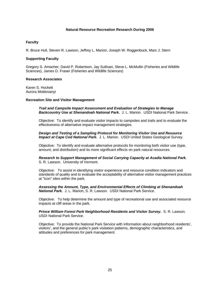#### **Natural Resource Recreation Research During 2006**

#### **Faculty**

R. Bruce Hull, Steven R. Lawson, Jeffrey L. Marion, Joseph W. Roggenbuck, Marc J. Stern

#### **Supporting Faculty**

Gregory S. Amacher, David P. Robertson, Jay Sullivan, Steve L. McMullin (Fisheries and Wildlife Sciences), James D. Fraser (Fisheries and Wildlife Sciences)

#### **Research Associates**

Karen S. Hockett Aurora Moldovanyi

#### **Recreation Site and Visitor Management**

 *Trail and Campsite Impact Assessment and Evaluation of Strategies to Manage Backcountry Use at Shenandoah National Park.* J. L. Marion. USDI National Park Service.

 Objective: To identify and evaluate visitor impacts to campsites and trails and to evaluate the effectiveness of alternative impact management strategies.

#### *Design and Testing of a Sampling Protocol for Monitoring Visitor Use and Resource Impact at Cape Cod National Park.* J. L. Marion. USDI United States Geological Survey.

 Objective: To identify and evaluate alternative protocols for monitoring both visitor use (type, amount, and distribution) and its more significant effects on park natural resources.

*Research to Support Management of Social Carrying Capacity at Acadia National Park.* S. R. Lawson. University of Vermont.

Objective: To assist in identifying visitor experience and resource condition indicators and standards of quality and to evaluate the acceptability of alternative visitor management practices at "icon" sites within the park.

*Assessing the Amount, Type, and Environmental Effects of Climbing at Shenandoah National Park.* J. L. Marion, S. R. Lawson. USDI National Park Service.

Objective: To help determine the amount and type of recreational use and associated resource impacts at cliff areas in the park.

*Prince William Forest Park Neighborhood Residents and Visitor Survey.* S. R. Lawson. USDI National Park Service.

Objective: To provide the National Park Service with information about neighborhood residents', visitors', and the general public's park visitation patterns, demographic characteristics, and attitudes and preferences for park management.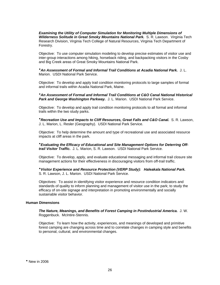*Examining the Utility of Computer Simulation for Monitoring Multiple Dimensions of Wilderness Solitude in Great Smoky Mountains National Park.* S. R. Lawson. Virginia Tech Research Division, Virginia Tech College of Natural Resources, Virginia Tech Department of Forestry.

Objective: To use computer simulation modeling to develop precise estimates of visitor use and inter-group interactions among hiking, horseback riding, and backpacking visitors in the Cosby and Big Creek areas of Great Smoky Mountains National Park.

*An Assessment of Formal and Informal Trail Conditions at Acadia National Park.* J. L. Marion. USDI National Park Service.

Objective: To develop and apply trail condition monitoring protocols to large samples of formal and informal trails within Acadia National Park, Maine.

*An Assessment of Formal and Informal Trail Conditions at C&O Canal National Historical*  Park and George Washington Parkway. J. L. Marion. USDI National Park Service.

Objective: To develop and apply trail condition monitoring protocols to all formal and informal trails within the two study parks.

*Recreation Use and Impacts to Cliff Resources, Great Falls and C&O Canal.* S. R. Lawson, J. L. Marion, L. Resler (Geography). USDI National Park Service.

Objective: To help determine the amount and type of recreational use and associated resource impacts at cliff areas in the park.

*Evaluating the Efficacy of Educational and Site Management Options for Deterring Offtrail Visitor Traffic.* J. L. Marion, S. R. Lawson. USDI National Park Service.

Objective: To develop, apply, and evaluate educational messaging and informal trail closure site management actions for their effectiveness in discouraging visitors from off-trail traffic.

*Visitor Experience and Resource Protection (VERP Study): Haleakala National Park.* S. R. Lawson, J. L. Marion. USDI National Park Service.

Objectives: To assist in identifying visitor experience and resource condition indicators and standards of quality to inform planning and management of visitor use in the park; to study the efficacy of on-site signage and interpretation in promoting environmentally and socially sustainable visitor behavior.

#### **Human Dimensions**

*The Nature, Meanings, and Benefits of Forest Camping in Postindustrial America.* J. W. Roggenbuck. McIntire-Stennis.

<span id="page-30-0"></span>Objective: To learn how the activity, experiences, and meanings of developed and primitive forest camping are changing across time and to correlate changes in camping style and benefits to personal, cultural, and environmental changes.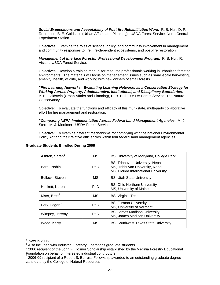*Social Expectations and Acceptability of Post-fire Rehabilitation Work.* R. B. Hull, D. P. Robertson, B. E. Goldstein (Urban Affairs and Planning). USDA Forest Service, North Central Experiment Station.

Objectives: Examine the roles of science, policy, and community involvement in management and community responses to fire, fire-dependent ecosystems, and post-fire restoration.

*Management of Interface Forests: Professional Development Program.* R. B. Hull, R. Visser. USDA Forest Service.

Objectives: Develop a training manual for resource professionals working in urbanized forested environments. The materials will focus on management issues such as small-scale harvesting, amenity, health, wildlife, and working with new owners of small forests.

*Fire Learning Networks: Evaluating Learning Networks as a Conservation Strategy for Working Across Property, Administrative, Institutional, and Disciplinary Boundaries.* B. E. Goldstein (Urban Affairs and Planning), R. B. Hull. USDA Forest Service, The Nature Conservancy.

Objective: To evaluate the functions and efficacy of this multi-state, multi-party collaborative effort for fire management and restoration.

*Comparing NEPA Implementation Across Federal Land Management Agencies.*M. J. Stern, M. J. Mortimer. USDA Forest Service.

Objective: To examine different mechanisms for complying with the national Environmental Policy Act and their relative efficiencies within four federal land management agencies.

| Ashton, Sarah <sup>1</sup> | МS         | BS, University of Maryland, College Park                                                                   |
|----------------------------|------------|------------------------------------------------------------------------------------------------------------|
| Baral, Nabin               | <b>PhD</b> | BS, Tribhuvan University, Nepal<br>MS, Tribhuvan University, Nepal<br>MS, Florida International University |
| Bullock, Steven            | MS.        | <b>BS, Utah State University</b>                                                                           |
| Hockett, Karen             | <b>PhD</b> | <b>BS, Ohio Northern University</b><br>MS, University of Maine                                             |
| Kiser, Brett <sup>2</sup>  | МS         | <b>BS, Virginia Tech</b>                                                                                   |
| Park, Logan <sup>3</sup>   | <b>PhD</b> | <b>BS, Furman University</b><br>MS, University of Vermont                                                  |
| Wimpey, Jeremy             | <b>PhD</b> | <b>BS, James Madison University</b><br>MS, James Madison University                                        |
| Wood, Kerry                | МS         | <b>BS, Southwest Texas State University</b>                                                                |

#### **Graduate Students Enrolled During 2006**

<span id="page-31-0"></span>New in 2006

<span id="page-31-1"></span><sup>&</sup>lt;sup>1</sup> Also included with Industrial Forestry Operations graduate students<br><sup>2</sup> 2006 registent of the Jahn E. Heaper Scholarship established by the

<span id="page-31-2"></span><sup>&</sup>lt;sup>2</sup> 2006 recipient of the John F. Hosner Scholarship established by the Virginia Forestry Educational Foundation on behalf of interested industrial contributors

<span id="page-31-3"></span><sup>3</sup> 2006-09 recipient of a Robert S. Burruss Fellowship awarded to an outstanding graduate degree candidate by the College of Natural Resources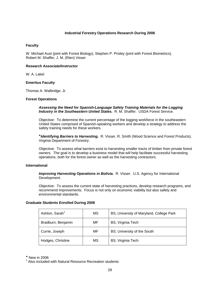#### **Industrial Forestry Operations Research During 2006**

#### **Faculty**

W. Michael Aust (joint with Forest Biology), Stephen P. Prisley (joint with Forest Biometrics), Robert M. Shaffer, J. M. (Rien) Visser

#### **Research Associate/Instructor**

W. A. Lakel

#### **Emeritus Faculty**

Thomas A. Walbridge, Jr.

#### **Forest Operations**

*Assessing the Need for Spanish-Language Safety Training Materials for the Logging Industry in the Southeastern United States.* R. M. Shaffer. USDA Forest Service.

Objective: To determine the current percentage of the logging workforce in the southeastern United States comprised of Spanish-speaking workers and develop a strategy to address the safety training needs for these workers.

*Identifying Barriers to Harvesting.* R. Visser, R. Smith (Wood Science and Forest Products). Virginia Department of Forestry.

Objective: To assess what barriers exist to harvesting smaller tracts of timber from private forest owners. The goal is to develop a business model that will help facilitate successful harvesting operations, both for the forest owner as well as the harvesting contractors.

#### **International**

*Improving Harvesting Operations in Bolivia.* R. Visser. U.S. Agency for International Development.

Objective: To assess the current state of harvesting practices, develop research programs, and recommend improvements. Focus is not only on economic viability but also safety and environmental standards.

#### **Graduate Students Enrolled During 2006**

| Ashton, Sarah <sup>1</sup> | MS | BS, University of Maryland, College Park |
|----------------------------|----|------------------------------------------|
| Bradburn, Benjamin         | MF | BS, Virginia Tech                        |
| Currie, Joseph             | MF | BS, University of the South              |
| Hodges, Christine          | MS | BS, Virginia Tech                        |

<span id="page-32-0"></span>\* New in 2006

<span id="page-32-1"></span><sup>1</sup> Also included with Natural Resource Recreation students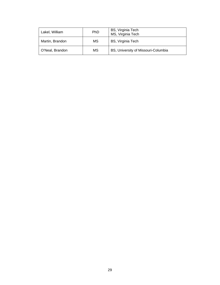| Lakel, William  | <b>PhD</b> | BS, Virginia Tech<br>MS, Virginia Tech |
|-----------------|------------|----------------------------------------|
| Martin, Brandon | MS         | BS, Virginia Tech                      |
| O'Neal, Brandon | MS         | BS, University of Missouri-Columbia    |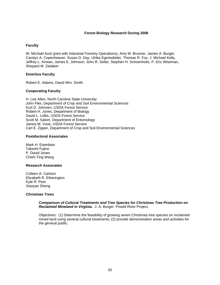#### **Forest Biology Research During 2006**

#### **Faculty**

W. Michael Aust (joint with Industrial Forestry Operations), Amy M. Brunner, James A. Burger, Carolyn A. Copenheaver, Susan D. Day, Ulrika Egertsdotter, Thomas R. Fox, J. Michael Kelly, Jeffrey L. Kirwan, James E. Johnson, John R. Seiler, Stephen H. Schoenholtz, P. Eric Wiseman, Shepard M. Zedaker

#### **Emeritus Faculty**

Robert E. Adams, David Wm. Smith

#### **Cooperating Faculty**

H. Lee Allen, North Carolina State University John Fike, Department of Crop and Soil Environmental Sciences Kurt D. Johnsen, USDA Forest Service Robert H. Jones, Department of Biology David L. Loftis, USDA Forest Service Scott M. Salom, Department of Entomology James M. Vose, USDA Forest Service Carl E. Zipper, Department of Crop and Soil Environmental Sciences

#### **Postdoctoral Associates**

Mark H. Eisenbies Takeshi Fujino P. David Jones Chieh-Ting Wang

#### **Research Associates**

Colleen A. Carlson Elizabeth R. Etherington Kyle R. Peer Xiaoyan Sheng

#### **Christmas Trees**

#### *Comparison of Cultural Treatments and Tree Species for Christmas Tree Production on Reclaimed Mineland in Virginia.* J. A. Burger. Powell River Project.

 Objectives: (1) Determine the feasibility of growing seven Christmas tree species on reclaimed mined land using several cultural treatments; (2) provide demonstration areas and activities for the general public.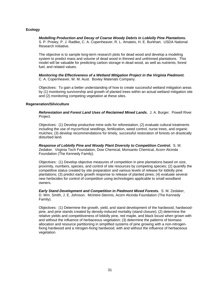#### **Ecology**

#### *Modelling Production and Decay of Coarse Woody Debris in Loblolly Pine Plantations.*

S. P. Prisley, P. J. Radtke, C. A. Copenheaver, R. L. Amateis, H. E. Burkhart. USDA National Research Initiative.

The objective is to sample long-term research plots for dead wood and develop a modeling system to predict mass and volume of dead wood in thinned and unthinned plantations. This model will be valuable for predicting carbon storage in dead wood, as well as nutrients, forest fuel, and related values.

*Monitoring the Effectiveness of a Wetland Mitigation Project in the Virginia Piedmont.* C. A. Copenheaver, W. M. Aust. Boxley Materials Company.

Objectives: To gain a better understanding of how to create successful wetland mitigation areas by (1) monitoring survivorship and growth of planted trees within an actual wetland mitigation site and (2) monitoring competing vegetation at these sites.

#### **Regeneration/Silviculture**

 *Reforestation and Forest Land Uses of Reclaimed Mined Lands.* J. A. Burger. Powell River Project.

 Objectives: (1) Develop productive mine soils for reforestation; (2) evaluate cultural treatments including the use of mycorrhizal seedlings, fertilization, weed control, nurse trees, and organic mulches; (3) develop recommendations for timely, successful restoration of forests on drastically disturbed land.

 *Response of Loblolly Pine and Woody Plant Diversity to Competition Control.* S. M. Zedaker. Virginia Tech Foundation, Dow Chemical, Monsanto Chemical, Acorn Alcinda Foundation (The Kennedy Family).

 Objectives: (1) Develop objective measures of competition in pine plantations based on size, proximity, numbers, species, and control of site resources by competing species; (2) quantify the competitive status created by site preparation and various levels of release for loblolly pine plantations; (3) predict early growth response to release of planted pines; (4) evaluate several new herbicides for control of competition using technologies applicable to small woodland owners.

 *Early Stand Development and Competition in Piedmont Mixed Forests.* S. M. Zedaker, D. Wm. Smith, J. E. Johnson. McIntire-Stennis, Acorn Alcinda Foundation (The Kennedy Family).

 Objectives: (1) Determine the growth, yield, and stand development of the hardwood, hardwoodpine, and pine stands created by density-induced mortality (stand closure); (2) determine the relative yields and competitiveness of loblolly pine, red maple, and black locust when grown with and without the influence of herbaceous vegetation; (3) determine the patterns of biomass allocation and resource partitioning in simplified systems of pine growing with a non-nitrogenfixing hardwood and a nitrogen-fixing hardwood, with and without the influence of herbaceous vegetation.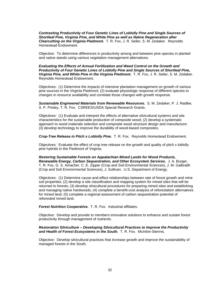## *Contrasting Productivity of Four Genetic Lines of Loblolly Pine and Single Sources of Shortleaf Pine, Virginia Pine, and White Pine as well as Native Regeneration after Clearcutting on the Virginia Piedmont.* T. R. Fox, J. R. Seiler, S. M. Zedaker. Reynolds Homestead Endowment.

 Objective: To determine differences in productivity among and between pine species in planted and native stands using various vegetation management alternatives.

#### *Evaluating the Effects of Annual Fertilization and Weed Control on the Growth and Productivity of Four Genetic Lines of Loblolly Pine and Single Sources of Shortleaf Pine, Virginia Pine, and White Pine in the Virginia Piedmont.* T. R. Fox, J. R. Seiler, S. M. Zedaker. Reynolds Homestead Endowment.

 Objectives: (1) Determine the impacts of intensive plantation management on growth of various pine sources in the Virginia Piedmont; (2) evaluate physiologic response of different species to changes in resource availability and correlate those changes with growth response.

*Sustainable Engineered Materials from Renewable Resources.* S. M. Zedaker, P. J. Radtke, S. P. Prisley, T. R. Fox. CSREES/USDA Special Research Grants.

Objectives: (1) Evaluate and interpret the effects of alternative silvicultural systems and site characteristics for the sustainable production of composite wood; (2) develop a systematic approach to wood materials selection and composite wood structure design and manufacture; (3) develop technology to improve the durability of wood-based composites.

*Crop-Tree Release in Pitch x Loblolly Pine.* T. R. Fox. Reynolds Homestead Endowment.

Objectives: Evaluate the effect of crop tree release on the growth and quality of pitch x loblolly pine hybrids in the Piedmont of Virginia.

*Restoring Sustainable Forests on Appalachian Mined Lands for Wood Products, Renewable Energy, Carbon Sequestration, and Other Ecosystem Services.* J. A. Burger, T. R. Fox, G. S. Amacher, C. E. Zipper (Crop and Soil Environmental Sciences), J. M. Galbraith (Crop and Soil Environmental Sciences), J. Sullivan. U.S. Department of Energy.

Objectives: (1) Determine cause-and-effect relationships between rate of forest growth and mine soil properties; (2) develop a site classification and mapping system for mined sites that will be returned to forests; (3) develop silvicultural procedures for preparing mined sites and establishing and managing native hardwoods; (4) complete a benefit-cost analysis of reforestation alternatives for mined land; (5) complete a regional assessment of carbon sequestration potential of reforested mined land.

*Forest Nutrition Cooperative.* T. R. Fox. Industrial affiliates.

Objective: Develop and provide to members innovative solutions to enhance and sustain forest productivity through management of nutrients.

## *Restoration Silviculture – Developing Silvicultural Practices to Improve the Productivity and Health of Forest Ecosystems in the South.* T. R. Fox. McIntire-Stennis.

Objective: Develop silvicultural practices that increase growth and improve the sustainability of managed forests in the South.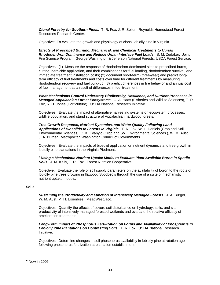*Clonal Forestry for Southern Pines.* T. R. Fox, J. R. Seiler. Reynolds Homestead Forest Resources Research Center.

Objective: To evaluate the growth and physiology of clonal loblolly pine in Virginia.

*Effects of Prescribed Burning, Mechanical, and Chemical Treatments to Curtail Rhododendron Dominance and Reduce Urban Interface Fuel Loads.* S. M. Zedaker. Joint Fire Science Program, George Washington & Jefferson National Forests. USDA Forest Service.

Objectives: (1) Measure the response of rhododendron-dominated sites to prescribed burns, cutting, herbicide application, and their combinations for fuel loading, rhododendron survival, and immediate treatment installation costs; (2) document short-term (three-year) and predict longterm efficacy of fuel treatments and costs over time for different treatments by measuring rhododendron recovery and fuel build-up; (3) predict differences in fire behavior and annual cost of fuel management as a result of differences in fuel treatment.

*What Mechanisms Control Understory Biodiversity, Resilience, and Nutrient Processes in Managed Appalachian Forest Ecosystems.* C. A. Haas (Fisheries and Wildlife Sciences), T. R. Fox, R. H. Jones (Horticulture). USDA National Research Initiative.

Objectives: Evaluate the impact of alternative harvesting systems on ecosystem processes, wildlife population, and stand structure of Appalachian hardwood forests.

*Tree Growth Response, Nutrient Dynamics, and Water Quality Following Land Applications of Biosolids to Forests in Virginia.* T. R. Fox, W. L. Daniels (Crop and Soil Environmental Sciences), G. K. Evanylo (Crop and Soil Environmental Sciences ), W. M. Aust, J. A. Burger. Metropolitan Washington Council of Governments.

Objectives: Evaluate the impacts of biosolid application on nutrient dynamics and tree growth in loblolly pine plantations in the Virginia Piedmont.

*Using a Mechanistic Nutrient Uptake Model to Evaluate Plant Available Boron in Spodic Soils.* J. M. Kelly, T. R. Fox. Forest Nutrition Cooperative.

Objective: Evaluate the role of soil supply parameters on the availability of boron to the roots of loblolly pine trees growing in flatwood Spodosols through the use of a suite of mechanistic nutrient uptake models.

#### **Soils**

 *Sustaining the Productivity and Function of Intensively Managed Forests*. J. A. Burger, W. M. Aust, M. H. Eisenbies. MeadWestvaco.

 Objectives: Quantify the effects of severe soil disturbance on hydrology, soils, and site productivity of intensively managed forested wetlands and evaluate the relative efficacy of amelioration treatments.

 *Long-Term Impact of Phosphorus Fertilization on Forms and Availability of Phosphorus in Loblolly Pine Plantations on Contrasting Soils.* T. R. Fox. USDA National Research Initiative.

<span id="page-37-0"></span>Objectives: Determine changes in soil phosphorus availability in loblolly pine at rotation age following phosphorus fertilization at plantation establishment.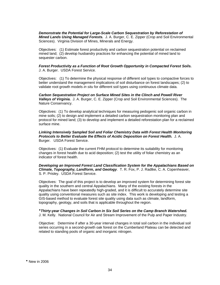*Demonstrate the Potential for Large-Scale Carbon Sequestration by Reforestation of Mined Lands Using Managed Forests.* J. A. Burger, C. E. Zipper (Crop and Soil Environmental Sciences). Virginia Division of Mines, Minerals and Energy.

Objectives: (1) Estimate forest productivity and carbon sequestration potential on reclaimed mined land; (2) develop husbandry practices for enhancing the potential of mined land to sequester carbon.

#### *Forest Productivity as a Function of Root Growth Opportunity in Compacted Forest Soils.* J. A. Burger. USDA Forest Service.

Objectives: (1) To determine the physical response of different soil types to compactive forces to better understand the management implications of soil disturbance on forest landscapes; (2) to validate root growth models *in situ* for different soil types using continuous climate data.

*Carbon Sequestration Project on Surface Mined Sites in the Clinch and Powell River Valleys of Virginia.* J. A. Burger, C. E. Zipper (Crop and Soil Environmental Sciences). The Nature Conservancy.

Objectives: (1) To develop analytical techniques for measuring pedogenic soil organic carbon in mine soils; (2) to design and implement a detailed carbon sequestration monitoring plan and protocol for mined land; (3) to develop and implement a detailed reforestation plan for a reclaimed surface mine.

*Linking Intensively Sampled Soil and Foliar Chemistry Data with Forest Health Monitoring Protocols to Better Evaluate the Effects of Acidic Deposition on Forest Health.* J. A. Burger. USDA Forest Service.

Objectives: (1) Evaluate the current FHM protocol to determine its suitability for monitoring changes in forest health due to acid deposition; (2) test the utility of foliar chemistry as an indicator of forest health.

#### *Developing an Improved Forest Land Classification System for the Appalachians Based on Climate, Topography, Landform, and Geology*. T. R. Fox, P. J. Radtke, C. A. Copenheaver, S. P. Prisley. USDA Forest Service.

Objectives: The goal of this project is to develop an improved system for determining forest site quality in the southern and central Appalachians. Many of the existing forests in the Appalachians have been repeatedly high-graded, and it is difficult to accurately determine site quality using conventional measures such as site index. This work is developing and testing a GIS-based method to evaluate forest site quality using data such as climate, landform, topography, geology, and soils that is applicable throughout the region.

*Thirty-year Changes in Soil Carbon in Six Soil Series on the Camp Branch Watershed.* J. M. Kelly. National Council for Air and Stream Improvement of the Pulp and Paper Industry.

Objective: Determine if after a 30-year interval changes in total soil carbon in the individual soil series occurring in a second-growth oak forest on the Cumberland Plateau can be detected and related to standing pools of organic and inorganic nitrogen.

<span id="page-38-0"></span>New in 2006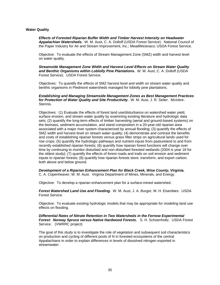## **Water Quality**

*Effects of Forested Riparian Buffer Width and Timber Harvest Intensity on Headwater Appalachian Watersheds.* W. M. Aust, C. A. Dolloff (USDA Forest Service). National Council of the Paper Industry for Air and Stream Improvement, Inc.; MeadWestvaco; USDA Forest Service.

 Objective: To evaluate the effects of Stream Management Zone (SMZ) width and harvest level on water quality.

*Streamside Management Zone Width and Harvest Level Effects on Stream Water Quality and Benthic Organisms within Loblolly Pine Plantations.* W. M. Aust, C. A. Dolloff (USDA Forest Service). USDA Forest Service.

Objectives: To quantify the effects of SMZ harvest level and width on stream water quality and benthic organisms in Piedmont watersheds managed for loblolly pine plantations.

#### *Establishing and Managing Streamside Management Zones as Best Management Practices for Protection of Water Quality and Site Productivity.* W. M. Aust, J. R. Seiler. McIntire-Stennis.

Objectives: (1) Evaluate the effects of forest land use/disturbance on watershed water yield, surface erosion, and stream water quality by examining existing literature and hydrologic data sets; (2) quantify the long-term effects of timber harvesting (aerial and ground-based systems) on the biomass, sediment accumulation, and stand composition in a 20-year-old riparian area associated with a major river system characterized by annual flooding; (3) quantify the effects of SMZ width and harvest level on stream water quality; (4) demonstrate and contrast the benefits and costs of establishing riparian forests versus grass filter strips on agricultural lands used for row crops; (5) quantify the hydrologic pathways and nutrient inputs from pastureland to and from recently established riparian forests; (6) quantify how riparian forest functions will change over time by continuing to monitor disturbed and non-disturbed forested wetlands (2004 is year 18 for the oldest study); (7) quantify the effects of forest roads and trails on soil erosion and sediment inputs to riparian forests; (8) quantify how riparian forests store, transform, and export carbon, both above and below ground.

*Development of a Riparian Enhancement Plan for Black Creek, Wise County, Virginia.* C. A. Copenheaver, W. M. Aust. Virginia Department of Mines, Minerals, and Energy.

Objective: To develop a riparian enhancement plan for a surface-mined watershed.

*Forest Watershed Land Use and Flooding.* W. M. Aust, J. A. Burger, M. H. Eisenbies. USDA Forest Service.

Objective: To evaluate existing hydrologic models that may be appropriate for modeling land use effects on flooding.

*Differential Rates of Nitrate Retention in Two Watersheds in the Fernow Experimental Forest: Norway Spruce versus Native Hardwood Forests.* S. H. Schoenholtz. USDA Forest Service. (VWRRC project)

The goal of this study is to investigate the role of vegetation and subsequent soil characteristics on production and cycling of different pools of N in forested ecosystems of the central Appalachians in order to explain differences in levels of dissolved nitrogen exported in streamwater.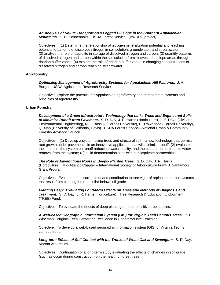*An Analysis of Solute Transport on a Logged Hillslope in the Southern Appalachian Mountains.* S. H. Schoenholtz. USDA Forest Service. (VWRRC project)

Objectives: (1) Determine the relationship of nitrogen mineralization potential and leaching potential to patterns of dissolved nitrogen in soil solution, groundwater, and streamwater; (2) analyze the role of saprolite in storage of dissolved nitrogen and carbon; (3) quantify patterns of dissolved nitrogen and carbon within the soil solution from harvested upslope areas through riparian buffer zones; (4) explore the role of riparian buffer zones in changing concentrations of dissolved nitrogen and carbon reaching streamwater.

#### **Agroforestry**

 *Optimizing Management of Agroforestry Systems for Appalachian Hill Pastures.* J. A. Burger. USDA Agricultural Research Service.

 Objective: Explore the potential for Appalachian agroforestry and demonstrate systems and principles of agroforestry.

#### **Urban Forestry**

*Development of a Green Infrastructure Technology that Links Trees and Engineered Soils to Minimize Runoff from Pavement.* S. D. Day, J. R. Harris (Horticulture), J. E. Dove (Civil and Environmental Engineering), N. L. Bassuk (Cornell University), P. Trowbridge (Cornell University), Q. Xiao (University of California, Davis). USDA Forest Service—National Urban & Community Forestry Advisory Council.

Objectives: (1) Develop a system using trees and structural soil—a new technology that permits root growth under pavement—in an innovative application that will minimize runoff; (2) evaluate the impact of the system on runoff reduction, water quality, and the contribution of trees to water removal from the system; (3) build demonstration sites with public/private partnerships.

*The Role of Adventitious Roots in Deeply Planted Trees.* S. D. Day, J. R. Harris (Horticulture). Mid-Atlantic Chapter – International Society of Arboriculture Frank J. Santamour Grant Program.

Objectives: Evaluate the occurrence of and contribution to tree vigor of replacement root systems that result from planting the root collar below soil grade.

*Planting Deep: Evaluating Long-term Effects on Trees and Methods of Diagnosis and Treatment.* S. D. Day, J. R. Harris (Horticulture). Tree Research & Education Endowment (TREE) Fund.

Objectives: To evaluate the effects of deep planting on food-sensitive tree species.

*A Web-based Geographic Information System (GIS) for Virginia Tech Campus Trees.* P. E. Wiseman. Virginia Tech Center for Excellence in Undergraduate Teaching.

Objective: To develop a web-based geographic information system (GIS) of Virginia Tech's campus trees.

*Long-term Effects of Soil Contact with the Trunks of White Oak and Sweetgum.* S. D. Day. Morton Arboretum.

Objectives: Continuation of a long-term study evaluating the effects of changes in soil grade (such as occur during construction) on the health of forest trees.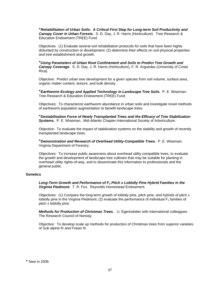*Rehabilitation of Urban Soils: A Critical First Step for Long-term Soil Productivity and Canopy Cover in Urban Forests.* S. D. Day, J. R. Harris (Horticulture). Tree Research & Education Endowment (TREE) Fund.

Objectives: (1) Evaluate several soil rehabilitation protocols for soils that have been highly disturbed by construction or development; (2) determine their effects on soil physical properties and tree establishment and growth.

*Using Parameters of Urban Root Confinement and Soils to Predict Tree Growth and Canopy Coverage*. S. D. Day, J. R. Harris (Horticulture), F. R. Arguedas (University of Costa Rica).

Objective: Predict urban tree development for a given species from soil volume, surface area, organic matter content, texture, and bulk density.

*Earthworm Ecology and Applied Technology in Landscape Tree Soils.* P. E. Wiseman. Tree Research & Education Endowment (TREE) Fund.

Objectives: To characterize earthworm abundance in urban soils and investigate novel methods of earthworm population augmentation to benefit landscape trees.

*Destabilization Force of Newly Transplanted Trees and the Efficacy of Tree Stabilization Systems.* P. E. Wiseman. Mid-Atlantic Chapter-International Society of Arboriculture.

Objective: To evaluate the impact of stabilization systems on the stability and growth of recently transplanted landscape trees.

*Demonstration and Research of Overhead Utility-Compatible Trees.* P .E. Wiseman. Virginia Department of Forestry.

Objectives: To increase public awareness about overhead utility compatible trees, to evaluate the growth and development of landscape tree cultivars that may be suitable for planting in overhead utility rights-of-way, and to disseminate this information to professionals and the general public.

## **Genetics**

Long-Term Growth and Performance of F<sub>2</sub> Pitch x Loblolly Pine Hybrid Families in the *Virginia Piedmont.* T. R. Fox. Reynolds Homestead Endowment.

Objectives: (1) Compare the long-term growth of loblolly pine, pitch pine, and hybrids of pitch x loblolly pine in the Virginia Piedmont; (2) evaluate the performance of individual  $F<sub>2</sub>$  families of pitch x loblolly pine.

*Methods for Production of Christmas Trees.* U. Egertsdotter with international colleagues. The Research Council of Norway.

<span id="page-41-0"></span>Objective: To develop scale up methods for production of Christmas trees from superior varieties of Sub alpine fir and Fraser fir.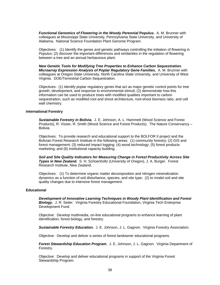**Functional Genomics of Flowering in the Woody Perennial Populus.** A. M. Brunner with colleagues at Mississippi State University, Pennsylvania State University, and University of Alabama. National Science Foundation Plant Genome Program.

Objectives: (1) Identify the genes and genetic pathways controlling the initiation of flowering in *Populus*; (2) discover the important differences and similarities in the regulation of flowering between a tree and an annual herbaceous plant.

*New Genetic Tools for Modifying Tree Properties to Enhance Carbon Sequestration. Microarray Expression Analysis of Poplar Regulatory Gene Families.* A. M. Brunner with colleagues at Oregon State University, North Carolina State University, and University of West Virginia. DOE/Terrestrial Carbon Sequestration.

Objectives: (1) Identify poplar regulatory genes that act as major genetic control points for tree growth, development, and response to environmental stimuli; (2) demonstrate how this information can be used to produce trees with modified qualities important to carbon sequestration, such as modified root and shoot architecture, root-shoot biomass ratio, and cell wall chemistry.

#### **International Forestry**

*Sustainable Forestry in Bolivia.* J. E. Johnson, A. L. Hammett (Wood Science and Forest Products), R. Visser, R. Smith (Wood Science and Forest Products). The Nature Conservancy – Bolivia.

Objectives: To provide research and educational support to the BOLFOR II project and the Bolivian Forest Research Institute in the following areas: (1) community forestry; (2) GIS and forest management; (3) reduced impact logging; (4) wood technology; (5) forest products marketing; and (6) institutional capacity building.

*Soil and Site Quality Indicators for Measuring Change in Forest Productivity Across Site Types in New Zealand.* S. H. Schoenholtz (University of Oregon), J. A. Burger. Forest Research Institute, New Zealand.

Objectives: (1) To determine organic matter decomposition and nitrogen mineralization dynamics as a function of soil disturbance, species, and site type; (2) to model soil and site quality changes due to intensive forest management.

#### **Educational**

*Development of Innovative Learning Techniques in Woody Plant Identification and Forest Biology.* J. R. Seiler. Virginia Forestry Educational Foundation, Virginia Tech Enterprise Development Fund.

 Objective: Develop multimedia, on-line educational programs to enhance learning of plant identification, forest biology, and forestry.

**Sustainable Forestry Education.** J. E. Johnson, J. L. Gagnon. Virginia Forestry Association.

Objective: Develop and deliver a series of forest landowner educational programs.

*Forest Stewardship Education Program.* J. E. Johnson, J. L. Gagnon. Virginia Department of Forestry.

 Objective: Develop and deliver educational programs in support of the Virginia Forest Stewardship Program.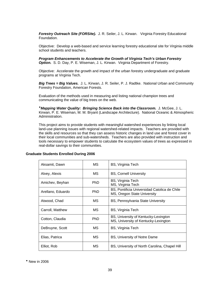*Forestry Outreach Site (FORSite).* J. R. Seiler, J. L. Kirwan. Virginia Forestry Educational Foundation.

 Objective: Develop a web-based and service learning forestry educational site for Virginia middle school students and teachers.

*Program Enhancements to Accelerate the Growth of Virginia Tech's Urban Forestry Option.* S. D. Day, P. E. Wiseman, J. L. Kirwan. Virginia Department of Forestry.

Objective: Accelerate the growth and impact of the urban forestry undergraduate and graduate programs at Virginia Tech.

*Big Trees = Big Values.* J. L. Kirwan, J. R. Seiler, P. J. Radtke. National Urban and Community Forestry Foundation, American Forests.

Evaluation of the methods used in measuring and listing national champion trees and communicating the value of big trees on the web.

*Mapping Water Quality: Bringing Science Back into the Classroom.* J. McGee, J. L. Kirwan, P. E. Wiseman, M. M. Bryant (Landscape Architecture). National Oceanic & Atmospheric Administration.

This project aims to provide students with meaningful watershed experiences by linking local land-use planning issues with regional watershed-related impacts. Teachers are provided with the skills and resources so that they can assess historic changes in land use and forest cover in their local communities and sub-watersheds. Teachers are also provided with instruction and tools necessary to empower students to calculate the ecosystem values of trees as expressed in real-dollar savings to their communities.

| Aksamit, Dawn     | МS         | <b>BS, Virginia Tech</b>                                                     |  |  |
|-------------------|------------|------------------------------------------------------------------------------|--|--|
| Alvey, Alexis     | <b>MS</b>  | <b>BS, Cornell University</b>                                                |  |  |
| Amichev, Beyhan   | <b>PhD</b> | BS, Virginia Tech<br>MS, Virginia Tech                                       |  |  |
| Arellano, Eduardo | PhD        | BS, Pontificia Universidad Catolica de Chile<br>MS, Oregon State University  |  |  |
| Atwood, Chad      | МS         | BS, Pennsylvania State University                                            |  |  |
| Carroll, Matthew  | МS         | BS, Virginia Tech                                                            |  |  |
| Cotton, Claudia   | PhD        | BS, University of Kentucky-Lexington<br>MS, University of Kentucky-Lexington |  |  |
| DeBruyne, Scott   | МS         | <b>BS, Virginia Tech</b>                                                     |  |  |
| Elias, Patrica    | MS         | BS, University of Notre Dame                                                 |  |  |
| Elliot, Rob       | МS         | BS, University of North Carolina, Chapel Hill                                |  |  |

## **Graduate Students Enrolled During 2006**

<span id="page-43-0"></span>New in 2006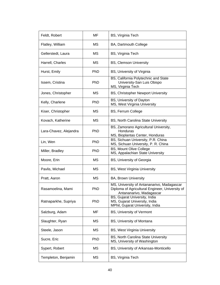| Feldt, Robert          | MF         | BS, Virginia Tech                                                                                                         |
|------------------------|------------|---------------------------------------------------------------------------------------------------------------------------|
| Flatley, William       | МS         | BA, Dartmouth College                                                                                                     |
| Gellerstedt, Laura     | МS         | BS, Virginia Tech                                                                                                         |
| Harrell, Charles       | МS         | <b>BS, Clemson University</b>                                                                                             |
| Hurst, Emily           | <b>PhD</b> | BS, University of Virginia                                                                                                |
| Issem, Cristina        | PhD        | BS, California Polytechnic and State<br>University-San Luis Obispo<br>MS, Virginia Tech                                   |
| Jones, Christopher     | МS         | BS, Christopher Newport University                                                                                        |
| Kelly, Charlene        | <b>PhD</b> | BS, University of Dayton<br>MS, West Virginia University                                                                  |
| Kiser, Christopher     | МS         | <b>BS, Ferrum College</b>                                                                                                 |
| Kovach, Katherine      | МS         | BS, North Carolina State University                                                                                       |
| Lara-Chavez, Alejandra | <b>PhD</b> | BS, Zamorano Agricultural University,<br>Honduras<br>MS, Bioplantas Center, Honduras                                      |
| Lin, Wen               | PhD        | BS, Sichuan University, P.R. China<br>MS, Sichuan University, P. R. China                                                 |
| Miller, Bradley        | PhD        | <b>BS, Mount Olive College</b><br>MS, Appalachian State University                                                        |
| Moore, Erin            | МS         | BS, University of Georgia                                                                                                 |
| Pavlis, Michael        | МS         | BS, West Virginia University                                                                                              |
| Pratt, Aaron           | <b>MS</b>  | <b>BA, Brown University</b>                                                                                               |
| Rasamoelina, Mami      | <b>PhD</b> | MS, University of Antananarivo, Madagascar<br>Diploma of Agricultural Engineer, University of<br>Antananarivo, Madagascar |
| Ratnaparkhe, Supriya   | PhD        | BS, Gujarat University, India<br>MS, Gujarat University, India<br>MPhil, Gujarat University, India                        |
| Salzburg, Adam         | MF         | <b>BS, University of Vermont</b>                                                                                          |
| Slaughter, Ryan        | MS         | BS, University of Montana                                                                                                 |
| Steele, Jason          | MS         | BS, West Virginia University                                                                                              |
| Sucre, Eric            | PhD        | BS, North Carolina State University<br>MS, University of Washington                                                       |
| Sypert, Robert         | <b>MS</b>  | BS, University of Arkansas-Monticello                                                                                     |
| Templeton, Benjamin    | MS         | BS, Virginia Tech                                                                                                         |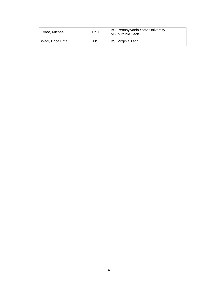| Tyree, Michael    | PhD. | BS, Pennsylvania State University<br>MS, Virginia Tech |
|-------------------|------|--------------------------------------------------------|
| Wadl, Erica Fritz | ΜS   | BS, Virginia Tech                                      |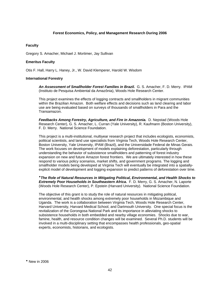## **Forest Economics, Policy, and Management Research During 2006**

## **Faculty**

Gregory S. Amacher, Michael J. Mortimer, Jay Sullivan

## **Emeritus Faculty**

Otis F. Hall, Harry L. Haney, Jr., W. David Klemperer, Harold W. Wisdom

## **International Forestry**

*An Assessment of Smallholder Forest Families in Brazil.* G. S. Amacher, F. D. Merry. IPAM (Instituto de Pesquisa Ambiental da Amazônia), Woods Hole Research Center.

This project examines the effects of logging contracts and smallholders in migrant communities within the Brazilian Amazon. Both welfare effects and decisions such as land clearing and labor use are being evaluated based on surveys of thousands of smallholders in Para and the Transamazon.

*Feedbacks Among Forestry, Agriculture, and Fire in Amazonia.* D. Nepstad (Woods Hole Research Center), G. S. Amacher, L. Curran (Yale University), R. Kaufmann (Boston University), F. D. Merry. National Science Foundation.

This project is a multi-institutional, multiyear research project that includes ecologists, economists, political scientists, and land use specialists from Virginia Tech, Woods Hole Research Center, Boston University, Yale University, IPAM (Brazil), and the Universidade Federal de Minas Gerais. The work focuses on development of models explaining deforestation, particularly through understanding the behavior of subsistence smallholders and patterning of forest industry expansion on new and future Amazon forest frontiers. We are ultimately interested in how these respond to various policy scenarios, market shifts, and government programs. The logging and smallholder models being developed at Virginia Tech will eventually be integrated into a spatiallyexplicit model of development and logging expansion to predict patterns of deforestation over time.

*The Role of Natural Resources in Mitigating Political, Environmental, and Health Shocks to Extremely Poor Households in Southeastern Africa.* F. D. Merry, G. S. Amacher, N. Laporte (Woods Hole Research Center), P. Epstein (Harvard University). National Science Foundation.

<span id="page-46-0"></span>The objective of this grant is to study the role of natural resources in mitigating political, environmental, and health shocks among extremely poor households in Mozambique and Uganda. The work is a collaboration between Virginia Tech, Woods Hole Research Center, Harvard University, Harvard Medical School, and Dartmouth University. One special focus is the revitalization of the Gorongosa National Park and its importance in alleviating shocks to subsistence households in both embedded and nearby village economies. Shocks due to war, famine, health, and resource condition changes will be examined. Several Ph.D. students will be involved in a multi-disciplinary setting that encompasses health professionals, geo-spatial experts, economists, historians, and ecologists.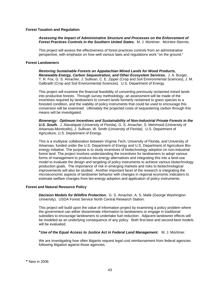#### **Forest Taxation and Regulation**

*Assessing the Impact of Administrative Structure and Processes on the Enforcement of Forest Practices Controls in the Southern United States.* M. J. Mortimer. McIntire-Stennis.

This project will assess the effectiveness of forest practices controls from an administrative perspective, with emphasis on how well various laws and regulations work "on the ground."

#### **Forest Landowners**

*Restoring Sustainable Forests on Appalachian Mined Lands for Wood Products, Renewable Energy, Carbon Sequestration, and Other Ecosystem Services.* J. A. Burger, T. R. Fox, G. S. Amacher, J. Sullivan, C. E. Zipper (Crop and Soil Environmental Sciences), J. M. Galbraith (Crop and Soil Environmental Sciences). U.S. Department of Energy.

This project will examine the financial feasibility of converting previously reclaimed mined lands into productive forests. Through survey methodology, an assessment will be made of the incentives required by landowners to convert lands formerly reclaimed to grass species to a forested condition, and the viability of policy instruments that could be used to encourage this conversion will be examined. Ultimately the projected costs of sequestering carbon through this means will be investigated.

*Bioenergy: Optimum Incentives and Sustainability of Non-Industrial Private Forests in the U.S. South.* J. Alavalapati (University of Florida), G. S. Amacher, S. Mehmood (University of Arkansas-Monticello), J. Sullivan, W. Smith (University of Florida). U.S. Department of Agriculture, U.S. Department of Energy.

This is a multiyear collaboration between Virginia Tech, University of Florida, and University of Arkansas, funded under the U.S. Department of Energy and U.S. Department of Agriculture Bioenergy Initiative. The purpose is to study incentives of biotechnology adoption on non-industrial forest land. The project involves understanding the incentives for landowners to adopt various forms of management to produce bio-energy alternatives and integrating this into a land-use model to evaluate the design and targeting of policy instruments to achieve various biotechnology production goals. The importance of risk in emerging markets and risks to biotechnological improvements will also be studied. Another important facet of the research is integrating the microeconomic aspects of landowner behavior with changes in regional economic indicators to estimate welfare changes from bio-energy adoption and application of policy instruments.

#### **Forest and Natural Resource Policy**

*Decision Models for Wildfire Protection.* G. S. Amacher, A. S. Malik (George Washington University). USDA Forest Service North Central Research Station.

This project will build upon the value of information project by examining a policy problem where the government can either disseminate information to landowners or engage in traditional subsidies to encourage landowners to undertake fuel reduction. Adjacent landowner effects will be modeled as an underlying consequence of any policy. Both first-best and second-best models will be evaluated.

#### *Use of the Equal Access to Justice Act in Federal Land Management.* M. J. Mortimer.

<span id="page-47-0"></span>We are investigating how often litigants request legal cost reimbursement from federal agencies following litigation against those agencies.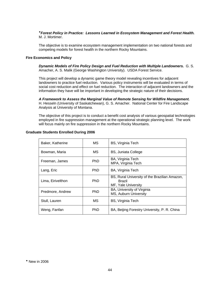## *Forest Policy in Practice: Lessons Learned in Ecosystem Management and Forest Health.* M. J. Mortimer.

The objective is to examine ecosystem management implementation on two national forests and competing models for forest health in the northern Rocky Mountains.

#### **Fire Economics and Policy**

*Dynamic Models of Fire Policy Design and Fuel Reduction with Multiple Landowners.* G. S. Amacher, A. S. Malik (George Washington University). USDA Forest Service.

This project will develop a dynamic game theory model revealing incentives for adjacent landowners to practice fuel reduction. Various policy instruments will be evaluated in terms of social cost reduction and effect on fuel reduction. The interaction of adjacent landowners and the information they have will be important in developing the strategic nature of their decisions.

*A Framework to Assess the Marginal Value of Remote Sensing for Wildfire Management.* H. Hesseln (University of Saskatchewan), G. S. Amacher. National Center for Fire Landscape Analysis at University of Montana.

The objective of this project is to conduct a benefit cost analysis of various geospatial technologies employed in fire suppression management at the operational strategic planning level. The work will focus mainly on fire suppression in the northern Rocky Mountains.

<span id="page-48-0"></span>

| Baker, Katherine  | MS.        | <b>BS, Virginia Tech</b>                                                              |
|-------------------|------------|---------------------------------------------------------------------------------------|
| Bowman, Maria     | МS         | <b>BS, Juniata College</b>                                                            |
| Freeman, James    | PhD.       | BA, Virginia Tech<br>MPA, Virginia Tech                                               |
| Lang, Eric        | <b>PhD</b> | BA, Virginia Tech                                                                     |
| Lima, Eirivelthon | PhD.       | BS, Rural University of the Brazilian Amazon,<br><b>Brazil</b><br>MF, Yale University |
| Predmore, Andrew  | <b>PhD</b> | BA, University of Virginia<br>MS, Auburn University                                   |
| Stull, Lauren     | МS         | <b>BS, Virginia Tech</b>                                                              |
| Weng, Fanfan      | <b>PhD</b> | BA, Beijing Forestry University, P. R. China                                          |

#### **Graduate Students Enrolled During 2006**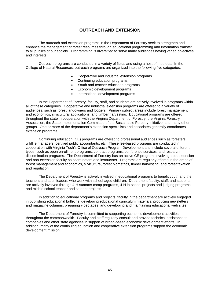## **OUTREACH AND EXTENSION**

 The outreach and extension programs in the Department of Forestry seek to strengthen and enhance the management of forest resources through educational programming and information transfer to all publics of our society. Programming is diversified to serve many audiences having varied objectives and interests.

 Outreach programs are conducted in a variety of fields and using a host of methods. In the College of Natural Resources, outreach programs are organized into the following five categories:

- Cooperative and industrial extension programs
- Continuing education programs
- Youth and teacher education programs
- Economic development programs
- International development programs

 In the Department of Forestry, faculty, staff, and students are actively involved in programs within all of these categories. Cooperative and industrial extension programs are offered to a variety of audiences, such as forest landowners and loggers. Primary subject areas include forest management and economics, silvicultural applications, and timber harvesting. Educational programs are offered throughout the state in cooperation with the Virginia Department of Forestry, the Virginia Forestry Association, the State Implementation Committee of the Sustainable Forestry Initiative, and many other groups. One or more of the department's extension specialists and associates generally coordinates extension programs.

 Continuing education (CE) programs are offered to professional audiences such as foresters, wildlife managers, certified public accountants, etc. These fee-based programs are conducted in cooperation with Virginia Tech's Office of Outreach Program Development and include several different types, such as open enrollment programs, contract programs, conference services, and research dissemination programs. The Department of Forestry has an active CE program, involving both extension and non-extension faculty as coordinators and instructors. Programs are regularly offered in the areas of forest management and economics, silviculture, forest biometrics, timber harvesting, and forest taxation and regulation.

 The Department of Forestry is actively involved in educational programs to benefit youth and the teachers and adult leaders who work with school-aged children. Department faculty, staff, and students are actively involved through 4-H summer camp programs, 4-H in-school projects and judging programs, and middle school teacher and student projects.

 In addition to educational programs and projects, faculty in the department are actively engaged in publishing educational bulletins, developing educational curriculum materials, producing newsletters and magazine columns, preparing videotapes, and developing and maintaining educational web sites.

 The Department of Forestry is committed to supporting economic development activities throughout the commonwealth. Faculty and staff regularly consult and provide technical assistance to companies and other state agencies in support of broad-based economic development efforts. In addition, many of the continuing education and cooperative extension programs support the economic development mission.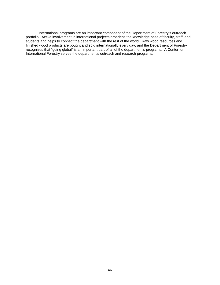International programs are an important component of the Department of Forestry's outreach portfolio. Active involvement in international projects broadens the knowledge base of faculty, staff, and students and helps to connect the department with the rest of the world. Raw wood resources and finished wood products are bought and sold internationally every day, and the Department of Forestry recognizes that "going global" is an important part of all of the department's programs. A Center for International Forestry serves the department's outreach and research programs.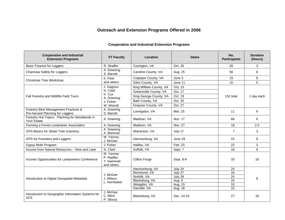# **Outreach and Extension Programs Offered in 2006**

| <b>Cooperative and Industrial</b><br><b>Extension Programs</b>           | <b>VT Faculty</b>                                  | Location                     | <b>Dates</b>       | No.<br><b>Participants</b> | <b>Duration</b><br>(Hours) |
|--------------------------------------------------------------------------|----------------------------------------------------|------------------------------|--------------------|----------------------------|----------------------------|
| <b>Basic Finance for Loggers</b>                                         | R. Shaffer                                         | Covington, VA                | Oct. 25            | 26                         | 3                          |
| Chainsaw Safety for Loggers                                              | A. Downing<br>S. Barrett                           | Caroline County, VA          | Aug. 25            | 56                         | 6                          |
| Christmas Tree Workshop                                                  | K. Peer                                            | Culpeper County, VA          | June 3             | 15                         | 8                          |
|                                                                          | and others                                         | Giles County, VA             | June 11            | 15                         | 5                          |
|                                                                          | J. Gagnon                                          | King William County, VA      | Oct. 13            |                            |                            |
|                                                                          | N. Clark                                           | Greensville County, VA       | Oct. 17            |                            |                            |
| Fall Forestry and Wildlife Field Tours                                   | K. Cox<br>A. Downing                               | King George County, VA       | Oct. 19            | 152 total                  | 1 day each                 |
|                                                                          | J. Fisher                                          | Bath County, VA              | Oct. 20            |                            |                            |
|                                                                          | W. Worrell                                         | Grayson County, VA           | Oct. 27            |                            |                            |
| Forestry Best Management Practices &<br>Pre-harvest Planning for Loggers | A. Downing<br>S. Barrett                           | Lovingston, VA               | Mar. 25            | 11                         | 6                          |
| Forestry Hot Topics: Planning for Woodlands in<br>Your Estate            | A. Downing                                         | Madison, VA                  | Nov. 17            | 66                         | 6                          |
| Forming a Forest Landowner Association                                   | A. Downing                                         | Madison, VA                  | Nov. 27            | 18                         | 2.5                        |
| GPS Basics for Street Tree Inventory                                     | A. Downing<br>A. Bremner                           | Warrenton, VA                | July 17            | $\overline{7}$             | 3                          |
| GPS for Foresters and Loggers                                            | M. Yancey<br>J. McGee                              | Harrisonburg, VA             | June 29            | 15                         | 8                          |
| Gypsy Moth Program                                                       | J. Fisher                                          | Halifax, VA                  | Feb. 23            | 22                         | 3                          |
| Income from Natural Resources - Now and Later                            | N. Clark                                           | Suffolk, VA                  | Sept. 7            | 18                         | 6                          |
| Income Opportunities for Landowners Conference                           | M. Yancey<br>P. Radtke<br>T. Hammett<br>and others | <b>Clifton Forge</b>         | Sept. 8-9          | 33                         | 16                         |
|                                                                          |                                                    | Harrisonburg, VA             | July 24            | 24                         |                            |
|                                                                          | J. McGee                                           | Richmond, VA                 | July 27            | 16                         |                            |
| Introduction to Digital Geospatial Metadata                              | J. Wilson                                          | Norfolk, VA                  | July 28            | $\overline{24}$            | 8                          |
|                                                                          | L. Hornbaker                                       | Blacksburg, VA               | Aug. 9             | 24<br>$\overline{10}$      |                            |
|                                                                          |                                                    | Abingdon, VA<br>Danville, VA | Aug. 15<br>Aug. 16 | $\overline{10}$            |                            |
| Introduction to Geographic Information Systems for<br><b>VCE</b>         | J. McGee<br>C. Blinn<br>P. Sforza                  | Blacksburg, VA               | Dec. 14-15         | 27                         | 16                         |

## **Cooperative and Industrial Extension Programs**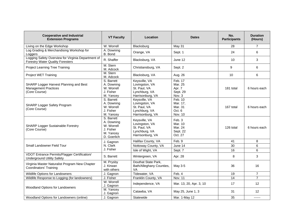| <b>Cooperative and Industrial</b><br><b>Extension Programs</b>                                | <b>VT Faculty</b>                                                               | Location                                                                             | <b>Dates</b>                                        | No.<br><b>Participants</b> | <b>Duration</b><br>(Hours) |
|-----------------------------------------------------------------------------------------------|---------------------------------------------------------------------------------|--------------------------------------------------------------------------------------|-----------------------------------------------------|----------------------------|----------------------------|
| Living on the Edge Workshop                                                                   | W. Worrell                                                                      | Blacksburg                                                                           | May 31                                              | 28                         | $\overline{7}$             |
| Log Grading & Merchandising Workshop for<br>Loggers                                           | A. Downing<br>B. Bond                                                           | Orange, VA                                                                           | Sept. 1                                             | 24                         | 6                          |
| Logging Safety Overview for Virginia Department of<br><b>Forestry Water Quality Foresters</b> | R. Shaffer                                                                      | Blacksburg, VA                                                                       | June 12                                             | 10                         | 3                          |
| <b>Project Learning Tree Training</b>                                                         | M. Stern<br>M. Adcock                                                           | Christiansburg, VA                                                                   | Sept. 2                                             | 9                          | 6                          |
| Project WET Training                                                                          | M. Stern<br>M. Adcock                                                           | Blacksburg, VA                                                                       | Aug. 26                                             | 10                         | 6                          |
| SHARP Logger Harvest Planning and Best<br><b>Management Practices</b><br>(Core Course)        | S. Barrett<br>A. Downing<br>W. Worrell<br>J. Fisher<br>M. Yancey                | Keysville, VA<br>Lovingston, VA<br>St. Paul, VA<br>Lynchburg, VA<br>Harrisonburg, VA | Feb. 17<br>Mar. 25<br>Apr. 7<br>Sept. 29<br>Nov. 3  | 181 total                  | 6 hours each               |
| SHARP Logger Safety Program<br>(Core Course)                                                  | S. Barrett<br>A. Downing<br>W. Worrell<br>J. Fisher<br>M. Yancey                | Keysville, VA<br>Lovingston, VA<br>St. Paul, VA<br>Lynchburg, VA<br>Harrisonburg, VA | Feb. 10<br>Mar. 17,<br>Mar. 31<br>Oct. 6<br>Nov. 10 | 167 total                  | 6 hours each               |
| <b>SHARP Logger Sustainable Forestry</b><br>(Core Course)                                     | S. Barrett<br>A. Downing<br>W. Worrell<br>J. Fisher<br>M. Yancey<br>D. Goerlich | Keysville, VA<br>Lovingston, VA<br>St. Paul, VA<br>Lynchburg, VA<br>Harrisonburg, VA | Feb. 3<br>Mar. 10<br>Mar. 24<br>Sept. 22<br>Oct. 27 | 126 total                  | 6 hours each               |
|                                                                                               | J. Gagnon                                                                       | Halifax County, VA                                                                   | Feb. 9                                              | 41                         | 8                          |
| Small Landowner Field Tour                                                                    | N. Clark                                                                        | Nottoway County, VA                                                                  | June 14                                             | 30                         | 6                          |
|                                                                                               | J. Fisher                                                                       | Isle of Wight, VA                                                                    | Sept. 7                                             | 16                         | 6                          |
| VDOT Entrance Permits/Flagger Certification/<br><b>Underground Utility Safety</b>             | S. Barrett                                                                      | Wintergreen, VA                                                                      | Apr. 28                                             | 8                          | 3                          |
| Virginia Master Naturalist Program New Chapter<br><b>Coordinators' Training</b>               | M. Prysby<br>J. Kirwan<br>with others                                           | Douthat State Park,<br>Bath/Alleghany Counties,<br>VA                                | May 3-5                                             | 36                         | 16                         |
| Wildlife Options for Landowners                                                               | J. Gagnon                                                                       | Tidewater, VA                                                                        | Feb. 4                                              | 19                         | $\overline{7}$             |
| Wildlife Response to Logging (for landowners)                                                 | J. Fisher                                                                       | Franklin County, VA                                                                  | <b>Nov. 11</b>                                      | $\overline{14}$            | $\overline{7}$             |
| Woodland Options for Landowners                                                               | W. Worrell<br>J. Gagnon                                                         | Independence, VA                                                                     | Mar. 13, 20, Apr. 3, 10                             | 17                         | 12                         |
|                                                                                               | M. Yancey<br>J. Gagnon                                                          | Catawba, VA                                                                          | May 25, June 1, 3                                   | 31                         | 12                         |
| Woodland Options for Landowners (online)                                                      | J. Gagnon                                                                       | Statewide                                                                            | Mar. 1-May 12                                       | 35                         | ------                     |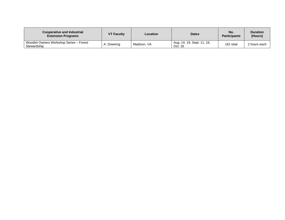| <b>Cooperative and Industrial</b><br><b>Extension Programs</b> | <b>VT Faculty</b> | Location    | <b>Dates</b>                          | No.<br><b>Participants</b> | <b>Duration</b><br>(Hours) |
|----------------------------------------------------------------|-------------------|-------------|---------------------------------------|----------------------------|----------------------------|
| Woodlot Owners Workshop Series - Forest<br>Stewardship         | Downing           | Madison, VA | Aug. 14, 19, Sept. 11, 16,<br>Oct. 16 | 181 total                  | 2 hours each               |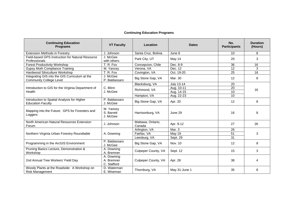## **Continuing Education Programs**

| <b>Continuing Education</b><br><b>Programs</b>                                   | <b>VT Faculty</b>                       | Location                    | <b>Dates</b>      | No.<br><b>Participants</b> | <b>Duration</b><br>(Hours) |
|----------------------------------------------------------------------------------|-----------------------------------------|-----------------------------|-------------------|----------------------------|----------------------------|
| <b>Extension Methods in Forestry</b>                                             | J. Johnson                              | Santa Cruz, Bolivia         | June 8            | 10                         | 8                          |
| Field-based GPS Instruction for Natural Resource<br>Professionals                | J. McGee<br>with others                 | Park City, UT               | May 14            | 20                         | 3                          |
| <b>Forest Productivity Workshop</b>                                              | T. R. Fox                               | Concepcion, Chile           | Dec. 8-9          | 36                         | 16                         |
| <b>Gypsy Moth Compliance Training</b>                                            | M. Yancev                               | Verona, VA                  | Dec. 12           | 12                         | 3                          |
| Hardwood Silviculture Workshop                                                   | T. R. Fox                               | Covington, VA               | Oct. 19-20        | 25                         | 16                         |
| Integrating GIS into the GIS Curriculum at the<br><b>Community College Level</b> | J. McGee<br>P. Baldassaro               | Big Stone Gap, VA           | Mar. 30           | 12                         | 8                          |
|                                                                                  |                                         | Blacksburg, VA              | <b>July 13-14</b> | 20                         |                            |
| Introduction to GIS for the Virginia Department of                               | C. Blinn                                | Richmond, VA                | Aug. 10-11        | 20                         | 16                         |
| Health                                                                           | J. McGee                                |                             | Aug. 14-15        | 10                         |                            |
|                                                                                  |                                         | Hampton, VA                 | Aug. 22-23        | 10                         |                            |
| Introduction to Spatial Analysis for Higher<br><b>Education Faculty</b>          | P. Baldassaro<br>J. McGee               | Big Stone Gap, VA           | Apr. 20           | 12                         | 8                          |
| Mapping into the Future: GPS for Foresters and<br>Loggers                        | M. Yancey<br>S. Barrett<br>J. McGee     | Harrisonburg, VA            | June 29           | 16                         | 8                          |
| North American Natural Resources Extension<br>Forum                              | J. Johnson                              | Mattawa, Ontario,<br>Canada | Apr. 9-12         | 27                         | 26                         |
|                                                                                  |                                         | Arlington, VA               | Mar. 3            | 26                         |                            |
| Northern Virginia Urban Forestry Roundtable                                      | A. Downing                              | Fairfax, VA                 | May 19            | 51                         | 3                          |
|                                                                                  |                                         | Leesburg, VA                | Sept. 29          | 31                         |                            |
| Programming in the ArcGIS Environment                                            | P. Baldassaro<br>J. McGee               | Big Stone Gap, VA           | Nov. 10           | 12                         | 8                          |
| Pruning Basics Lecture, Demonstration &<br>Workshop                              | A. Downing<br>A. Bremner                | Culpeper County, VA         | Sept. 12          | 15                         | 3                          |
| 2nd Annual Tree Workers' Field Day                                               | A. Downing<br>A. Bremner<br>C. Stafford | Culpeper County, VA         | Apr. 28           | 38                         | 4                          |
| Woody Plants at the Roadside: A Workshop on<br><b>Risk Management</b>            | D. Waterman<br>E. Wiseman               | Thornburg, VA               | May 31-June 1     | 35                         | 8                          |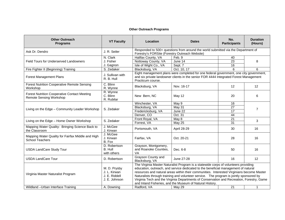## **Other Outreach Programs**

| <b>Other Outreach</b><br><b>Programs</b>                                              | <b>VT Faculty</b>                                              | Location                                                                                                                                                                                                                                                                                                                                                                                                                                                                                                                   | <b>Dates</b>                                                                                                                                                                    | No.<br><b>Participants</b> | <b>Duration</b><br>(Hours) |
|---------------------------------------------------------------------------------------|----------------------------------------------------------------|----------------------------------------------------------------------------------------------------------------------------------------------------------------------------------------------------------------------------------------------------------------------------------------------------------------------------------------------------------------------------------------------------------------------------------------------------------------------------------------------------------------------------|---------------------------------------------------------------------------------------------------------------------------------------------------------------------------------|----------------------------|----------------------------|
| Ask Dr. Dendro                                                                        | J. R. Seiler                                                   | Responded to 500+ questions from around the world submitted via the Department of<br>Forestry's FORSite (Forestry Outreach Website)                                                                                                                                                                                                                                                                                                                                                                                        |                                                                                                                                                                                 |                            |                            |
|                                                                                       | N. Clark                                                       | Halifax County, VA                                                                                                                                                                                                                                                                                                                                                                                                                                                                                                         | Feb. 9                                                                                                                                                                          | 40                         |                            |
| Field Tours for Underserved Landowners                                                | J. Fisher                                                      | Nottoway County, VA                                                                                                                                                                                                                                                                                                                                                                                                                                                                                                        | June 14                                                                                                                                                                         | $\overline{23}$            | 8                          |
|                                                                                       | J. Gagnon                                                      | Isle of Wight Co., VA                                                                                                                                                                                                                                                                                                                                                                                                                                                                                                      | Sept. 7                                                                                                                                                                         | 16                         |                            |
| Fire Fighter II (Beginning) Training                                                  | S. Zedaker                                                     | Blacksburg, VA                                                                                                                                                                                                                                                                                                                                                                                                                                                                                                             | Oct. 10, 17                                                                                                                                                                     | 6                          | 6                          |
| <b>Forest Management Plans</b>                                                        | J. Sullivan with<br>R. B. Hull                                 | Practicum course.                                                                                                                                                                                                                                                                                                                                                                                                                                                                                                          | Eight management plans were completed for one federal government, one city government,<br>and six private landowner clients in the senior FOR 4444 Integrated Forest Management |                            |                            |
| <b>Forest Nutrition Cooperative Remote Sensing</b><br>Workshop                        | C. Blinn<br>R. Wynne                                           | Blacksburg, VA                                                                                                                                                                                                                                                                                                                                                                                                                                                                                                             | Nov. 16-17                                                                                                                                                                      | 12                         | 12                         |
| <b>Forest Nutrition Cooperative Contact Meeting</b><br><b>Remote Sensing Workshop</b> | R. Wynne<br>C. Blinn<br>R. Rubilar                             | New Bern, NC                                                                                                                                                                                                                                                                                                                                                                                                                                                                                                               | May 12                                                                                                                                                                          | 20                         | 6                          |
|                                                                                       |                                                                | Winchester, VA                                                                                                                                                                                                                                                                                                                                                                                                                                                                                                             | May 9                                                                                                                                                                           | 16                         |                            |
| Living on the Edge - Community Leader Workshop                                        | S. Zedaker                                                     | Blacksburg, VA                                                                                                                                                                                                                                                                                                                                                                                                                                                                                                             | May $3\overline{1}$                                                                                                                                                             | 27                         | $\overline{7}$             |
|                                                                                       |                                                                | Fredericksburg, VA                                                                                                                                                                                                                                                                                                                                                                                                                                                                                                         | June 22                                                                                                                                                                         | 17                         |                            |
|                                                                                       |                                                                | Denver, CO                                                                                                                                                                                                                                                                                                                                                                                                                                                                                                                 | Oct. 31                                                                                                                                                                         | 44                         |                            |
| Living on the Edge - Home Owner Workshop                                              | S. Zedaker                                                     | Front Royal, VA                                                                                                                                                                                                                                                                                                                                                                                                                                                                                                            | May 8                                                                                                                                                                           | $\overline{21}$            | 3                          |
|                                                                                       |                                                                | Forrest, VA                                                                                                                                                                                                                                                                                                                                                                                                                                                                                                                | <b>May 25</b>                                                                                                                                                                   | 31                         |                            |
| Mapping Water Quality: Bringing Science Back to<br>the Classroom                      | J. McGee<br>J. Kirwan                                          | Portsmouth, VA                                                                                                                                                                                                                                                                                                                                                                                                                                                                                                             | April 28-29                                                                                                                                                                     | 30                         | 16                         |
| Mapping Water Quality for Fairfax Middle and High<br><b>School Teachers</b>           | J. McGee<br>J. Kirwan<br>B. Fox                                | Fairfax, VA                                                                                                                                                                                                                                                                                                                                                                                                                                                                                                                | Oct. 20-21                                                                                                                                                                      | 28                         | 16                         |
| <b>USDA LandCare Study Tour</b>                                                       | D. Robertson<br>B. Hull<br>with others                         | Grayson, Montgomery,<br>and Roanoke Counties,<br>VA                                                                                                                                                                                                                                                                                                                                                                                                                                                                        | Dec. 6-8                                                                                                                                                                        | 50                         | 16                         |
| <b>USDA LandCare Tour</b>                                                             | D. Robertson                                                   | Grayson County and<br>Blacksburg, VA                                                                                                                                                                                                                                                                                                                                                                                                                                                                                       | June 27-28                                                                                                                                                                      | 16                         | 12                         |
| Virginia Master Naturalist Program                                                    | M. D. Prysby<br>J. L. Kirwan<br>J. E. Riddell<br>J. E. Johnson | The Virginia Master Naturalist Program is a statewide corps of volunteers providing<br>education, outreach, and service dedicated to the beneficial management of natural<br>resources and natural areas within their communities. Interested Virginians become Master<br>Naturalists through training and volunteer service. The program is jointly sponsored by<br>Virginia Tech and the Virginia Departments of Conservation and Recreation, Forestry, Game<br>and Inland Fisheries, and the Museum of Natural History. |                                                                                                                                                                                 |                            |                            |
| Wildland - Urban Interface Training                                                   | A. Downing                                                     | Radford, VA                                                                                                                                                                                                                                                                                                                                                                                                                                                                                                                | May 29                                                                                                                                                                          | $\overline{21}$            | 1                          |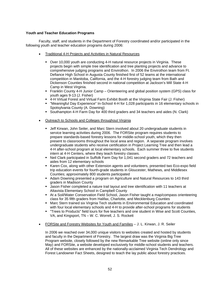## **Youth and Teacher Education Programs**

 Faculty, staff, and students in the Department of Forestry coordinated and/or participated in the following youth and teacher education programs during 2006:

- Traditional 4-H Projects and Activities in Natural Resources
	- Over 10,000 youth are conducting 4-H natural resource projects in Virginia. These projects begin with simple tree identification and tree planting projects and advance to comprehensive judging programs and Envirothon. In 2006 the Envirothon team from Ft. Defiance High School in Augusta County finished first of 52 teams at the international competition in Manitoba, California, and the 4-H forestry judging team from Bath and Dickenson Counties finished second in national competition at Jackson's Mill State 4-H Camp in West Virginia.
	- Franklin County 4-H Junior Camp Orienteering and global position system (GPS) class for youth ages 9-13 (J. Fisher)
	- 4-H Virtual Forest and Virtual Farm Exhibit Booth at the Virginia State Fair (J. Fisher)
	- "Meaningful Day Experience" In-School 4-H for 1,028 participants in 16 elementary schools in Spotsylvania County (A. Downing)
	- Southampton 4-H Farm Day for 400 third graders and 34 teachers and aides (N. Clark)
- Outreach to Schools and Colleges throughout Virginia
	- Jeff Kirwan, John Seiler, and Marc Stern involved about 20 undergraduate students in service learning activities during 2006. The FORSite program requires students to prepare standards-based forestry lessons for middle-school youth, which they then present to classrooms throughout the local area and region. A separate program involves undergraduate students who receive certification in Project Learning Tree and then lead a 4-H after-school program at local elementary schools. Each summer three to five students intern at 4-H Centers, where they teach forestry classes.
	- Neil Clark participated in Suffolk Farm Day for 1,041 second graders and 72 teachers and aides from 12 elementary schools
	- Karen Cox, along with other Extension agents and volunteers, presented two Eco-expo field trip education events for fourth-grade students in Gloucester, Mathews, and Middlesex Counties; approximately 800 students participated
	- Adam Downing presented a program on Agriculture and Natural Resources to 143 third graders in Madison County
	- Jason Fisher completed a nature trail layout and tree identification with 11 teachers at Altavista Elementary School in Campbell County
	- At a Soil/Water Conservation Field School, Jason Fisher taught a map/compass orienteering class for 35 fifth graders from Halifax, Charlotte, and Mecklenburg Counties
	- **Marc Stern trained six Virginia Tech students in Environmental Education and coordinated** with four local elementary schools and 4-H to provide after-school programs for students
	- "Trees to Products" field tours for five teachers and one student in Wise and Scott Counties, VA, and Kingsport, TN – W. C. Worrell, J. S. Rockett
- FORSite and Forestry Websites for Youth and Families J. L. Kirwan, J. R. Seiler

In 2006 we reached over 34,000 unique visitors to websites created and hosted by students and faculty in the Department of Forestry. The largest draw was the Virginia Big Tree Program website, closely followed by the new Remarkable Tree website (online only since May) and FORSite, a website developed exclusively for middle-school students and teachers. All of these websites are enhanced by the nationally-acclaimed Virginia Tech Dendrology and Forest Landowner Fact Sheets, designed to teach the lay public about forestry practices.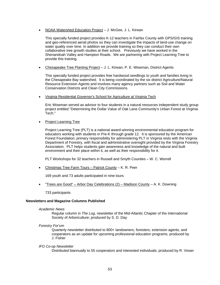• NOAA Watershed Education Project – J. McGee, J. L. Kirwan

This specially funded project provides K-12 teachers in Fairfax County with GPS/GIS training and geo-referenced aerial photos so they can investigate the impacts of land-use change on water quality over time. In addition we provide training so they can conduct their own collaborative tree growth studies at their school. Previously we have worked in the Shenandoah Valley and Hampton Roads. We are partnering with Project Learning Tree to provide this training.

• Chesapeake Tree Planting Project – J. L. Kirwan, P. E. Wiseman, District Agents

This specially funded project provides free hardwood seedlings to youth and families living in the Chesapeake Bay watershed. It is being coordinated by the six district Agriculture/Natural Resource Extension Agents and involves many agency partners such as Soil and Water Conservation Districts and Clean City Commissions.

• Virginia Residential Governor's School for Agriculture at Virginia Tech

Eric Wiseman served as advisor to four students in a natural resources independent study group project entitled "Determining the Dollar Value of Oak Lane Community's Urban Forest at Virginia Tech."

• Project Learning Tree

Project Learning Tree (PLT) is a national award-winning environmental education program for educators working with students in Pre-K through grade 12. It is sponsored by the American Forest Foundation; primary responsibility for administering PLT in Virginia rests with the Virginia Department of Forestry, with fiscal and administrative oversight provided by the Virginia Forestry Association. PLT helps students gain awareness and knowledge of the natural and built environment and their place within it, as well as their responsibility for it.

PLT Workshops for 32 teachers in Russell and Smyth Counties – W. C. Worrell

• Christmas Tree Farm Tours – Patrick County – K. R. Peer

169 youth and 73 adults participated in nine tours

• "Trees are Good" – Arbor Day Celebrations (2) – Madison County – A. K. Downing

733 participants

## **Newsletters and Magazine Columns Published**

#### *Academic News*

Regular column in *The Log*, newsletter of the Mid-Atlantic Chapter of the International Society of Arboriculture; produced by S. D. Day

*Forestry For'um*

Quarterly newsletter distributed to 800+ landowners, foresters, extension agents, and cooperators as an update for upcoming professional education programs; produced by J. Fisher

*IFO Co-op Newsletter*

Distributed biannually to 55 cooperators and interested individuals; produced by R. Visser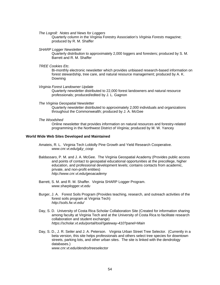*The Logroll: Notes and News for Loggers*

Quarterly column in the Virginia Forestry Association's *Virginia Forests* magazine; produced by R. M. Shaffer

*SHARP Logger Newsletter*

Quarterly distribution to approximately 2,000 loggers and foresters; produced by S. M. Barrett and R. M. Shaffer

*TREE Cookies Etc.* 

Bi-monthly electronic newsletter which provides unbiased research-based information on forest stewardship, tree care, and natural resource management; produced by A. K. Downing

*Virginia Forest Landowner Update*

Quarterly newsletter distributed to 22,000 forest landowners and natural resource professionals; produced/edited by J. L. Gagnon

*The Virginia Geospatial Newsletter* 

Quarterly newsletter distributed to approximately 2,000 individuals and organizations throughout the Commonwealth; produced by J. A. McGee

*The Woodshed* 

Online newsletter that provides information on natural resources and forestry-related programming in the Northwest District of Virginia; produced by M. W. Yancey

## **World Wide Web Sites Developed and Maintained**

- Amateis, R. L. Virginia Tech Loblolly Pine Growth and Yield Research Cooperative. *www.cnr.vt.edu/g&y\_coop*
- Baldassaro, P. M. and J. A. McGee. The Virginia Geospatial Academy (Provides public access and points of contact to geospatial educational opportunities at the precollege, higher education, and professional development levels; contains contacts from academic, private, and non-profit entities) *http://www.cnr.vt.edu/geoacademy*
- Barrett, S. M. and R. M. Shaffer. Virginia SHARP Logger Program. *www.sharplogger.vt.edu*
- Burger, J. A. Forest Soils Program (Provides teaching, research, and outreach activities of the forest soils program at Virginia Tech)  *http://soils.fw.vt.edu/*
- Day, S. D. University of Costa Rica Scholar Collaboration Site (Created for information sharing among faculty at Virginia Tech and at the University of Costa Rica to facilitate research collaboration and student exchange)  *https://scholar.vt.edu/portal/tool/!gateway-410?panel=Main*
- Day, S. D., J. R. Seiler and J. A. Peterson. Virginia Urban Street Tree Selector. (Currently in a beta version, this site helps professionals and others select tree species for downtown streets, parking lots, and other urban sites. The site is linked with the dendrology databases.) *www.cnr.vt.edu/dendro/treeselector*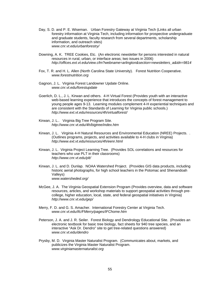- Day, S. D. and P. E. Wiseman. Urban Forestry Gateway at Virginia Tech (Links all urban forestry information at Virginia Tech, including information for prospective undergraduate and graduate students, faculty research from several departments, scholarship information, and outreach sites) *www.cnr.vt.edu/urbanforestry/*
- Downing, A. K. TREE Cookies, Etc. (An electronic newsletter for persons interested in natural resources in rural, urban, or interface areas; two issues in 2006)  *http://offices.ext.vt.edu/view.cfm?webname=arlington&section=newsletters\_a&idn=9814*
- Fox, T. R. and H. L. Allen (North Carolina State University). Forest Nutrition Cooperative. *www.forestnutrition.org*
- Gagnon, J. L. Virginia Forest Landowner Update Online.  *www.cnr.vt.edu/forestupdate*
- Goerlich, D. L., J. L. Kirwan and others. 4-H Virtual Forest (Provides youth with an interactive web-based learning experience that introduces the concepts of forest management to young people ages 9-13. Learning modules complement 4-H experiential techniques and are consistent with the Standards of Learning for Virginia public schools.)  *http://www.ext.vt.edu/resources/4h/virtualforest/*
- Kirwan, J. L.. Virginia Big Tree Program Site. *http://www.cnr.vt.edu/4h/bigtree/index.htm*
- Kirwan, J. L. Virginia 4-H Natural Resources and Environmental Education (NREE) Projects. . (Outlines programs, projects, and activities available to 4-H clubs in Virginia)  *http://www.ext.vt.edu/resources/4h/eenr.html*
- Kirwan, J. L. Virginia Project Learning Tree. (Provides SOL correlations and resources for teachers who use PLT in their classrooms) *http://www.cnr.vt.edu/plt/*
- Kirwan, J. L. and D. Dunlap. NOAA Watershed Project. (Provides GIS data products, including historic aerial photographs, for high school teachers in the Potomac and Shenandoah Valleys) *www.watersheded.org/*
- McGee, J. A. The Virginia Geospatial Extension Program (Provides overview, data and software resources, articles, and workshop materials to support geospatial activities through precollege, higher education, local, state, and federal geospatial initiatives in Virginia) *http://www.cnr.vt.edu/gep/*
- Merry, F. D. and G. S. Amacher. International Forestry Center at Virginia Tech. *www.cnr.vt.edu/ifc/FMerry/pages/IFChome.htm*
- Peterson, J. A. and J. R. Seiler. Forest Biology and Dendrology Educational Site. (Provides an electronic textbook for basic tree biology, fact sheets for 940 tree species, and an interactive "Ask Dr. Dendro" site to get tree-related questions answered) *www.cnr.vt.edu/dendro*
- Prysby, M. D. Virginia Master Naturalist Program. (Communicates about, markets, and publicizes the Virginia Master Naturalist Program. *www.virginiamasternaturalist.org*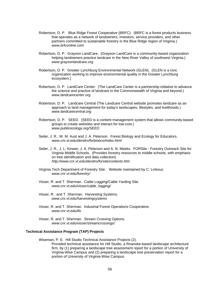- Robertson, D. P. Blue Ridge Forest Cooperative (BRFC). (BRFC is a forest products business that operates as a network of landowners, investors, service providers, and other partners committed to sustainable forestry in the Blue Ridge region of Virginia.) *www.brfconline.com*
- Robertson, D. P. Grayson LandCare. (Grayson LandCare is a community-based organization helping landowners practice landcare in the New River Valley of southwest Virginia.) *www.graysonlandcare.org*
- Robertson, D. P. Greater Lynchburg Environmental Network (GLEN). (GLEN is a civic organization working to improve environmental quality in the Greater Lynchburg ecosystem.)
- Robertson, D. P. LandCare Center. (The LandCare Center is a partnership initiative to advance the science and practice of landcare in the Commonwealth of Virginia and beyond.) *www.landcarecenter.org*
- Robertson, D. P. Landcare Central (The Landcare Central website promotes landcare as an approach to land management for today's landscapes, lifestyles, and livelihoods.) *www.landcarecentral.org*
- Robertson, D. P. SEED. (SEED is a content management system that allows community-based groups to create websites and interact for low-cost.)  *www.publicecology.org/SEED*
- Seiler, J. R., W. M. Aust and J. A. Peterson. Forest Biology and Ecology for Educators.  *www.cnr.vt.edu/dendro/forbioeco/index.html*
- Seiler, J. R., J. L. Kirwan, J. A. Peterson and A. N. Meeks. FORSite Forestry Outreach Site for Virginia Middle Schools. (Provides forestry resources to middle schools, with emphasis on tree identification and data collection) *http://www.cnr.vt.edu/dendro/forsite/contents.htm*
- Virginia Tech Department of Forestry Site. Website maintained by C. Linkous. *www.cnr.vt.edu/forestry/*
- Visser, R. and T. Sherman. Cable Logging/Cable Yarding Site.  *www.cnr.vt.edu/visser/cable\_logging/*
- Visser, R. and T. Sherman. Harvesting Systems. *www.cnr.vt.edu/harvestingsystems*
- Visser, R. and T. Sherman. Industrial Forest Operations Cooperative. *www.cnr.vt.edu/ifo*
- Visser, R. and T. Sherman. Stream Crossing Options. *www.cnr.vt.edu/visser/streamcrossings/*

## **Technical Assistance Program (TAP) Projects**

Wiseman, P. E. Hill Studio Technical Assistance Projects (2). Provided technical assistance for Hill Studio, a Roanoke-based landscape architecture firm, by (1) preparing a landscape tree assessment report for a portion of University of Virginia-Wise Campus and (2) preparing a landscape tree preservation report for a portion of University of Virginia-Wise Campus.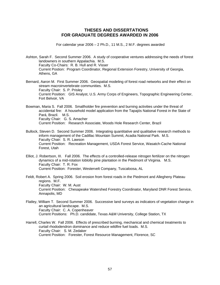## **THESES AND DISSERTATIONS FOR GRADUATE DEGREES AWARDED IN 2006**

For calendar year 2006 – 2 Ph.D., 11 M.S., 2 M.F. degrees awarded

Ashton, Sarah F. Second Summer 2006. A study of cooperative ventures addressing the needs of forest landowners in southern Appalachia. M.S. Faculty Co-Chairs: R. B. Hull and R. Visser Current Postion: Program Coordinator, Regional Extension Forestry, University of Georgia, Athens, GA

Bernard, Aaron M. First Summer 2006. Geospatial modeling of forest road networks and their effect on stream macroinvertebrate communities. M.S. Faculty Chair: S. P. Prisley Current Position: GIS Analyst, U.S. Army Corps of Engineers, Topographic Engineering Center, Fort Belvoir, VA

Bowman, Maria S. Fall 2006. Smallholder fire prevention and burning activities under the threat of accidental fire: A household model application from the Tapajós National Forest in the State of Pará, Brazil. M.S. Faculty Chair: G. S. Amacher Current Position: Research Associate, Woods Hole Research Center, Brazil

Bullock, Steven D. Second Summer 2006. Integrating quantitative and qualitative research methods to inform management of the Cadillac Mountain Summit, Acadia National Park. M.S. Faculty Chair: S. R. Lawson Current Position: Recreation Management, USDA Forest Service, Wasatch-Cache National Forest, Utah

Elliot, J. Robertson, III. Fall 2006. The effects of a controlled-release nitrogen fertilizer on the nitrogen dynamics of a mid-rotation loblolly pine plantation in the Piedmont of Virginia. M.S. Faculty Chair: T. R. Fox Current Position: Forester, Westervelt Company, Tuscaloosa, AL

Feldt, Robert A. Spring 2006. Soil erosion from forest roads in the Piedmont and Allegheny Plateau regions. M.F. Faculty Chair: W. M. Aust Current Position: Chesapeake Watershed Forestry Coordinator, Maryland DNR Forest Service, Annapolis, MD

- Flatley, William T. Second Summer 2006. Successive land surveys as indicators of vegetation change in an agricultural landscape. M.S. Faculty Chair: C. A. Copenheaver Current Positions: Ph.D. candidate, Texas A&M University, College Station, TX
- Harrell, Charles W. Fall 2006. Effects of prescribed burning, mechanical and chemical treatments to curtail rhododendron dominance and reduce wildfire fuel loads. M.S. Faculty Chair: S. M. Zedaker Current Position: Forester, Forest Resource Management, Florence, SC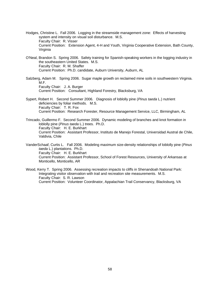- Hodges, Christine L. Fall 2006. Logging in the streamside management zone: Effects of harvesting system and intensity on visual soil disturbance. M.S. Faculty Chair: R. Visser Current Position: Extension Agent, 4-H and Youth, Virginia Cooperative Extension, Bath County, Virginia
- O'Neal, Brandon S. Spring 2006. Safety training for Spanish-speaking workers in the logging industry in the southeastern United States. M.S. Faculty Chair: R. M. Shaffer Current Position: Ph.D. candidate, Auburn University, Auburn, AL
- Salzberg, Adam M. Spring 2006. Sugar maple growth on reclaimed mine soils in southwestern Virginia. M.F. Faculty Chair: J. A. Burger Current Position: Consultant, Highland Forestry, Blacksburg, VA
- Sypert, Robert H. Second Summer 2006. Diagnosis of loblolly pine (*Pinus taeda* L.) nutrient deficiencies by foliar methods. M.S. Faculty Chair: T. R. Fox Current Position: Research Forester, Resource Management Service, LLC, Birmingham, AL

Trincado, Guillermo F. Second Summer 2006. Dynamic modeling of branches and knot formation in loblolly pine (*Pinus taeda* L.) trees. Ph.D. Faculty Chair: H. E. Burkhart Current Position: Assistant Professor, Instituto de Manejo Forestal, Universidad Austral de Chile, Valdivia, Chile

VanderSchaaf, Curtis L. Fall 2006. Modeling maximum size-density relationships of loblolly pine (*Pinus taeda* L.) plantations. Ph.D. Faculty Chair: H. E. Burkhart Current Position: Assistant Professor, School of Forest Resources, University of Arkansas at Monticello, Monticello, AR

Wood, Kerry T. Spring 2006. Assessing recreation impacts to cliffs in Shenandoah National Park: Integrating visitor observation with trail and recreation site measurements. M.S. Faculty Chair: S. R. Lawson Current Position: Volunteer Coordinator, Appalachian Trail Conservancy, Blacksburg, VA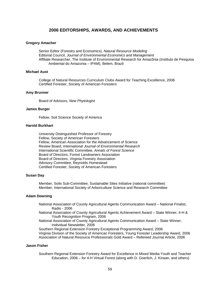## **2006 EDITORSHIPS, AWARDS, AND ACHIEVEMENTS**

#### **Gregory Amacher**

 Senior Editor (Forestry and Economics), *Natural Resource Modeling* Editorial Council, *Journal of Environmental Economics and Management* Affiliate Researcher, The Institute of Environmental Research for Amazônia (Instituto de Pesquisa Ambiental do Amazonia – IPAM), Belem, Brazil

## **Michael Aust**

 College of Natural Resources Curriculum Clubs Award for Teaching Excellence, 2006 Certified Forester, Society of American Foresters

#### **Amy Brunner**

Board of Advisors, *New Phytologist* 

## **James Burger**

Fellow, Soil Science Society of America

#### **Harold Burkhart**

 University Distinguished Professor of Forestry Fellow, Society of American Foresters Fellow, American Association for the Advancement of Science Review Board, *International Journal of Environmental Research* International Scientific Committee, *Annals of Forest Science*  Board of Directors, Forest Landowners Association Board of Directors, Virginia Forestry Association Advisory Committee, Reynolds Homestead Certified Forester, Society of American Foresters

## **Susan Day**

Member, Soils Sub-Committee, Sustainable Sites Initiative (national committee) Member, International Society of Arboriculture Science and Research Committee

#### **Adam Downing**

- National Association of County Agricultural Agents Communication Award National Finalist, Radio - 2006
- National Association of County Agricultural Agents Achievement Award State Winner, 4-H & Youth Recognition Program, 2006

National Association of County Agricultural Agents Communication Award – State Winner, Individual Newsletter, 2006

Southern Regional Extension Forestry Exceptional Programming Award, 2006 Virginia Division of the Society of American Foresters, Young Forester Leadership Award, 2006 Association of Natural Resource Professionals Gold Award – Refereed Journal Article, 2006

## **Jason Fisher**

Southern Regional Extension Forestry Award for Excellence in Mixed Media-Youth and Teacher Education, 2006 – for 4-H Virtual Forest (along with D. Goerlich, J. Kirwan, and others)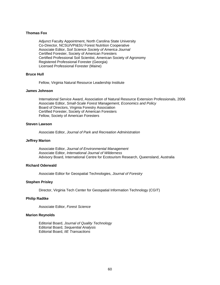## **Thomas Fox**

Adjunct Faculty Appointment, North Carolina State University Co-Director, NCSU/VPI&SU Forest Nutrition Cooperative Associate Editor, *Soil Science Society of America Journal*  Certified Forester, Society of American Foresters Certified Professional Soil Scientist, American Society of Agronomy Registered Professional Forester (Georgia) Licensed Professional Forester (Maine)

#### **Bruce Hull**

Fellow, Virginia Natural Resource Leadership Institute

#### **James Johnson**

 International Service Award, Association of Natural Resource Extension Professionals, 2006 Associate Editor, *Small-Scale Forest Management, Economics and Policy* Board of Directors, Virginia Forestry Association Certified Forester, Society of American Foresters Fellow, Society of American Foresters

## **Steven Lawson**

Associate Editor, *Journal of Park and Recreation Administration* 

#### **Jeffrey Marion**

 Associate Editor, *Journal of Environmental Management* Associate Editor, *International Journal of Wilderness* Advisory Board, International Centre for Ecotourism Research, Queensland, Australia

## **Richard Oderwald**

Associate Editor for Geospatial Technologies, *Journal of Forestry* 

## **Stephen Prisley**

Director, Virginia Tech Center for Geospatial Information Technology (CGIT)

#### **Philip Radtke**

Associate Editor, *Forest Science*

## **Marion Reynolds**

 Editorial Board, *Journal of Quality Technology* Editorial Board, *Sequential Analysis* Editorial Board, *IIE Transactions*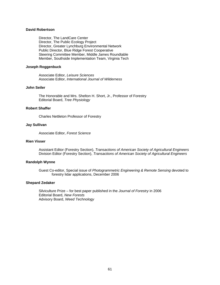## **David Robertson**

Director, The LandCare Center Director, The Public Ecology Project Director, Greater Lynchburg Environmental Network Public Director, Blue Ridge Forest Cooperative Steering Committee Member, Middle James Roundtable Member, Southside Implementation Team, Virginia Tech

#### **Joseph Roggenbuck**

 Associate Editor, *Leisure Sciences* Associate Editor, *International Journal of Wilderness*

## **John Seiler**

The Honorable and Mrs. Shelton H. Short, Jr., Professor of Forestry Editorial Board, *Tree Physiology*

#### **Robert Shaffer**

Charles Nettleton Professor of Forestry

## **Jay Sullivan**

Associate Editor, *Forest Science* 

## **Rien Visser**

Assistant Editor (Forestry Section), *Transactions of American Society of Agricultural Engineers*  Division Editor (Forestry Section), *Transactions of American Society of Agricultural Engineers* 

## **Randolph Wynne**

Guest Co-editor, Special issue of *Photogrammetric Engineering & Remote Sensing* devoted to forestry lidar applications, December 2006

#### **Shepard Zedaker**

 Silviculture Prize – for best paper published in the *Journal of Forestry* in 2006 Editorial Board, *New Forests* Advisory Board, *Weed Technology*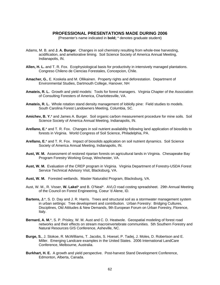## **PROFESSIONAL PRESENTATIONS MADE DURING 2006**

(Presenter's name indicated in **bold;** \* denotes graduate student)

- Adams, M. B. and **J. A. Burger**. Changes in soil chemistry resulting from whole-tree harvesting, acidification, and ameliorative liming. Soil Science Society of America Annual Meeting, Indianapolis, IN.
- **Allen, H. L.** and T. R. Fox. Ecophysiological basis for productivity in intensively managed plantations. Congreso Chileno de Ciencias Forestales, Concepcion, Chile.
- **Amacher, G.**, E. Koskela and M. Ollikainen. Property rights and deforestation. Department of Environmental Studies, Dartmouth College, Hanover, NH
- **Amateis, R. L.** Growth and yield models: Tools for forest managers. Virginia Chapter of the Association of Consulting Foresters of America, Charlottesville, VA.
- **Amateis, R. L.** Whole rotation stand density management of loblolly pine: Field studies to models. South Carolina Forest Landowners Meeting, Columbia, SC.
- **Amichev, B. Y.**\* and James A. Burger. Soil organic carbon measurement procedure for mine soils. Soil Science Society of America Annual Meeting, Indianapolis, IN.
- **Arellano, E.**\* and T. R. Fox. Changes in soil nutrient availability following land application of biosolids to forests in Virginia. World Congress of Soil Science, Philadelphia, PA.
- **Arellano, E.**\* and T. R. Fox. Impact of biosolids application on soil nutrient dynamics. Soil Science Society of America Annual Meeting, Indianapolis, IN.
- **Aust, W. M.** Assessment of restored riparian forests on agricultural lands in Virginia. Chesapeake Bay Program Forestry Working Group, Winchester, VA.
- **Aust, W. M.** Evaluation of the CREP program in Virginia. Virginia Department of Forestry-USDA Forest Service Technical Advisory Visit, Blacksburg, VA.
- **Aust, W. M.** Forested wetlands. Master Naturalist Program, Blacksburg, VA.
- Aust, W. M., R. Visser, **W. Lakel**\* and B. O'Neal\*. AVLO road costing spreadsheet. 29th Annual Meeting of the Council on Forest Engineering, Coeur 'd Alene, ID.
- **Bartens, J.**\*, S. D. Day and J. R. Harris. Trees and structural soil as a stormwater management system in urban settings: Tree development and contribution. Urban Forestry: Bridging Cultures, Disciplines, Old Attitudes & New Demands, 9th European Forum on Urban Forestry, Florence, Italy.
- **Bernard, A. M.**\*, S. P. Prisley, W. M. Aust and C. D. Heatwole. Geospatial modeling of forest road networks and their effects on stream macroinvertebrate communities. 5th Southern Forestry and Natural Resources GIS Conference, Asheville, NC.
- **Burge, S.**, J. Stokoe, R. McWilliams, T. Jacobs, S. Hoesel, P. Tadej, J. Moles, D. Robertson and E. Miller. Emerging Landcare examples in the United States. 2006 International LandCare Conference, Melbourne, Australia.
- **Burkhart, H. E.** A growth and yield perspective. Post-harvest Stand Development Conference, Edmonton, Alberta, Canada.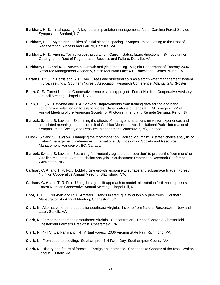- **Burkhart, H. E.** Initial spacing: A key factor in plantation management. North Carolina Forest Service Symposium, Sanford, NC.
- **Burkhart, H. E.** Myths and realities of initial planting spacing. Symposium on Getting to the Root of Regeneration Success and Failure, Danville, VA.
- **Burkhart, H. E.** Virginia Tech's forestry programs Current status, future directions. Symposium on Getting to the Root of Regeneration Success and Failure, Danville, VA.
- **Burkhart, H. E.** and **R. L. Amateis**. Growth and yield modeling. Virginia Department of Forestry 2006 Resource Management Academy, Smith Mountain Lake 4-H Educational Center, Wirtz, VA.
- **Bartens, J.**\*, J. R. Harris and S. D. Day. Trees and structural soils as a stormwater management system in urban settings. Southern Nursery Association Research Conference, Atlanta, GA. (Poster)
- **Blinn, C. E.** Forest Nutrition Cooperative remote sensing project. Forest Nutrition Cooperative Advisory Council Meeting, Chapel Hill, NC.
- **Blinn, C. E.**, R. H. Wynne and J. A. Scrivani. Improvements from training data editing and band combination selection on forest/non-forest classifications of Landsat ETM+ imagery. 72nd Annual Meeting of the American Society for Photogrammetry and Remote Sensing, Reno, NV.
- **Bullock, S.**\* and S. Lawson. Examining the effects of management actions on visitor experiences and associated meanings on the summit of Cadillac Mountain, Acadia National Park. International Symposium on Society and Resource Management, Vancouver, BC, Canada.
- Bullock, S.\* and **S. Lawson**. Managing the "commons" on Cadillac Mountain: A stated choice analysis of visitors' management preferences. International Symposium on Society and Resource Management, Vancouver, BC, Canada.
- **Bullock, S.**\* and S. Lawson. Searching for "mutually agreed upon coercion" to protect the "commons" on Cadillac Mountain: A stated choice analysis. Southeastern Recreation Research Conference, Wilmington, NC.
- **Carlson, C. A.** and T. R. Fox. Loblolly pine growth response to surface and subsurface tillage. Forest Nutrition Cooperative Annual Meeting, Blacksburg, VA.
- **Carlson, C. A.** and T. R. Fox. Using the age-shift approach to model mid-rotation fertilizer responses. Forest Nutrition Cooperative Annual Meeting, Chapel Hill, NC.
- **Choi, J.**, H. E. Burkhart and R. L. Amateis. Trends in stem quality of loblolly pine trees. Southern Mensurationists Annual Meeting, Charleston, SC.
- **Clark, N.** Alternative forest products for southeast Virginia. Income from Natural Resources Now and Later, Suffolk, VA.
- **Clark, N.** Forest management in southeast Virginia: Concentration Prince George & Chesterfield. Chesterfield Farmer's Breakfast, Chesterfield, VA.
- **Clark, N.** 4-H Virtual Farm and 4-H Virtual Forest. 2006 Virginia State Fair, Richmond, VA.
- **Clark, N.** From seed to seedling. Southampton 4-H Farm Day, Southampton County, VA.
- **Clark, N.** History and future of forests Foreign and domestic. Chesapeake Chapter of the Izaak Walton League, Suffolk, VA.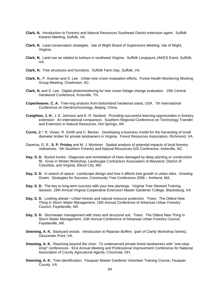- **Clark, N.** Introduction to Forestry and Natural Resources Southeast District extension agent. Suffolk Kiwanis Meeting, Suffolk, VA.
- **Clark, N.** Land conservation strategies. Isle of Wight Board of Supervisors Meeting, Isle of Wight, Virginia.
- **Clark, N.** Land use as related to turkeys in southeast Virginia. Suffolk Longspurs JAKES Event, Suffolk, VA.
- **Clark, N.** Tree structures and functions. Suffolk Farm Day, Suffolk, VA.
- **Clark, N.**, P. Araman and S. Lee. Urban tree crown evaluation efforts. Forest Health Monitoring Working Group Meeting, Charleston, SC.
- **Clark, N.** and S. Lee. Digital photomonitoring for tree crown foliage change evaluation. 15th Central Hardwood Conference, Knoxville, TN.
- **Copenheaver, C. A.** Tree-ring analysis from bottomland hardwood stand, USA. 7th International Conference on Dendrochronology, Beijing, China.
- **Creighton, J. H.**, J. E. Johnson and E. R. Norland. Providing successful learning opportunities in forestry extension: An international comparison. Southern Regional Conference on Technology Transfer and Extension in Natural Resources, Hot Springs, AR.
- **Currie, J.**\*, R. Visser, R. Smith and C. Becker. Developing a business model for the harvesting of small diameter timber for private landowners in Virginia. Forest Resources Association, Richmond, VA.
- Daversa, D. R., **S. P. Prisley** and M. J. Mortimer. Spatial analysis of potential impacts of local forestry ordinances. 5th Southern Forestry and Natural Resources GIS Conference, Asheville, NC.
- **Day, S. D.** Buried trunks: Diagnosis and remediation of trees damaged by deep planting or construction fill. Grow in Winter Workshop, Landscape Contractors Association of Maryland, District of Columbia, and Virginia, Ellicot City, MD.
- **Day, S. D.** In search of space: Landscape design and how it affects tree growth in urban sites. Growing Green: Strategies for Success, Community Tree Conference 2006 – Amherst, MA.
- **Day, S. D.** The key to long-term success with your tree plantings. Virginia Tree Steward Training Session, 19th Annual Virginia Cooperative Extension Master Gardener College, Blacksburg, VA.
- **Day, S. D.** Looking ahead—Urban forests and natural resource protection. Trees: The Oldest New Thing in Storm Water Management, 15th Annual Conference of Arkansas Urban Forestry Council, Fayetteville, AR.
- **Day, S. D.** Stormwater management with trees and structural soil. Trees: The Oldest New Thing in Storm Water Management, 15th Annual Conference of Arkansas Urban Forestry Council, Fayetteville, AR.
- **Downing, A. K.** Backyard woods. Introduction to Riparian Buffers (part of Clarity Workshop Series), Gloucester Point, VA.
- **Downing, A. K.** Reaching beyond the choir: To underserved private forest landowners with "one-stopshop" conferences. 91st Annual Meeting and Professional Improvement Conference for National Association of County Agricultural Agents, Cincinnati, OH.
- **Downing, A. K.** Tree identification. Fauquier Master Gardener Volunteer Training Course, Fauquier County, VA.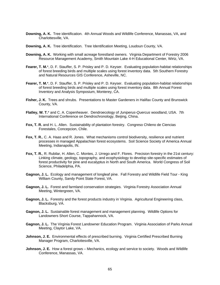- **Downing, A. K.** Tree identification. 4th Annual Woods and Wildlife Conference, Manassas, VA, and Charlottesville, VA.
- **Downing, A. K.** Tree identification. Tree Identification Meeting, Loudoun County, VA.
- **Downing, A. K.** Working with small acreage forestland owners. Virginia Department of Forestry 2006 Resource Management Academy, Smith Mountain Lake 4-H Educational Center, Wirtz, VA.
- **Fearer, T. M.**\*, D. F. Stauffer, S. P. Prisley and P. D. Keyser. Evaluating population-habitat relationships of forest breeding birds and multiple scales using forest inventory data. 5th Southern Forestry and Natural Resources GIS Conference, Asheville, NC.
- **Fearer, T. M.**\*, D. F. Stauffer, S. P. Prisley and P. D. Keyser. Evaluating population-habitat relationships of forest breeding birds and multiple scales using forest inventory data. 8th Annual Forest Inventory and Analysis Symposium, Monterey, CA.
- **Fisher, J. K.** Trees and shrubs. Presentations to Master Gardeners in Halifax County and Brunswick County, VA.
- **Flatley, W. T.**\* and C. A. Copenheaver. Dendroecology of *Juniperus-Quercus* woodland, USA. 7th International Conference on Dendrochronology, Beijing, China.
- **Fox, T. R.** and H. L. Allen. Sustainability of plantation forestry. Congreso Chileno de Ciencias Forestales, Concepcion, Chile.
- **Fox, T. R.**, C. A. Haas and R. Jones. What mechanisms control biodiversity, resilience and nutrient processes in managed Appalachian forest ecosystems. Soil Science Society of America Annual Meeting, Indianapolis, IN.
- **Fox, T. R.**, R. Rubilar, H. Allen, C. Montes, J. Urrego and F. Flores. Precision forestry in the 21st century: Linking climate, geology, topography, and ecophysiology to develop site-specific estimates of forest productivity for pine and eucalyptus in North and South America. World Congress of Soil Science, Philadelphia, PA.
- **Gagnon, J. L.** Ecology and management of longleaf pine. Fall Forestry and Wildlife Field Tour King William County, Sandy Point State Forest, VA.
- **Gagnon, J. L.** Forest and farmland conservation strategies. Virginia Forestry Association Annual Meeting, Wintergreen, VA.
- **Gagnon, J. L.** Forestry and the forest products industry in Virginia. Agricultural Engineering class, Blacksburg, VA.
- **Gagnon, J. L.** Sustainable forest management and management planning. Wildlife Options for Landowners Short Course, Tappahannock, VA.
- **Gagnon, J. L.** The Virginia Forest Landowner Education Program. Virginia Association of Parks Annual Meeting, Claytor Lake, VA.
- **Johnson, J. E.** Environmental effects of prescribed burning. Virginia Certified Prescribed Burning Manager Program, Charlottesville, VA.
- **Johnson, J. E.** How a forest grows Mechanics, ecology and service to society. Woods and Wildlife Conference, Manassas, VA.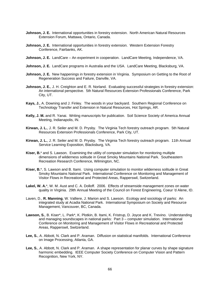- **Johnson, J. E.** International opportunities in forestry extension. North American Natural Resources Extension Forum, Mattawa, Ontario, Canada.
- **Johnson, J. E.** International opportunities in forestry extension. Western Extension Forestry Conference, Fairbanks, AK.
- **Johnson, J. E.** LandCare An experiment in cooperation. LandCare Meeting, Independence, VA.
- **Johnson, J. E.** LandCare programs in Australia and the USA. LandCare Meeting, Blacksburg, VA.
- **Johnson, J. E.** New happenings in forestry extension in Virginia. Symposium on Getting to the Root of Regeneration Success and Failure, Danville, VA.
- **Johnson, J. E.**, J. H. Creighton and E. R. Norland. Evaluating successful strategies in forestry extension: An international perspective. 5th Natural Resources Extension Professionals Conference, Park City, UT.
- **Kays, J.**, A. Downing and J. Finley. The woods in your backyard. Southern Regional Conference on Technology Transfer and Extension in Natural Resources, Hot Springs, AR.
- **Kelly, J. M.** and R. Yanai. Writing manuscripts for publication. Soil Science Society of America Annual Meeting, Indianapolis, IN.
- **Kirwan, J. L.**, J. R. Seiler and M. D. Prysby. The Virginia Tech forestry outreach program. 5th Natural Resources Extension Professionals Conference, Park City, UT.
- **Kirwan, J. L.**, J. R. Seiler and M. D. Prysby. The Virginia Tech forestry outreach program. 11th Annual Service Learning Exposition, Blacksburg, VA.
- **Kiser, B.**\* and S. Lawson. Examining the utility of computer simulation for monitoring multiple dimensions of wilderness solitude in Great Smoky Mountains National Park. Southeastern Recreation Research Conference, Wilmington, NC.
- **Kiser, B.**\*, S. Lawson and B. Itami. Using computer simulation to monitor wilderness solitude in Great Smoky Mountains National Park. International Conference on Monitoring and Management of Visitor Flows in Recreational and Protected Areas, Rapperswil, Switzerland.
- **Lakel, W. A.**\*, W. M. Aust and C. A. Dolloff. 2006. Effects of streamside management zones on water quality in Virginia. 29th Annual Meeting of the Council on Forest Engineering, Coeur 'd Alene, ID.
- Laven, D., **R. Manning**, W. Valliere, J. Marion and S. Lawson. Ecology and sociology of parks: An integrated study at Acadia National Park. International Symposium on Society and Resource Management, Vancouver, BC, Canada.
- **Lawson, S.**, B. Kiser\*, L. Park\*, K. Plotkin, B. Itami, K. Fristrup, D. Joyce and K. Trevino. Understanding and managing soundscapes in national parks: Part 3 – computer simulation. International Conference on Monitoring and Management of Visitor Flows in Recreational and Protected Areas, Rapperswil, Switzerland.
- **Lee, S.**, A. Abbott, N. Clark and P. Araman. Diffusion on statistical manifolds. International Conference on Image Processing, Atlanta, GA.
- **Lee, S.**, A. Abbott, N. Clark and P. Araman. A shape representation for planar curves by shape signature harmonic embedding. IEEE Computer Society Conference on Computer Vision and Pattern Recognition, New York, NY.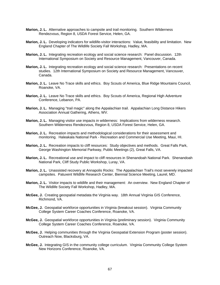- **Marion, J. L.** Alternative approaches to campsite and trail monitoring. Southern Wilderness Rendezvous, Region 8, USDA Forest Service, Helen, GA.
- **Marion, J. L.** Developing indicators for wildlife-visitor interactions: Value, feasibility and limitation. New England Chapter of The Wildlife Society Fall Workshop, Hadley, MA.
- **Marion, J. L.** Integrating recreation ecology and social science research: Panel discussion. 12th International Symposium on Society and Resource Management, Vancouver, Canada.
- **Marion, J. L.** Integrating recreation ecology and social science research: Presentations on recent studies. 12th International Symposium on Society and Resource Management, Vancouver, Canada.
- **Marion, J. L.** Leave No Trace skills and ethics. Boy Scouts of America, Blue Ridge Mountains Council, Roanoke, VA.
- **Marion, J. L.** Leave No Trace skills and ethics. Boy Scouts of America, Regional High Adventure Conference, Lebanon, PA.
- **Marion, J. L.** Managing "trail magic" along the Appalachian trail. Appalachian Long Distance Hikers Association Annual Gathering, Athens, WV.
- **Marion, J. L.** Managing visitor use impacts in wilderness: Implications from wilderness research. Southern Wilderness Rendezvous, Region 8, USDA Forest Service, Helen, GA.
- **Marion, J. L.** Recreation impacts and methodological considerations for their assessment and monitoring. Haleakala National Park - Recreation and Commercial Use Meeting, Maui, HI.
- **Marion, J. L.** Recreation impacts to cliff resources: Study objectives and methods. Great Falls Park, George Washington Memorial Parkway, Public Meetings (2), Great Falls, VA.
- **Marion, J. L.** Recreational use and impact to cliff resources in Shenandoah National Park. Shenandoah National Park, Cliff Study Public Workshop, Luray, VA.
- **Marion, J. L.** Unassisted recovery at Annapolis Rocks: The Appalachian Trail's most severely impacted campsites. Patuxent Wildlife Research Center, Biennial Science Meeting, Laurel, MD.
- **Marion, J. L.** Visitor impacts to wildlife and their management: An overview. New England Chapter of The Wildlife Society Fall Workshop, Hadley, MA.
- **McGee, J.** Creating geospatial metadata the Virginia way. 18th Annual Virginia GIS Conference, Richmond, VA.
- **McGee, J.** Geospatial workforce opportunities in Virginia (breakout session). Virginia Community College System Career Coaches Conference, Roanoke, VA.
- **McGee, J.** Geospatial workforce opportunities in Virginia (preliminary session). Virginia Community College System Career Coaches Conference, Roanoke, VA.
- **McGee, J.** Helping communities through the Virginia Geospatial Extension Program (poster session). Outreach Now, Blacksburg, VA.
- **McGee, J.** Integrating GIS in the community college curriculum. Virginia Community College System New Horizons Conference, Roanoke, VA.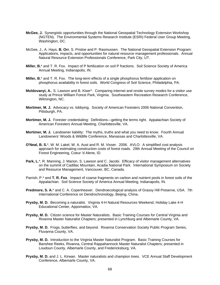- **McGee, J.** Synergistic opportunities through the National Geospatial Technology Extension Workshop (NGTEN). The Environmental Systems Research Institute (ESRI) Federal User Group Meeting, Washington, DC.
- McGee, J., A. Hays, **B. Orr**, S. Prisloe and P. Rasmussen. The National Geospatial Extension Program: Applications, impacts, and opportunities for natural resource management professionals. Annual Natural Resource Extension Professionals Conference, Park City, UT.
- **Miller, B.**\* and T. R. Fox. Impact of P fertilization on soil P fractions. Soil Science Society of America Annual Meeting, Indianapolis, IN.
- **Miller, B.**\* and T. R. Fox. The long-term effects of a single phosphorus fertilizer application on phosphorus availability in forest soils. World Congress of Soil Science, Philadelphia, PA.
- **Moldovanyi, A.**, S. Lawson and B. Kiser\*. Comparing internet and onsite survey modes for a visitor use study at Prince William Forest Park, Virginia. Southeastern Recreation Research Conference, Wilmington, NC.
- **Mortimer, M. J.** Advocacy vs. lobbying. Society of American Foresters 2006 National Convention, Pittsburgh, PA.
- **Mortimer, M. J.** Forester credentialing: Definitions—getting the terms right. Appalachian Society of American Foresters Annual Meeting, Charlottesville, VA.
- **Mortimer, M. J.** Landowner liability: The myths, truths and what you need to know. Fourth Annual Landowners' Woods & Wildlife Conference, Manassas and Charlottesville, VA.
- **O'Neal, B. S.**\*, W. M. Lakel, W. A. Aust and R. M. Visser. 2006. AVLO: A simplified cost analysis approach for estimating construction costs of forest roads. 29th Annual Meeting of the Council on Forest Engineering, Coeur 'd Alene, ID.
- Park, L.\*, R. Manning, J. Marion, S. Lawson and C. Jacobi. Efficacy of visitor management alternatives on the summit of Cadillac Mountain, Acadia National Park. International Symposium on Society and Resource Management, Vancouver, BC, Canada.
- Parrish, P.\* and **T. R. Fox**. Impact of coarse fragments on carbon and nutrient pools in forest soils of the Appalachian. Soil Science Society of America Annual Meeting, Indianapolis, IN.
- **Predmore, S. A.**\* and C. A. Copenheaver. Dendroecological analysis of Grassy Hill Preserve, USA. 7th International Conference on Dendrochronology, Beijing, China.
- **Prysby, M. D.** Becoming a naturalist. Virginia 4-H Natural Resources Weekend, Holiday Lake 4-H Educational Center, Appomattox, VA.
- **Prysby, M. D.** Citizen science for Master Naturalists. Basic Training Courses for Central Virginia and Rivanna Master Naturalist Chapters; presented in Lynchburg and Albemarle County, VA.
- **Prysby, M. D.** Frogs, butterflies, and beyond. Rivanna Conservation Society Public Program Series, Fluvanna County, VA.
- **Prysby, M. D.** Introduction to the Virginia Master Naturalist Program. Basic Training Courses for Banshee Reeks, Rivanna, Central Rappahannock Master Naturalist Chapters; presented in Loudoun County, Albemarle County, and Fredericksburg, VA.
- **Prysby, M. D.** and J. L. Kirwan. Master naturalists and champion trees. VCE Annual Staff Development Conference, Albemarle County, VA.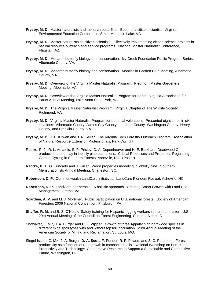- **Prysby, M. D.** Master naturalists and monarch butterflies: Become a citizen scientist. Virginia Environmental Education Conference, Smith Mountain Lake, VA.
- **Prysby, M. D.** Master naturalists as citizen scientists: Effectively implementing citizen science projects in natural resource outreach and service programs. National Master Naturalist Conference, Flagstaff, AZ.
- **Prysby, M. D.** Monarch butterfly biology and conservation. Ivy Creek Foundation Public Program Series, Albemarle County, VA.
- **Prysby, M. D.** Monarch butterfly biology and conservation. Monticello Garden Club Meeting, Albemarle County, VA.
- **Prysby, M. D.** Overview of the Virginia Master Naturalist Program. Piedmont Master Gardeners Meeting, Albemarle, VA.
- **Prysby, M. D.** Overview of the Virginia Master Naturalist Program for parks. Virginia Association for Parks Annual Meeting, Lake Anna State Park, VA.
- **Prysby, M. D.** The Virginia Master Naturalist Program. Virginia Chapter of The Wildlife Society, Richmond, VA.
- **Prysby, M. D.** Virginia Master Naturalist Program for potential volunteers. Presented eight times in six locations: Albemarle County, James City County, Loudoun County, Washington County, Henry County, and Franklin County, VA.
- **Prysby, M. D.**, J. L. Kirwan and J. R. Seiler. The Virginia Tech Forestry Outreach Program. Association of Natural Resource Extension Professionals, Park City, UT.
- Radtke, P. J., R. L. Amateis, S. P. Prisley, C. A. Copenheaver and H. E. Burkhart. Deadwood C production and decay in loblolly pine plantations. Critical Processes and Properties Regulating Carbon Cycling in Southern Forests, Asheville, NC. (Poster)
- **Radtke, P. J.**, G. Trincado and J. Fuller. Wood properties modeling in loblolly pine. Southern Mensurationists Annual Meeting, Charleston, SC.
- **Robertson, D. P.** Commonwealth LandCare initiatives. LandCare Pioneers Retreat, Asheville, NC.
- **Robertson, D. P.** LandCare partnership: A holistic approach. Creating Smart Growth with Land Use Management, Gretna, VA.
- **Scardina, A. V.** and M. J. Mortimer. Public participation on U.S. national forests. Society of American Foresters 2006 National Convention, Pittsburgh, PA.
- **Shaffer, R. M.** and B. S. O'Neal\*. Safety training for Hispanic logging workers in the southeastern U.S. 29th Annual Meeting of the Council on Forest Engineering, Coeur 'd Alene, ID.
- Showalter, J. M.\*, J. A. Burger and **C. E. Zipper**. Growth of three Appalachian hardwood species in different mine spoil types with and without topsoil inoculation. 23rd Annual Meeting of the American Society of Mining and Reclamation, St. Louis, MO.
- Siegel-Issem, C. M.\*, J. A. Burger, **D. A. Scott**, F. Ponder, R. F. Powers and S. C. Patterson. Forest productivity as a function of root growth in compacted soils. National Workshop on Forest Productivity and Technology: Cooperative Research to Support a Sustainable and Competitive Future, Washington, DC.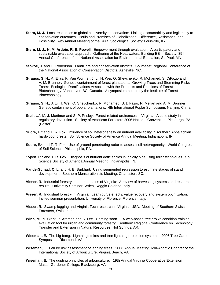- **Stern, M. J.** Local responses to global biodiversity conservation: Linking accountability and legitimacy to conservation outcomes. Perils and Promises of Globalization: Difference, Resistance, and Possibility; 69th Annual Meeting of the Rural Sociological Society; Louisville, KY.
- **Stern, M. J., N. M. Ardoin, R. B. Powell**. Empowerment through evaluation: A participatory and sustainable evaluation approach. Gathering at the Headwaters, Building EE in Society, 35th Annual Conference of the National Association for Environmental Education, St. Paul, MN.
- **Stokoe, J.** and D. Robertson. LandCare and conservation districts. Southeast Regional Conference of the National Association of Conservation Districts, Asheville, NC.
- **Strauss, S. H.**, A. Elias, K. Van Wormer, J. Li, H. Wei, O. Shevchenko, R. Mohamed, S. DiFazio and A. M. Brunner. Genetic containment of forest plantations. Growing Trees and Stemming Risks Trees: Ecological Ramifications Associate with the Products and Practices of Forest Biotechnology, Vancouver, BC, Canada. A symposium hosted by the Institute of Forest Biotechnology.
- **Strauss, S. H.**, J. Li, H. Wei, O. Shevchenko, R. Mohamed, S. DiFazio, R. Meilan and A. M. Brunner. Genetic containment of poplar plantations. 4th International Poplar Symposium, Nanjing, China.
- **Stull, L.**\*, M. J. Mortimer and S. P. Prisley. Forest-related ordinances in Virginia: A case study in regulatory devolution. Society of American Foresters 2006 National Convention, Pittsburgh, PA. (Poster)
- **Sucre, E.**\* and T. R. Fox. Influence of soil heterogeneity on nutrient availability in southern Appalachian hardwood forests. Soil Science Society of America Annual Meeting, Indianapolis, IN.
- **Sucre, E.**\* and T. R. Fox. Use of ground penetrating radar to assess soil heterogeneity. World Congress of Soil Science, Philadelphia, PA.
- Sypert, R.\* and **T. R. Fox.** Diagnosis of nutrient deficiencies in loblolly pine using foliar techniques. Soil Science Society of America Annual Meeting, Indianapolis, IN.
- **VanderSchaaf, C. L.** and H. E. Burkhart. Using segmented regression to estimate stages of stand development. Southern Mensurationists Meeting, Charleston, SC.
- **Visser, R.** Industrial forestry in the mountains of Virginia: A review of harvesting systems and research results. University Seminar Series, Reggio Calabria, Italy.
- **Visser, R.** Industrial forestry in Virginia: Learn curve effects, value recovery and system optimization. Invited seminar presentation, University of Florence, Florence, Italy.
- **Visser, R.** Swamp logging and Virginia Tech research in Virginia, USA. Meeting of Southern Swiss Foresters, Switzerland.
- **Winn, M.**, N. Clark, P. Araman and S. Lee. Coming soon … A web-based tree crown condition training evaluation tool for urban and community forestry. Southern Regional Conference on Technology Transfer and Extension in Natural Resources, Hot Springs, AR.
- **Wiseman, E.** The big bang: Lightning strikes and tree lightning protection systems. 2006 Tree Care Symposium, Richmond, VA.
- **Wiseman, E.** Failure risk assessment of leaning trees. 2006 Annual Meeting, Mid-Atlantic Chapter of the International Society of Arboriculture, Virginia Beach, VA.
- **Wiseman, E.** The guiding principles of arboriculture. 19th Annual Virginia Cooperative Extension Master Gardener College, Blacksburg, VA.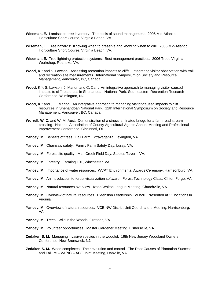- **Wiseman, E.** Landscape tree inventory: The basis of sound management. 2006 Mid-Atlantic Horticulture Short Course, Virginia Beach, VA.
- **Wiseman, E.** Tree hazards: Knowing when to preserve and knowing when to cull. 2006 Mid-Atlantic Horticulture Short Course, Virginia Beach, VA.
- **Wiseman, E.** Tree lightning protection systems: Best management practices. 2006 Trees Virginia Workshop, Roanoke, VA.
- Wood, K<sup>\*</sup> and S. Lawson. Assessing recreation impacts to cliffs: Integrating visitor observation with trail and recreation site measurements. International Symposium on Society and Resource Management, Vancouver, BC, Canada.
- **Wood, K.**\*, S. Lawson, J. Marion and C. Carr. An integrative approach to managing visitor-caused impacts to cliff resources in Shenandoah National Park. Southeastern Recreation Research Conference, Wilmington, NC.
- Wood, K.<sup>\*</sup> and J. L. Marion. An integrative approach to managing visitor-caused impacts to cliff resources in Shenandoah National Park. 12th International Symposium on Society and Resource Management, Vancouver, BC, Canada.
- **Worrell, W. C.** and W. M. Aust. Demonstration of a stress laminated bridge for a farm road stream crossing. National Association of County Agricultural Agents Annual Meeting and Professional Improvement Conference, Cincinnati, OH.
- **Yancey, M.** Benefits of trees. Fall Farm Extravaganza, Lexington, VA.
- **Yancey, M.** Chainsaw safety. Family Farm Safety Day, Luray, VA.
- **Yancey, M.** Forest site quality. Marl Creek Field Day, Steeles Tavern, VA.
- **Yancey, M.** Forestry. Farming 101, Winchester, VA.
- **Yancey, M.** Importance of water resources. WVPT Environmental Awards Ceremony, Harrisonburg, VA.
- Yancey, M. An introduction to forest visualization software. Forest Technology Class, Clifton Forge, VA.
- **Yancey, M.** Natural resources overview. Izaac Walton League Meeting, Churchville, VA.
- **Yancey, M.** Overview of natural resources. Extension Leadership Council. Presented at 11 locations in Virginia.
- Yancey, M. Overview of natural resources. VCE NW District Unit Coordinators Meeting, Harrisonburg, VA.
- **Yancey, M.** Trees. Wild in the Woods, Grottoes, VA.
- **Yancey, M.** Volunteer opportunities. Master Gardener Meeting, Fishersville, VA.
- **Zedaker, S. M.** Managing invasive species in the woodlot. 19th New Jersey Woodland Owners Conference, New Brunswick, NJ.
- **Zedaker, S. M.** Weed complexes: Their evolution and control. The Root Causes of Plantation Success and Failure – VA/NC – ACF Joint Meeting, Danville, VA.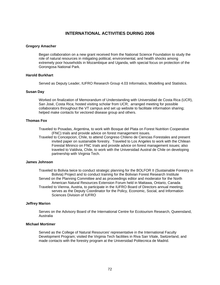# **INTERNATIONAL ACTIVITIES DURING 2006**

# **Gregory Amacher**

Began collaboration on a new grant received from the National Science Foundation to study the role of natural resources in mitigating political, environmental, and health shocks among extremely poor households in Mozambique and Uganda, with special focus on protection of the Gorongosa National Park.

# **Harold Burkhart**

Served as Deputy Leader, IUFRO Research Group 4.03 Informatics, Modelling and Statistics.

# **Susan Day**

Worked on finalization of Memorandum of Understanding with Universidad de Costa Rica (UCR), San José, Costa Rica; hosted visiting scholar from UCR; arranged meeting for possible collaborators throughout the VT campus and set up website to facilitate information sharing; helped make contacts for vectored disease group and others.

# **Thomas Fox**

Traveled to Posadas, Argentina, to work with Bosque del Plata on Forest Nutrition Cooperative (FNC) trials and provide advice on forest management issues.

Traveled to Concepcion, Chile, to attend Congreso Chileno de Ciencias Forestales and present invited paper on sustainable forestry. Traveled to Los Angeles to work with the Chilean Forestal Mininco on FNC trials and provide advice on forest management issues; also traveled to Valdivia, Chile, to work with the Universidad Austral de Chile on developing partnership with Virginia Tech.

# **James Johnson**

Traveled to Bolivia twice to conduct strategic planning for the BOLFOR II (Sustainable Forestry in Bolivia) Project and to conduct training for the Bolivian Forest Research Institute Served on the Planning Committee and as proceedings editor and moderator for the North American Natural Resources Extension Forum held in Mattawa, Ontario, Canada Traveled to Vienna, Austria, to participate in the IUFRO Board of Directors annual meeting; serves as the Deputy Coordinator for the Policy, Economic, Social, and Information Sciences Division of IUFRO

### **Jeffrey Marion**

Serves on the Advisory Board of the International Centre for Ecotourism Research, Queensland, Australia

# **Michael Mortimer**

Served as the College of Natural Resources' representative in the International Faculty Development Program; visited the Virginia Tech facilities in Riva San Vitale, Switzerland, and made contacts with the forestry program at the Universidad Politecnica de Madrid.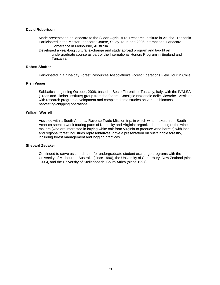# **David Robertson**

Made presentation on landcare to the Silean Agricultural Research Institute in Arusha, Tanzania Participated in the Master Landcare Course, Study Tour, and 2006 International Landcare Conference in Melbourne, Australia

Developed a year-long cultural exchange and study abroad program and taught an undergraduate course as part of the International Honors Program in England and Tanzania

## **Robert Shaffer**

Participated in a nine-day Forest Resources Association's Forest Operations Field Tour in Chile.

# **Rien Visser**

Sabbatical beginning October, 2006; based in Sesto Fiorentino, Tuscany, Italy, with the IVALSA (Trees and Timber Institute) group from the federal Consiglio Nazionale delle Ricerche. Assisted with research program development and completed time studies on various biomass harvesting/chipping operations.

# **William Worrell**

Assisted with a South America Reverse Trade Mission trip, in which wine makers from South America spent a week touring parts of Kentucky and Virginia; organized a meeting of the wine makers (who are interested in buying white oak from Virginia to produce wine barrels) with local and regional forest industries representatives; gave a presentation on sustainable forestry, including forest management and logging practices

### **Shepard Zedaker**

Continued to serve as coordinator for undergraduate student exchange programs with the University of Melbourne, Australia (since 1990), the University of Canterbury, New Zealand (since 1996), and the University of Stellenbosch, South Africa (since 1997).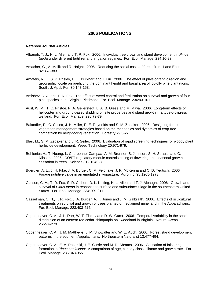# **2006 PUBLICATIONS**

#### **Refereed Journal Articles**

- Albaugh, T. J., H. L. Allen and T. R. Fox. 2006. Individual tree crown and stand development in *Pinus taeda* under different fertilizer and irrigation regimes. For. Ecol. Manage. 234:10-23
- Amacher, G., A. Malik and R. Haight. 2006. Reducing the social costs of forest fires. Land Econ. 82:367-383.
- Amateis, R. L., S. P. Prisley, H. E. Burkhart and J. Liu. 2006. The effect of physiographic region and geographic locale on predicting the dominant height and basal area of loblolly pine plantations. South. J. Appl. For. 30:147-153.
- Amishev, D. A. and T. R. Fox. The effect of weed control and fertilization on survival and growth of four pine species in the Virginia Piedmont. For. Ecol. Manage. 236:93-101.
- Aust, W. M., T. C. Fristoe, P. A. Gellerstedt, L. A. B. Giese and M. Miwa. 2006. Long-term effects of helicopter and ground-based skidding on site properties and stand growth in a tupelo-cypress wetland. For. Ecol. Manage. 226:72-79.
- Balandier, P., C. Collett, J. H. Miller, P. E. Reynolds and S. M. Zedaker. 2006. Designing forest vegetation management strategies based on the mechanics and dynamics of crop tree competition by neighboring vegetation. Forestry 79:3-27.
- Blair, M., S. M. Zedaker and J. R. Seiler. 2006. Evaluation of rapid screening techniques for woody plant herbicide development. Weed Technology 20:971-979.
- Bohlenius H., T. Huang, L. Charbonnel-Campaa, A. M. Brunner, S. Jansson, S. H. Strauss and O. Nilsson. 2006. CO/FT regulatory module controls timing of flowering and seasonal growth cessation in trees. Science 312:1040-3.
- Buergler, A. L., J. H. Fike, J. A. Burger, C. M. Feldhake, J. R. McKenna and C. D. Teutsch. 2006. Forage nutritive value in an emulated silvopasture. Agron. J. 98:1265-1273.
- Carlson, C. A., T. R. Fox, S. R. Colbert, D. L. Kelting, H. L. Allen and T. J. Albaugh. 2006. Growth and survival of *Pinus taeda* in response to surface and subsurface tillage in the southeastern United States. For. Ecol. Manage. 234:209-217.
- Casselman, C. N., T. R. Fox, J. A. Burger, A. T. Jones and J. M. Galbraith. 2006. Effects of silvicultural treatments on survival and growth of trees planted on reclaimed mine land in the Appalachians. For. Ecol. Manage. 223:403-414.
- Copenheaver, C. A., J. L. Dorr, W. T. Flatley and D. W. Garst. 2006. Temporal variability in the spatial distribution of an eastern red cedar-chinquapin oak woodland in Virginia. Natural Areas J. 26:274-279.
- Copenheaver, C. A., J. M. Matthews, J. M. Showalter and W. E. Auch. 2006. Forest stand development patterns in the southern Appalachians. Northeastern Naturalist 13:477-494.
- Copenheaver, C. A., E. A. Pokorski, J. E. Currie and M. D. Abrams. 2006. Causation of false ring formation in *Pinus banksiana*: A comparison of age, canopy class, climate and growth rate. For. Ecol. Manage. 236:348-355.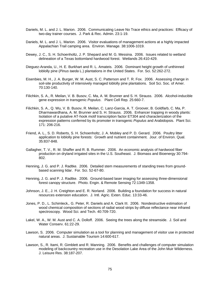- Daniels, M. L. and J. L. Marion. 2006. Communicating Leave No Trace ethics and practices: Efficacy of two-day trainer courses. J. Park & Rec. Admin. 23:1-19.
- Daniels, M. L. and J. L. Marion. 2006. Visitor evaluations of management actions at a highly impacted Appalachian Trail camping area. Environ. Manage. 38:1006-1019.
- Dewey, J. C., S. H. Schoenholtz, J. P. Shepard and M. G. Messina. 2006. Issues related to wetland delineation of a Texas bottomland hardwood forest. Wetlands 26:410-429.
- Dieguez-Aranda, U., H. E. Burkhart and R. L. Amateis. 2006. Dominant height growth of unthinned loblolly pine (*Pinus taeda* L.) plantations in the United States. For. Sci. 52:262-272.
- Eisenbies, M. H., J. A. Burger, W. M. Aust, S. C. Patterson and T. R. Fox. 2006. Assessing change in soil-site productivity of intensively managed loblolly pine plantations. Soil Sci. Soc. of Amer. 70:130-140.
- Filichkin, S. A., R. Meilan, V. B. Busov, C. Ma, A. M. Brunner and S. H. Strauss. 2006. Alcohol-inducible gene expression in transgenic *Populus*. Plant Cell Rep*.* 25:660-7.
- Filichkin, S. A., Q. Wu, V. B. Busov, R. Meilan, C. Lanz-Garcia, A. T. Groover, B. Goldfarb, C. Ma, P. Dharmawardhana, A. M. Brunner and S. H. Strauss. 2006. Enhancer trapping in woody plants: Isolation of a putative AT-hook motif transcription factor ET304 and characterization of the expression patterns conferred by its promoter in transgenic *Populus* and Arabidopsis.Plant Sci. 171: 206-216.
- Friend, A. L., S. D. Roberts, S. H. Schoenholtz, J. A. Mobley and P. D. Gerard. 2006. Poultry litter application to loblolly pine forests: Growth and nutrient containment. Jour. of Environ. Qual. 35:837-848.
- Gallagher, T. V., R. M. Shaffer and R. B. Rummer. 2006. An economic analysis of hardwood fiber production on dryland irrigated sites in the U.S. Southeast. J. Biomass and Bioenergy 30:794- 802.
- Henning, J. G. and P. J. Radtke. 2006. Detailed stem measurements of standing trees from groundbased scanning lidar. For. Sci. 52-67-80.
- Henning, J. G. and P. J. Radtke. 2006. Ground-based laser imaging for assessing three-dimensional forest canopy structure. Photo. Engin. & Remote Sensing 72:1349-1358.
- Johnson, J. E., J. H. Creighton and E. R. Norland. 2006. Building a foundation for success in natural resources extension education. J. Intl. Agric. Exten. Educ. 13:33-46.
- Jones, P. D., L. Schimleck,. G. Peter, R. Daniels and A. Clark III. 2006. Nondestructive estimation of wood chemical composition of sections of radial wood strips by diffuse reflectance near infrared spectroscopy. Wood Sci. and Tech. 40:709-720.
- Lakel, W. A., W. M. Aust and C. A. Dolloff. 2006. Seeing the trees along the streamside. J. Soil and Water Conserv. 61:22-29.
- Lawson, S. 2006. Computer simulation as a tool for planning and management of visitor use in protected natural areas. J. Sustainable Tourism 14:600-617.
- Lawson, S., R. Itami, R. Gimblett and R. Manning. 2006. Benefits and challenges of computer simulation modeling of backcountry recreation use in the Desolation Lake Area of the John Muir Wilderness. J. Leisure Res. 38:187-207.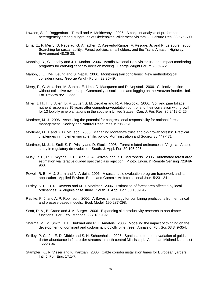- Lawson, S., J. Roggenbuck, T. Hall and A. Moldovanyi. 2006. A conjoint analysis of preference heterogeneity among subgroups of Okefenokee Wilderness visitors. J. Leisure Res. 38:575-600.
- Lima, E., F. Merry, D. Nepstad, G. Amacher, C. Azevedo-Ramos, F. Resque, Jr. and P. Lefebvre. 2006. Searching for sustainability: Forest policies, smallholders, and the Trans-Amazon Highway. Environment 48:26-38.
- Manning, R., C. Jacoby and J. L. Marion. 2006. Acadia National Park visitor use and impact monitoring programs for carrying capacity decision making. George Wright Forum 23:59-72.
- Marion, J. L., Y-F. Leung and S. Nepal. 2006. Monitoring trail conditions: New methodological considerations. George Wright Forum 23:36-49.
- Merry, F., G. Amacher, M. Santos, E. Lima, D. Macqueen and D. Nepstad. 2006. Collective action without collective ownership: Community associations and logging on the Amazon frontier. Intl. For. Review 8:211-222.
- Miller, J. H., H. L. Allen, B. R. Zutter, S. M. Zedaker and R. A. Newbold. 2006. Soil and pine foliage nutrient responses 15 years after competing-vegetation control and their correlation with growth for 13 loblolly pine plantations in the southern United States. Can. J. For. Res. 36:2412-2425.
- Mortimer, M. J. 2006. Assessing the potential for congressional responsibility for national forest management. Society and Natural Resources 19:563-570.
- Mortimer, M. J. and S. D. McLeod. 2006. Managing Montana's trust land old-growth forests: Practical challenges in implementing scientific policy. Administration and Society 38:447-471.
- Mortimer, M. J., L. Stull, S. P. Prisley and D. Slack. 2006. Forest-related ordinances in Virginia: A case study in regulatory de-evolution. South. J. Appl. For. 30:196-205.
- Musy, R. F., R. H. Wynne, C. E. Blinn, J. A. Scrivani and R. E. McRoberts. 2006. Automated forest area estimation via iterative guided spectral class rejection. Photo. Engin. & Remote Sensing 72:949- 960.
- Powell, R. B., M. J. Stern and N. Ardoin. 2006. A sustainable evaluation program framework and its application. Applied Environ. Educ. and Comm.: An International Jour. 5:231-241.
- Prisley, S. P., D. R. Daversa and M. J. Mortimer. 2006. Estimation of forest area affected by local ordinances: A Virginia case study. South. J. Appl. For. 30:188-195.
- Radtke, P. J. and A. P. Robinson. 2006. A Bayesian strategy for combining predictions from empirical and process-based models. Ecol. Model. 190:287-298.
- Scott, D. A., B. Crane and J. A. Burger. 2006. Expanding site productivity research to non-timber functions. For. Ecol. Manage. 227:185-192.
- Sharma, M., M. Smith, H. E. Burkhart and R. L. Amateis. 2006. Modeling the impact of thinning on the development of dominant and codominant loblolly pine trees. Annals of For. Sci. 63:349-354.
- Smiley, P. C., Jr., E. D. Dibble and S. H. Schoenholtz. 2006. Spatial and temporal variation of goldstripe darter abundance in first-order streams in north-central Mississippi. American Midland Naturalist 156:23-36.
- Stampfer, K., R. Visser and K. Kanzian. 2006. Cable corridor installation times for European yarders. Intl. J. For. Eng. 17:1-7.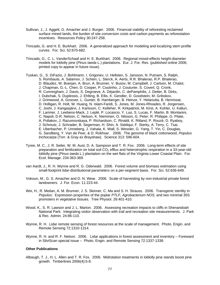- Sullivan, J., J. Aggett, G. Amacher and J. Burger. 2006. Financial viability of reforesting reclaimed surface mined lands, the burden of site conversion costs and carbon payments as reforestation incentives. Resources Policy 30:247-258.
- Trincado, G. and H. E. Burkhart. 2006. A generalized approach for modeling and localizing stem profile curves. For. Sci. 52:670-682.
- Trincado, G., C. L. VanderSchaaf and H. E. Burkhart. 2006. Regional mixed-effects height-diameter models for loblolly pine (*Pinus taeda* L.) plantations. Eur. J. For. Res. (published online 2006; printed copy to appear in future issue).
- Tuskan, G., S. DiFazio, J. Bohlmann, I. Grigoriev, U. Hellsten, S. Jansson, N. Putnam, S. Ralph, S. Rombauts, A. Salamov, J. Schein, L. Sterck, A. Aerts, R.R. Bhalerao, R.P. Bhalerao, D. Blaudez, W. Boerjan, A. Brun, A. Brunner, V. Busov, M. Campbell, J. Carlson, M. Chalot, J. Chapman, G.-L. Chen, D. Cooper, P. Coutinho, J. Couturier, S. Covert, Q. Cronk, R. Cunningham, J. Davis, S. Degroeve, A. Déjardin, C. dePamphilis, J. Detter, B. Dirks, I. Dubchak, S. Duplessis, J. Ehlting, B. Ellis, K. Gendler, D. Goodstein, M. Gribskov, J. Grimwood, A. Groover, L. Gunter, B. Hamberger, B. Heinze, Y. Helariutta, B. Henrissat, D. Holligan, R. Holt, W. Huang, N. Islam-Faridi, S. Jones, M. Jones-Rhoades, R. Jorgensen, C. Joshi, J. Kangasjärvi, J. Karlsson, C. Kelleher, R. Kirkpatrick, M. Kirst, A. Kohler, U. Kalluri, F. Larimer, J. Leebens-Mack, J. Leplé, P. Locascio, Y. Luo, S. Lucas, F. Martin, B. Montanini, C. Napoli, D.R. Nelson, C. Nelson, K. Nieminen, O. Nilsson, G. Peter, R. Philippe, G. Pilate, A. Poliakov, J. Razumovskaya, P. Richardson, C. Rinaldi, K. Ritland, P. Rouzé, D. Ryaboy, J. Schmutz, J. Schrader, B. Segerman, H. Shin, A. Siddiqui, F. Sterky, A. Terry, C. Tsai, E. Uberbacher, P. Unneberg, J. Vahala, K. Wall, S. Wessler, G. Yang, T. Yin, C. Douglas, G. Sandberg, Y. Van de Peer, & D. Rokhsar. 2006. The genome of black cottonwood, *Populus trichocarpa* (Torr. & Gray ex Brayshaw). Science 313: 596-604.
- Tyree, M. C., J. R. Seiler, W. M. Aust, D. A. Sampson and T. R. Fox. 2006. Long-term effects of site preparation and fertilization on total soil  $CO<sub>2</sub>$  efflux and heterotrophic respiration in a 33-year-old loblolly pine (*Pinus taeda* L.) plantation on the wet flats of the Virginia Lower Coastal Plain. For. Ecol. Manage. 234:363-369.
- van Aardt, J., R. H. Wynne and R. G. Oderwald. 2006. Forest volume and biomass estimation using small-footprint lidar-distributional parameters on a per-segment basis. For. Sci. 52:636-649.
- Vokoun, M., G. S. Amacher and D. N. Wear. 2006. Scale of harvesting by non-industrial private forest landowners. J. For. Econ. 11:223-44.
- Wei, H., R. Meilan, A. M. Brunner, J. S. Skinner, C. Ma and S. H. Strauss. 2006. Transgenic sterility in *Populus*: Expression properties of the poplar *PTLF, Agrobacterium NOS,* and two minimal 35S promoters in vegetative tissues. Tree Physiol. 26:401-410*.*
- Wood, K., S. R. Lawson and J. L. Marion. 2006. Assessing recreation impacts to cliffs in Shenandoah National Park: Integrating visitor observation with trail and recreation site measurements. J. Park & Rec. Admin. 24:86-110.
- Wynne, R. H. Lidar remote sensing of forest resources at the scale of management. Photo. Engin. and Remote Sensing 72:1310-1314.
- Wynne, R. H. and R. F. Nelson. 2006. Lidar applications in forest assessment and inventory Foreward in SilviScan special issue – Photo. Engin. and Remote Sensing 72:1337-1338.

## **Other Publications**

Albaugh, T. J., H. L. Allen and T. R. Fox. 2006. Midrotation treatments in loblolly pine stands boost pine growth. Timberlines 2006(4):5-8.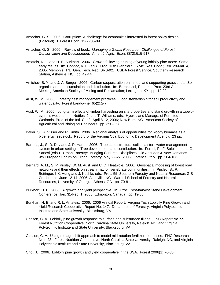- Amacher, G. S. 2006. Corruption: A challenge for economists interested in forest policy design. (Editorial) J. Forest Econ. 12(2):85-89
- Amacher, G. S. 2006. Review of book: *Managing a Global Resource: Challenges of Forest Conservation and Development.* Amer. J. Agric. Econ. 88(2):515-517.
- Amateis, R. L. and H. E. Burkhart. 2006. Growth following pruning of young loblolly pine trees: Some early results. In: Connor, K. F. (ed.). Proc. 13th Biennial S. Silvic. Res. Conf.; Feb. 28-Mar. 4, 2005; Memphis, TN. Gen. Tech. Rep. SRS-92. USDA Forest Service, Southern Research Station, Asheville, NC. pp. 42-44.
- Amichev, B. Y. and J. A. Burger. 2006. Carbon sequestration on mined land supporting grasslands: Soil organic carbon accumulation and distribution. In: Barnhiesel, R. I., ed. Proc. 23rd Annual Meeting American Society of Mining and Reclamation; Lexington, KY. pp. 12-29.
- Aust, W. M. 2006. Forestry best management practices: Good stewardship for soil productivity and water quality. Forest Landowner 65(2):2-7.
- Aust, W. M. 2006. Long-term effects of timber harvesting on site properties and stand growth in a tupelocypress wetland. In: Nettles, J. and T. Williams, eds. Hydrol. and Manage. of Forested Wetlands, Proc. of the Intl. Conf.; April 8-12, 2006; New Bern, NC. American Society of Agricultural and Biological Engineers. pp. 350-357.
- Baker, S., R. Visser and R. Smith. 2006. Regional analysis of opportunities for woody biomass as a bioenergy feedstock. Report for the Virginia Coal Economic Development Agency. 23 pp.
- Bartens, J., S. D. Day and J. R. Harris. 2006. Trees and structural soil as a stormwater management system in urban settings: Tree development and contribution. In: Ferrini, F., F. Salbitano and G. Sanesi (eds.). Urban Forestry: Bridging Cultures, Disciplines, Old Attitudes & New Demands. 9th European Forum on Urban Forestry; May 22-27, 2006; Florence, Italy. pp. 104-106.
- Bernard, A. M., S. P. Prisley, W. M. Aust and C. D. Heatwole. 2006. Geospatial modeling of forest road networks and their effects on stream macroinvertebrate communities. In: Prisley, S., P. Bettinger, I-K. Hung and J. Kushla, eds. Proc. 5th Southern Forestry and Natural Resources GIS Conference; June 12-14, 2006; Asheville, NC. Warnell School of Forestry and Natural Resources, University of Georgia, Athens, GA. pp. 70-81.
- Burkhart, H. E. 2006. A growth and yield perspective. In: Proc. Post-harvest Stand Development Conference; Jan. 31-Feb. 1, 2006; Edmonton, Canada. pp. 19-50.
- Burkhart, H. E. and R. L. Amateis. 2006. 2006 Annual Report. Virginia Tech Loblolly Pine Growth and Yield Research Cooperative Report No. 147. Department of Forestry, Virginia Polytechnic Institute and State University, Blacksburg, VA.
- Carlson, C. A. Loblolly pine growth response to surface and subsurface tillage. FNC Report No. 59. Forest Nutrition Cooperative, North Carolina State University, Raleigh, NC, and Virginia Polytechnic Institute and State University, Blacksburg, VA.
- Carlson, C. A. Using the age-shift approach to model mid-rotation fertilizer responses. FNC Research Note 23. Forest Nutrition Cooperative, North Carolina State University, Raleigh, NC, and Virginia Polytechnic Institute and State University, Blacksburg, VA.
- Choi, J. 2006. Loblolly pine growth and yield cooperative in the USA. Forest 2006(1):76-80.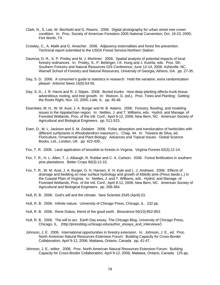- Clark, N., S. Lee, W. Bechtold and G. Reams. 2006. Digital photography for urban street tree crown condition. In: Proc. Society of American Foresters 2005 National Convention; Oct. 19-23, 2005; Fort Worth, TX.
- Crowley, C., A. Malik and G. Amacher. 2006. Adjacency externalities and forest fire prevention. Technical report submitted to the USDA Forest Service-Northern Station.
- Daversa, D. R., S. P. Prisley and M. J. Mortimer. 2006. Spatial analysis of potential impacts of local forestry ordinances. In: Prisley, S., P. Bettinger, I-K. Hung and J. Kushla, eds. Proc. 5th Southern Forestry and Natural Resources GIS Conference; June 12-14, 2006; Asheville, NC. Warnell School of Forestry and Natural Resources, University of Georgia, Athens, GA. pp. 27-35.
- Day, S. D. 2006. A consumer's guide to statistics in research: Hold the variation, extra randomization please! Arborist News 15(6):54-55.
- Day, S. D., J. R. Harris and R. J. Stipes. 2006. Buried trunks: How deep planting affects trunk tissue, adventitious rooting, and tree growth. In: Watson, G. (ed.). Proc. Trees and Planting: Getting the Roots Right; Nov. 10, 2005; Lisle, IL. pp. 45-48.
- Eisenbies, M. H., W. M. Aust, J. A. Burger and M. B. Adams. 2006. Forestry, flooding, and modeling issues in the Appalachian region. In: Nettles, J. and T. Williams, eds. Hydrol. and Manage. of Forested Wetlands, Proc. of the Intl. Conf.; April 8-12, 2006; New Bern, NC. American Society of Agricultural and Biological Engineers. pp. 511-523.
- Esen, D., M. L. Jackson and S. M. Zedaker. 2006. Foliar absorption and translocation of herbicides with different surfactants in *Rhododendron maximum* L. Chap. 44. In: Teixeira de Silva, ed. Floriculture, Ornamental and Plant Biology: Advances and Topical Issues. Global Science Books, Ltd., London, UK. pp. 422-430.
- Fox, T. R. 2006. Land application of biosolids to forests in Virginia. Virginia Forests 62(3):12-14.
- Fox, T. R., H. L. Allen, T. J. Albaugh, R. Rubilar and C. A. Carlson. 2006. Forest fertilization in southern pine plantations. Better Crops 90(3):12-15.
- Fox, T. R., W. M. Aust, J. A. Burger, G. H. Hansen, K. H. Kyle and L. J. Andrews. 2006. Effects of drainage and bedding on near surface hydrology and growth of loblolly pine (*Pinus taeda* L.) in the Coastal Plain of Virginia. In: Nettles, J. and T. Williams, eds. Hydrol. and Manage. of Forested Wetlands, Proc. of the Intl. Conf.; April 8-12, 2006; New Bern, NC. American Society of Agricultural and Biological Engineers. pp. 358-364.
- Hull, R. B. 2006. God's will and the climate. New Scientist 2545 (April):23.
- Hull, R. B. 2006. Infinite nature. University of Chicago Press, Chicago, IL. 232 pp.
- Hull, R. B. 2006. Rene Dubos, friend of the good earth. Bioscience 56(10):852-853.
- Hull, R. B. 2006. The will to act. Earth Day essay, The Chicago Blog, University of Chicago Press, Chicago, IL. (http://pressblog.uchicago.edu/author\_essays\_and\_interviews/)
- Johnson, J. E. 2006. International opportunities in forestry extension. In: Johnson, J. E., ed. Proc. North American Natural Resources Extension Forum: Building Capacity for Cross-Border Collaboration; April 9-12, 2006; Mattawa, Ontario, Canada. pp. 41-47.
- Johnson, J. E., editor. 2006. Proc. North American Natural Resources Extension Forum: Building Capacity for Cross-Border Collaboration; April 9-12, 2006; Mattawa, Ontario, Canada. 125 pp.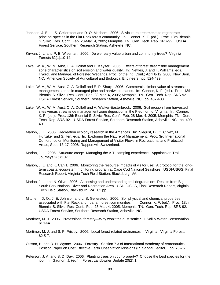- Johnson, J. E., L. S. Gellerstedt and D. O. Mitchem. 2006. Silvicultural treatments to regenerate principal species in the Flat Rock forest community. In: Connor, K. F. (ed.). Proc. 13th Biennial S. Silvic. Res. Conf.; Feb. 28-Mar. 4, 2005; Memphis, TN. Gen. Tech. Rep. SRS-92. USDA Forest Service, Southern Research Station, Asheville, NC.
- Kirwan, J. L. and P. E. Wiseman. 2006. Do we really value urban and community trees? Virginia Forests 62(1):10-14.
- Lakel, W. A., W. M. Aust, C. A. Dolloff and P. Keyser. 2006. Effects of forest streamside management zone characteristics on soil erosion and water quality. In: Nettles, J. and T. Williams, eds. Hydrol. and Manage. of Forested Wetlands, Proc. of the Intl. Conf.; April 8-12, 2006; New Bern, NC. American Society of Agricultural and Biological Engineers. pp. 524-429.
- Lakel, W. A., W. M. Aust, C. A. Dolloff and E. P. Sharp. 2006. Commercial timber value of streamside management zones in managed pine and hardwood stands. In: Connor, K. F. (ed.). Proc. 13th Biennial S. Silvic. Res. Conf.; Feb. 28-Mar. 4, 2005; Memphis, TN. Gen. Tech. Rep. SRS-92. USDA Forest Service, Southern Research Station, Asheville, NC. pp. 407-408.
- Lakel, W. A., W. M. Aust, C. A. Dolloff and A. Walker-Easterbrook. 2006. Soil erosion from harvested sites versus streamside management zone deposition in the Piedmont of Virginia. In: Connor, K. F. (ed.). Proc. 13th Biennial S. Silvic. Res. Conf.; Feb. 28-Mar. 4, 2005; Memphis, TN. Gen. Tech. Rep. SRS-92. USDA Forest Service, Southern Research Station, Asheville, NC. pp. 400- 401.
- Marion, J. L. 2006. Recreation ecology research in the Americas. In: Siegrist, D., C. Clivaz, M. Hunziker and S. Iten, eds. In: Exploring the Nature of Management. Proc. 3rd International Conference on Monitoring and Management of Visitor Flows in Recreational and Protected Areas; Sept. 13-17, 2006; Rapperswil, Switzerland.
- Marion, J. L. 2006. Structure creep: Managing the A.T. camping experience. Appalachian Trail Journeys 2(6):10-11.
- Marion, J. L. and K. Cahill. 2006. Monitoring the resource impacts of visitor use: A protocol for the longterm coastal ecosystem monitoring program at Cape Cod National Seashore. USDI-USGS, Final Research Report, Virginia Tech Field Station, Blacksburg, VA.
- Marion, J. L. and N. Olive. 2006. Assessing and understanding trail degradation: Results from Big South Fork National River and Recreation Area. USDI-USGS, Final Research Report, Virginia Tech Field Station, Blacksburg, VA. 82 pp.
- Mitchem, D. O., J. E. Johnson and L. S. Gellerstedt. 2006. Soil physical and chemical properties associated with Flat Rock and riparian forest communities. In: Connor, K. F. (ed.). Proc. 13th Biennial S. Silvic. Res. Conf.; Feb. 28-Mar. 4, 2005; Memphis, TN. Gen. Tech. Rep. SRS-92. USDA Forest Service, Southern Research Station, Asheville, NC.
- Mortimer, M. J. 2006. Professional forestry—Why won't the dust settle? J. Soil & Water Conservation 61:44A.
- Mortimer, M. J. and S. P. Prisley. 2006. Local forest-related ordinances in Virginia. Virginia Forests 62:5-7.
- Olsson, H. and R. H. Wynne. 2006. Forestry. Section 7.3 of International Academy of Astronautics Position Paper on Cost Effective Earth Observation Missions (R. Sandau, editor). pp. 73-76.
- Peterson, J. A. and S. D. Day. 2006. Planting trees on your property? Choose the best species for the job. In: Gagnon, J. (ed.). Forest Landowner Update 20(2):1.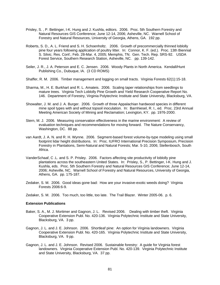- Prisley, S. , P. Bettinger, I-K. Hung and J. Kushla, editors. 2006. Proc. 5th Southern Forestry and Natural Resources GIS Conference; June 12-14, 2006; Asheville, NC. Warnell School of Forestry and Natural Resources, University of Georgia, Athens, GA. 192 pp.
- Roberts, S. D., A. L. Friend and S. H. Schoenholtz. 2006. Growth of precommercially thinned loblolly pine four years following application of poultry litter. In: Connor, K. F. (ed.). Proc. 13th Biennial S. Silvic. Res. Conf.; Feb. 28-Mar. 4, 2005; Memphis, TN. Gen. Tech. Rep. SRS-92. USDA Forest Service, Southern Research Station, Asheville, NC. pp. 139-142.
- Seiler, J. R., J. A. Peterson and E. C. Jensen. 2006. Woody Plants in North America. Kendall/Hunt Publishing Co., Dubuque, IA. (3 CD ROMS)
- Shaffer, R. M. 2006. Timber management and logging on small tracts. Virginia Forests 62(1):15-18.
- Sharma, M., H. E. Burkhart and R. L. Amateis. 2006. Scaling taper relationships from seedlings to mature trees. Virginia Tech Loblolly Pine Growth and Yield Research Cooperative Report No. 146. Department of Forestry, Virginia Polytechnic Institute and State University, Blacksburg, VA.
- Showalter, J. M. and J. A. Burger. 2006. Growth of three Appalachian hardwood species in different mine spoil types with and without topsoil inoculation. In: Barnhiesel, R. I., ed. Proc. 23rd Annual Meeting American Society of Mining and Reclamation; Lexington, KY. pp. 1976-2000.
- Stern, M. J. 2006. Measuring conservation effectiveness in the marine environment: A review of evaluation techniques and recommendations for moving forward. The Nature Conservancy, Washington, DC. 88 pp.
- van Aardt, J. A. N. and R. H. Wynne. 2006. Segment-based forest volume-by-type modeling using small footprint lidar height distributions. In: Proc. IUFRO International Precision Symposium, Precision Forestry in Plantations, Semi-Natural and Natural Forests; Mar. 5-10, 2006; Stellenbosch, South Africa.
- VanderSchaaf, C .L. and S. P. Prisley. 2006. Factors affecting site productivity of loblolly pine plantations across the southeastern United States. In: Prisley, S., P. Bettinger, I-K. Hung and J. Kushla, eds. Proc. 5th Southern Forestry and Natural Resources GIS Conference; June 12-14, 2006; Asheville, NC. Warnell School of Forestry and Natural Resources, University of Georgia, Athens, GA. pp. 175-187.
- Zedaker, S. M. 2006. Good ideas gone bad: How are your invasive-exotic weeds doing? Virginia Forests 2006:6-9.
- Zedaker, S. M. 2006. Too much, too little, too late. The Trail Blazer. Winter 2005-06. p. 6.

### **Extension Publications**

- Baker, S. A., M. J. Mortimer and Gagnon, J. L. Revised 2006. Dealing with timber theft. Virginia Cooperative Extension Publ. No. 420-136. Virginia Polytechnic Institute and State University, Blacksburg, VA. 3 pp.
- Gagnon, J. L. and J. E. Johnson. 2006. Shortleaf pine: An option for Virginia landowners. Virginia Cooperative Extension Publ. No. 420-165. Virginia Polytechnic Institute and State University, Blacksburg, VA. 9 pp.
- Gagnon, J. L. and J. E. Johnson. Revised 2006. Sustainable forestry: A guide for Virginia forest landowners. Virginia Cooperative Extension Publ. No. 420-139. Virginia Polytechnic Institute and State University, Blacksburg, VA. 37 pp.